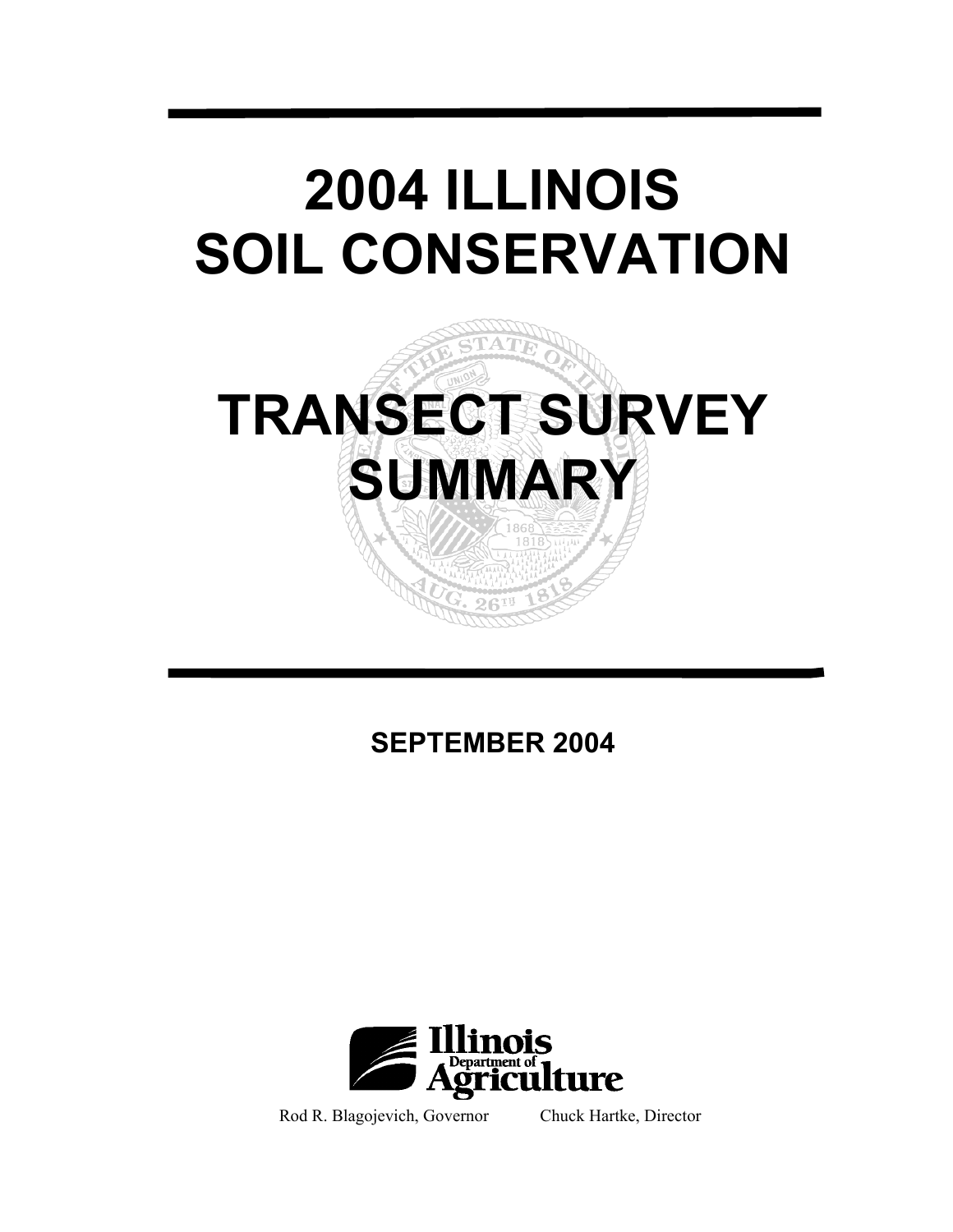# **2004 ILLINOIS SOIL CONSERVATION**



**SEPTEMBER 2004** 



Rod R. Blagojevich, Governor Chuck Hartke, Director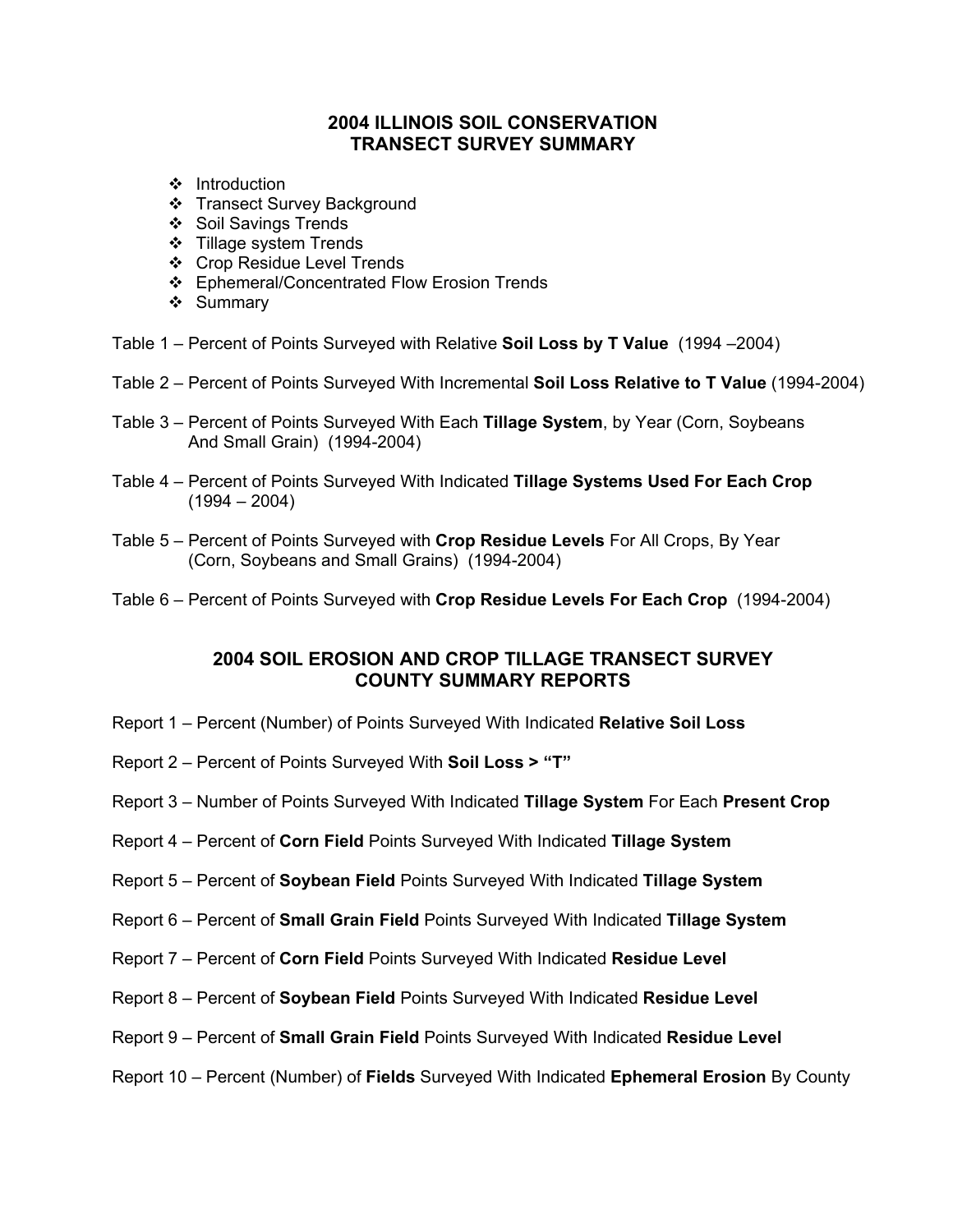### **2004 ILLINOIS SOIL CONSERVATION TRANSECT SURVEY SUMMARY**

- ❖ Introduction
- Transect Survey Background
- ❖ Soil Savings Trends
- ❖ Tillage system Trends
- ❖ Crop Residue Level Trends
- ❖ Ephemeral/Concentrated Flow Erosion Trends
- ❖ Summary
- Table 1 Percent of Points Surveyed with Relative **Soil Loss by T Value** (1994 –2004)
- Table 2 Percent of Points Surveyed With Incremental **Soil Loss Relative to T Value** (1994-2004)
- Table 3 Percent of Points Surveyed With Each **Tillage System**, by Year (Corn, Soybeans And Small Grain) (1994-2004)
- Table 4 Percent of Points Surveyed With Indicated **Tillage Systems Used For Each Crop**  $(1994 - 2004)$
- Table 5 Percent of Points Surveyed with **Crop Residue Levels** For All Crops, By Year (Corn, Soybeans and Small Grains) (1994-2004)
- Table 6 Percent of Points Surveyed with **Crop Residue Levels For Each Crop** (1994-2004)

#### **2004 SOIL EROSION AND CROP TILLAGE TRANSECT SURVEY COUNTY SUMMARY REPORTS**

- Report 1 Percent (Number) of Points Surveyed With Indicated **Relative Soil Loss**
- Report 2 Percent of Points Surveyed With **Soil Loss > "T"**
- Report 3 Number of Points Surveyed With Indicated **Tillage System** For Each **Present Crop**
- Report 4 Percent of **Corn Field** Points Surveyed With Indicated **Tillage System**
- Report 5 Percent of **Soybean Field** Points Surveyed With Indicated **Tillage System**
- Report 6 Percent of **Small Grain Field** Points Surveyed With Indicated **Tillage System**
- Report 7 Percent of **Corn Field** Points Surveyed With Indicated **Residue Level**
- Report 8 Percent of **Soybean Field** Points Surveyed With Indicated **Residue Level**
- Report 9 Percent of **Small Grain Field** Points Surveyed With Indicated **Residue Level**
- Report 10 Percent (Number) of **Fields** Surveyed With Indicated **Ephemeral Erosion** By County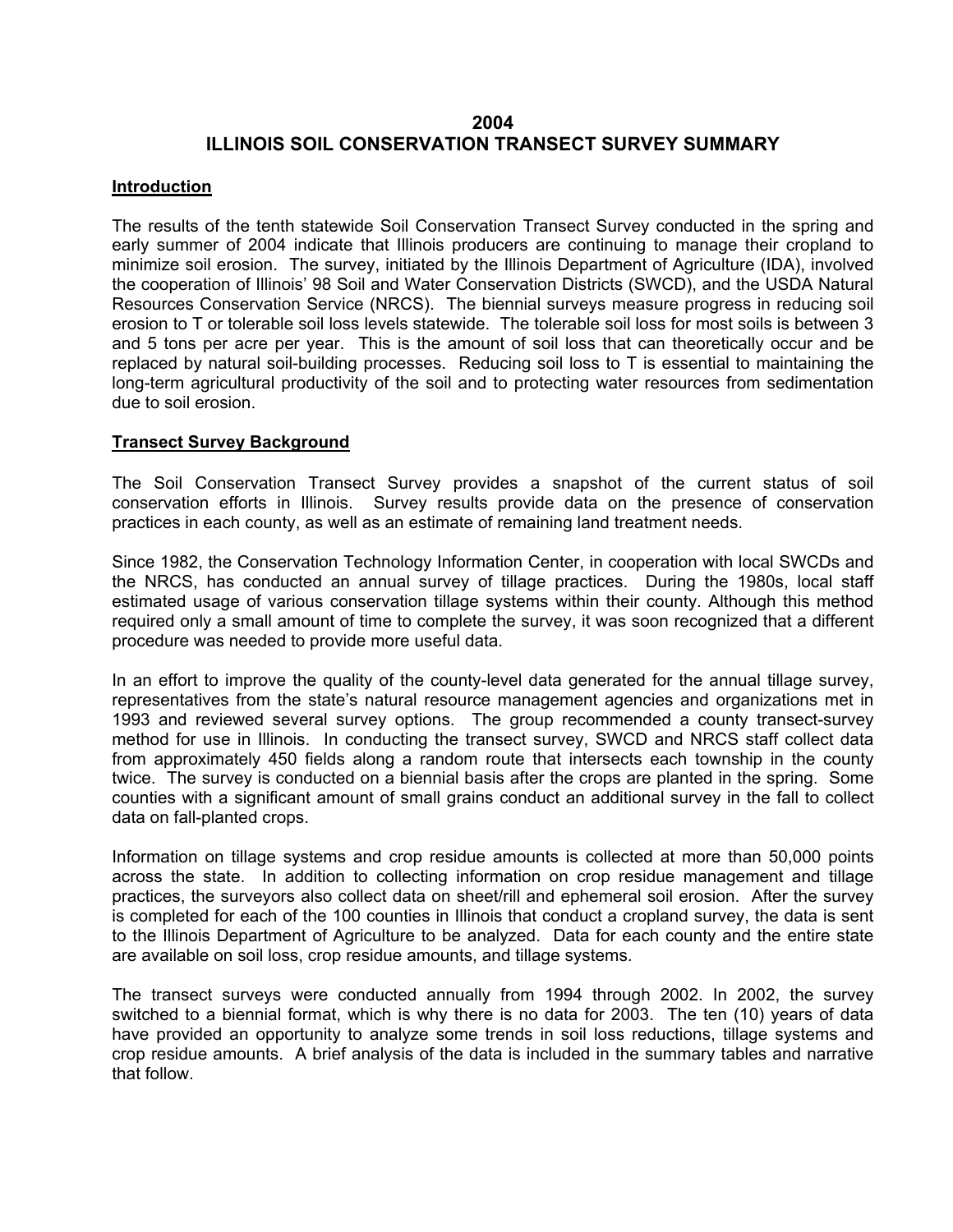#### **2004 ILLINOIS SOIL CONSERVATION TRANSECT SURVEY SUMMARY**

#### **Introduction**

The results of the tenth statewide Soil Conservation Transect Survey conducted in the spring and early summer of 2004 indicate that Illinois producers are continuing to manage their cropland to minimize soil erosion. The survey, initiated by the Illinois Department of Agriculture (IDA), involved the cooperation of Illinois' 98 Soil and Water Conservation Districts (SWCD), and the USDA Natural Resources Conservation Service (NRCS). The biennial surveys measure progress in reducing soil erosion to T or tolerable soil loss levels statewide. The tolerable soil loss for most soils is between 3 and 5 tons per acre per year. This is the amount of soil loss that can theoretically occur and be replaced by natural soil-building processes. Reducing soil loss to T is essential to maintaining the long-term agricultural productivity of the soil and to protecting water resources from sedimentation due to soil erosion.

#### **Transect Survey Background**

The Soil Conservation Transect Survey provides a snapshot of the current status of soil conservation efforts in Illinois. Survey results provide data on the presence of conservation practices in each county, as well as an estimate of remaining land treatment needs.

Since 1982, the Conservation Technology Information Center, in cooperation with local SWCDs and the NRCS, has conducted an annual survey of tillage practices. During the 1980s, local staff estimated usage of various conservation tillage systems within their county. Although this method required only a small amount of time to complete the survey, it was soon recognized that a different procedure was needed to provide more useful data.

In an effort to improve the quality of the county-level data generated for the annual tillage survey, representatives from the state's natural resource management agencies and organizations met in 1993 and reviewed several survey options. The group recommended a county transect-survey method for use in Illinois. In conducting the transect survey, SWCD and NRCS staff collect data from approximately 450 fields along a random route that intersects each township in the county twice. The survey is conducted on a biennial basis after the crops are planted in the spring. Some counties with a significant amount of small grains conduct an additional survey in the fall to collect data on fall-planted crops.

Information on tillage systems and crop residue amounts is collected at more than 50,000 points across the state. In addition to collecting information on crop residue management and tillage practices, the surveyors also collect data on sheet/rill and ephemeral soil erosion. After the survey is completed for each of the 100 counties in Illinois that conduct a cropland survey, the data is sent to the Illinois Department of Agriculture to be analyzed. Data for each county and the entire state are available on soil loss, crop residue amounts, and tillage systems.

The transect surveys were conducted annually from 1994 through 2002. In 2002, the survey switched to a biennial format, which is why there is no data for 2003. The ten (10) years of data have provided an opportunity to analyze some trends in soil loss reductions, tillage systems and crop residue amounts. A brief analysis of the data is included in the summary tables and narrative that follow.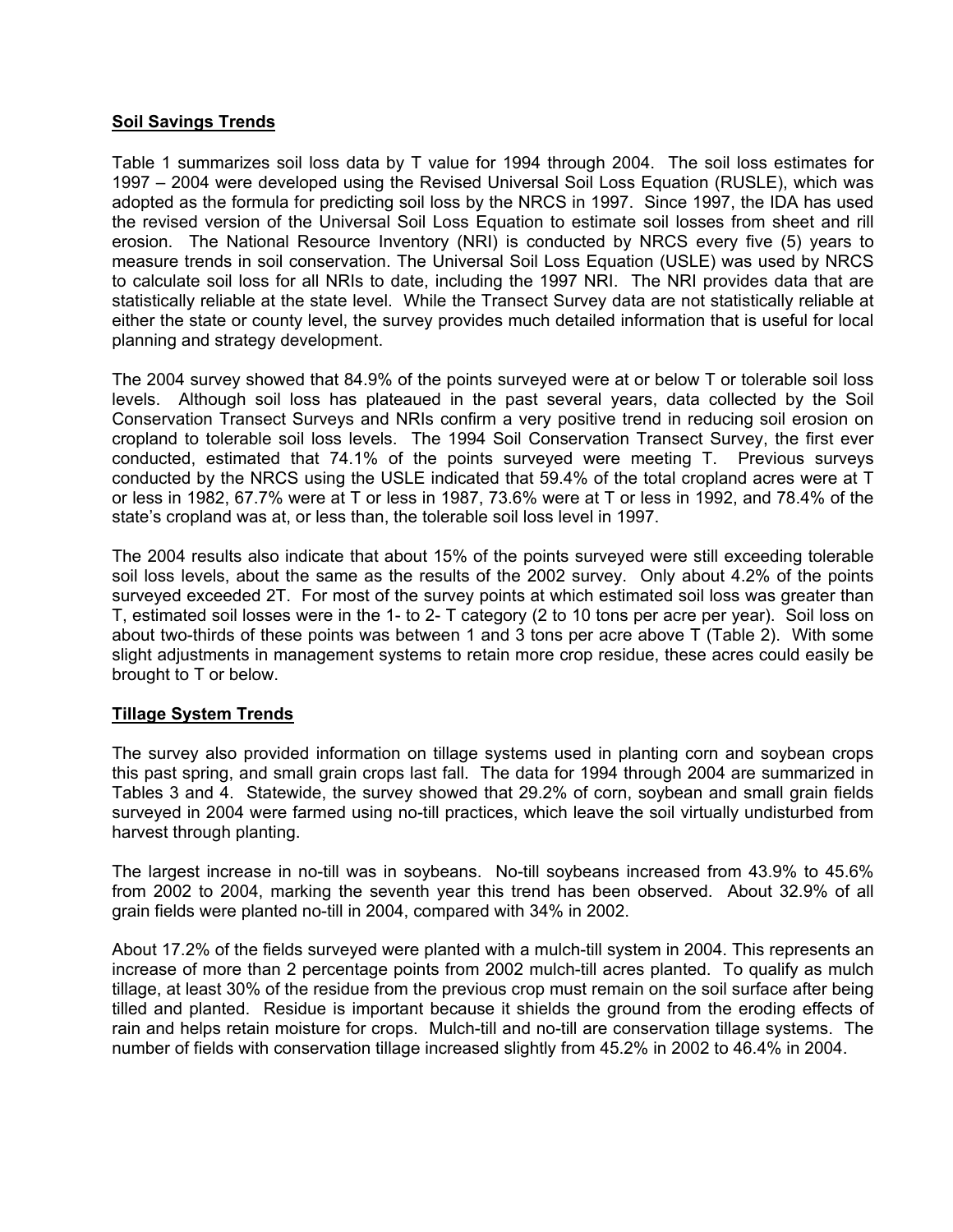#### **Soil Savings Trends**

Table 1 summarizes soil loss data by T value for 1994 through 2004. The soil loss estimates for 1997 – 2004 were developed using the Revised Universal Soil Loss Equation (RUSLE), which was adopted as the formula for predicting soil loss by the NRCS in 1997. Since 1997, the IDA has used the revised version of the Universal Soil Loss Equation to estimate soil losses from sheet and rill erosion. The National Resource Inventory (NRI) is conducted by NRCS every five (5) years to measure trends in soil conservation. The Universal Soil Loss Equation (USLE) was used by NRCS to calculate soil loss for all NRIs to date, including the 1997 NRI. The NRI provides data that are statistically reliable at the state level. While the Transect Survey data are not statistically reliable at either the state or county level, the survey provides much detailed information that is useful for local planning and strategy development.

The 2004 survey showed that 84.9% of the points surveyed were at or below T or tolerable soil loss levels. Although soil loss has plateaued in the past several years, data collected by the Soil Conservation Transect Surveys and NRIs confirm a very positive trend in reducing soil erosion on cropland to tolerable soil loss levels. The 1994 Soil Conservation Transect Survey, the first ever conducted, estimated that 74.1% of the points surveyed were meeting T. Previous surveys conducted by the NRCS using the USLE indicated that 59.4% of the total cropland acres were at T or less in 1982, 67.7% were at T or less in 1987, 73.6% were at T or less in 1992, and 78.4% of the state's cropland was at, or less than, the tolerable soil loss level in 1997.

The 2004 results also indicate that about 15% of the points surveyed were still exceeding tolerable soil loss levels, about the same as the results of the 2002 survey. Only about 4.2% of the points surveyed exceeded 2T. For most of the survey points at which estimated soil loss was greater than T, estimated soil losses were in the 1- to 2- T category (2 to 10 tons per acre per year). Soil loss on about two-thirds of these points was between 1 and 3 tons per acre above T (Table 2). With some slight adjustments in management systems to retain more crop residue, these acres could easily be brought to T or below.

#### **Tillage System Trends**

The survey also provided information on tillage systems used in planting corn and soybean crops this past spring, and small grain crops last fall. The data for 1994 through 2004 are summarized in Tables 3 and 4. Statewide, the survey showed that 29.2% of corn, soybean and small grain fields surveyed in 2004 were farmed using no-till practices, which leave the soil virtually undisturbed from harvest through planting.

The largest increase in no-till was in soybeans. No-till soybeans increased from 43.9% to 45.6% from 2002 to 2004, marking the seventh year this trend has been observed. About 32.9% of all grain fields were planted no-till in 2004, compared with 34% in 2002.

About 17.2% of the fields surveyed were planted with a mulch-till system in 2004. This represents an increase of more than 2 percentage points from 2002 mulch-till acres planted. To qualify as mulch tillage, at least 30% of the residue from the previous crop must remain on the soil surface after being tilled and planted. Residue is important because it shields the ground from the eroding effects of rain and helps retain moisture for crops. Mulch-till and no-till are conservation tillage systems. The number of fields with conservation tillage increased slightly from 45.2% in 2002 to 46.4% in 2004.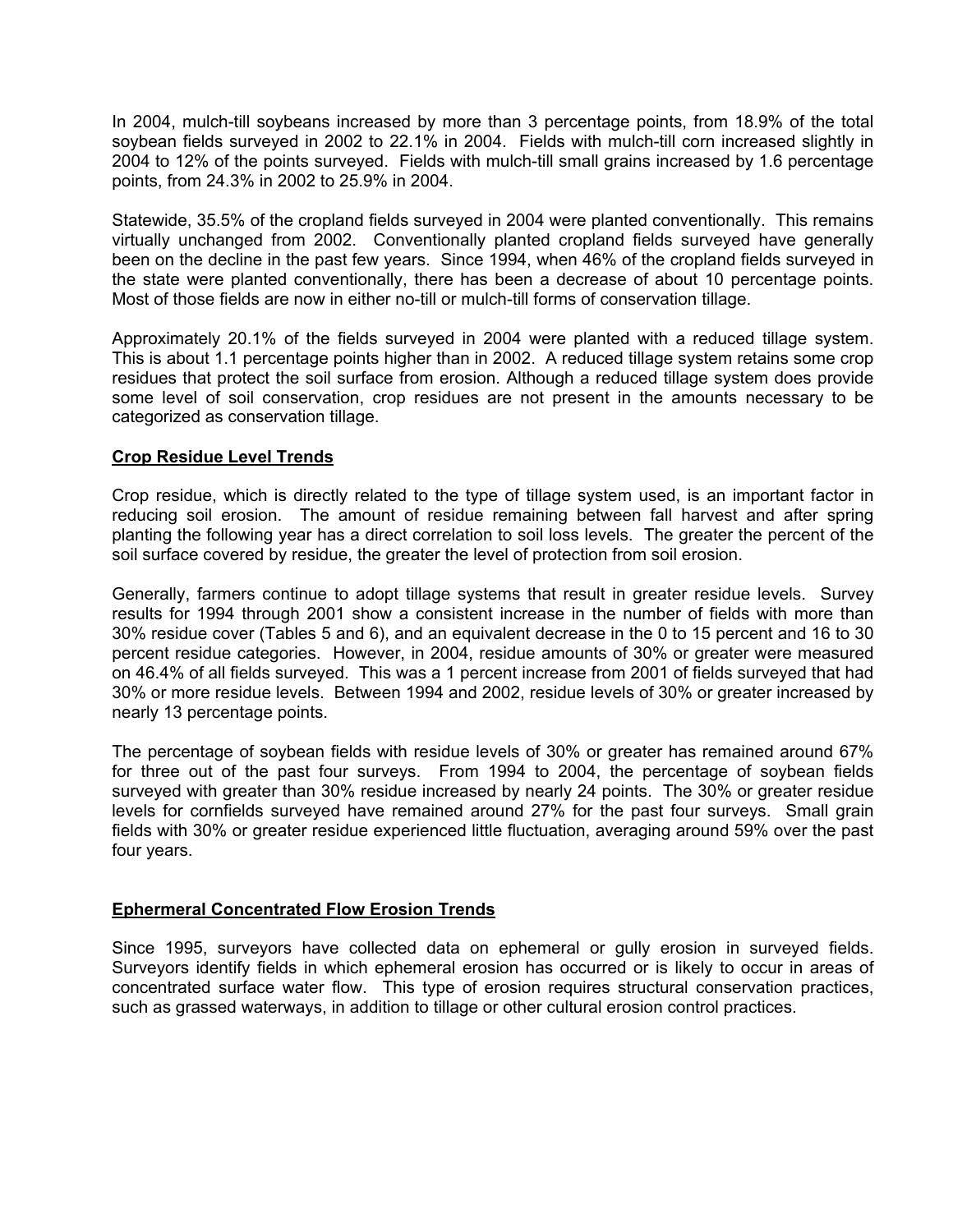In 2004, mulch-till soybeans increased by more than 3 percentage points, from 18.9% of the total soybean fields surveyed in 2002 to 22.1% in 2004. Fields with mulch-till corn increased slightly in 2004 to 12% of the points surveyed. Fields with mulch-till small grains increased by 1.6 percentage points, from 24.3% in 2002 to 25.9% in 2004.

Statewide, 35.5% of the cropland fields surveyed in 2004 were planted conventionally. This remains virtually unchanged from 2002. Conventionally planted cropland fields surveyed have generally been on the decline in the past few years. Since 1994, when 46% of the cropland fields surveyed in the state were planted conventionally, there has been a decrease of about 10 percentage points. Most of those fields are now in either no-till or mulch-till forms of conservation tillage.

Approximately 20.1% of the fields surveyed in 2004 were planted with a reduced tillage system. This is about 1.1 percentage points higher than in 2002. A reduced tillage system retains some crop residues that protect the soil surface from erosion. Although a reduced tillage system does provide some level of soil conservation, crop residues are not present in the amounts necessary to be categorized as conservation tillage.

#### **Crop Residue Level Trends**

Crop residue, which is directly related to the type of tillage system used, is an important factor in reducing soil erosion. The amount of residue remaining between fall harvest and after spring planting the following year has a direct correlation to soil loss levels. The greater the percent of the soil surface covered by residue, the greater the level of protection from soil erosion.

Generally, farmers continue to adopt tillage systems that result in greater residue levels. Survey results for 1994 through 2001 show a consistent increase in the number of fields with more than 30% residue cover (Tables 5 and 6), and an equivalent decrease in the 0 to 15 percent and 16 to 30 percent residue categories. However, in 2004, residue amounts of 30% or greater were measured on 46.4% of all fields surveyed. This was a 1 percent increase from 2001 of fields surveyed that had 30% or more residue levels. Between 1994 and 2002, residue levels of 30% or greater increased by nearly 13 percentage points.

The percentage of soybean fields with residue levels of 30% or greater has remained around 67% for three out of the past four surveys. From 1994 to 2004, the percentage of soybean fields surveyed with greater than 30% residue increased by nearly 24 points. The 30% or greater residue levels for cornfields surveyed have remained around 27% for the past four surveys. Small grain fields with 30% or greater residue experienced little fluctuation, averaging around 59% over the past four years.

#### **Ephermeral Concentrated Flow Erosion Trends**

Since 1995, surveyors have collected data on ephemeral or gully erosion in surveyed fields. Surveyors identify fields in which ephemeral erosion has occurred or is likely to occur in areas of concentrated surface water flow. This type of erosion requires structural conservation practices, such as grassed waterways, in addition to tillage or other cultural erosion control practices.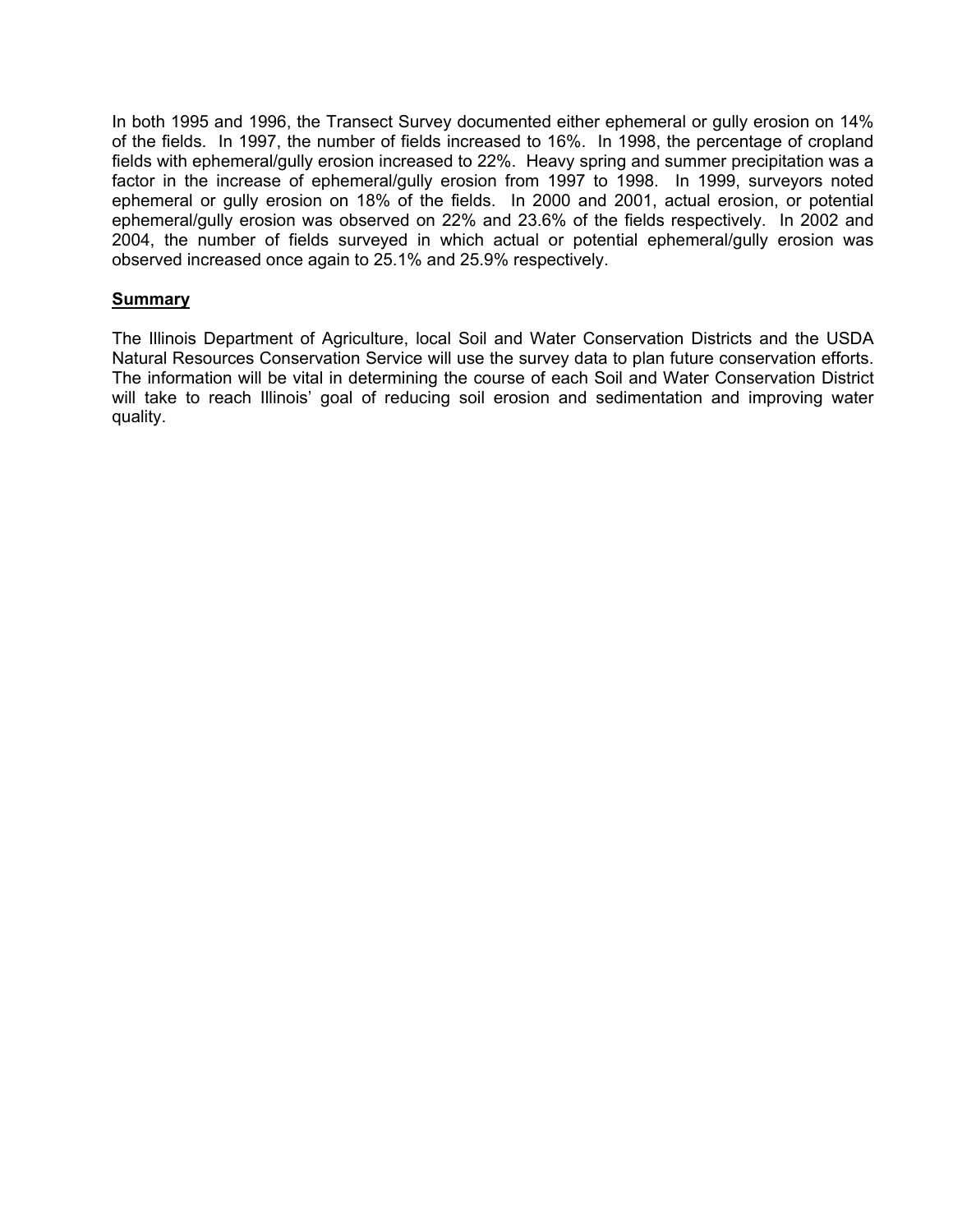In both 1995 and 1996, the Transect Survey documented either ephemeral or gully erosion on 14% of the fields. In 1997, the number of fields increased to 16%. In 1998, the percentage of cropland fields with ephemeral/gully erosion increased to 22%. Heavy spring and summer precipitation was a factor in the increase of ephemeral/gully erosion from 1997 to 1998. In 1999, surveyors noted ephemeral or gully erosion on 18% of the fields. In 2000 and 2001, actual erosion, or potential ephemeral/gully erosion was observed on 22% and 23.6% of the fields respectively. In 2002 and 2004, the number of fields surveyed in which actual or potential ephemeral/gully erosion was observed increased once again to 25.1% and 25.9% respectively.

#### **Summary**

The Illinois Department of Agriculture, local Soil and Water Conservation Districts and the USDA Natural Resources Conservation Service will use the survey data to plan future conservation efforts. The information will be vital in determining the course of each Soil and Water Conservation District will take to reach Illinois' goal of reducing soil erosion and sedimentation and improving water quality.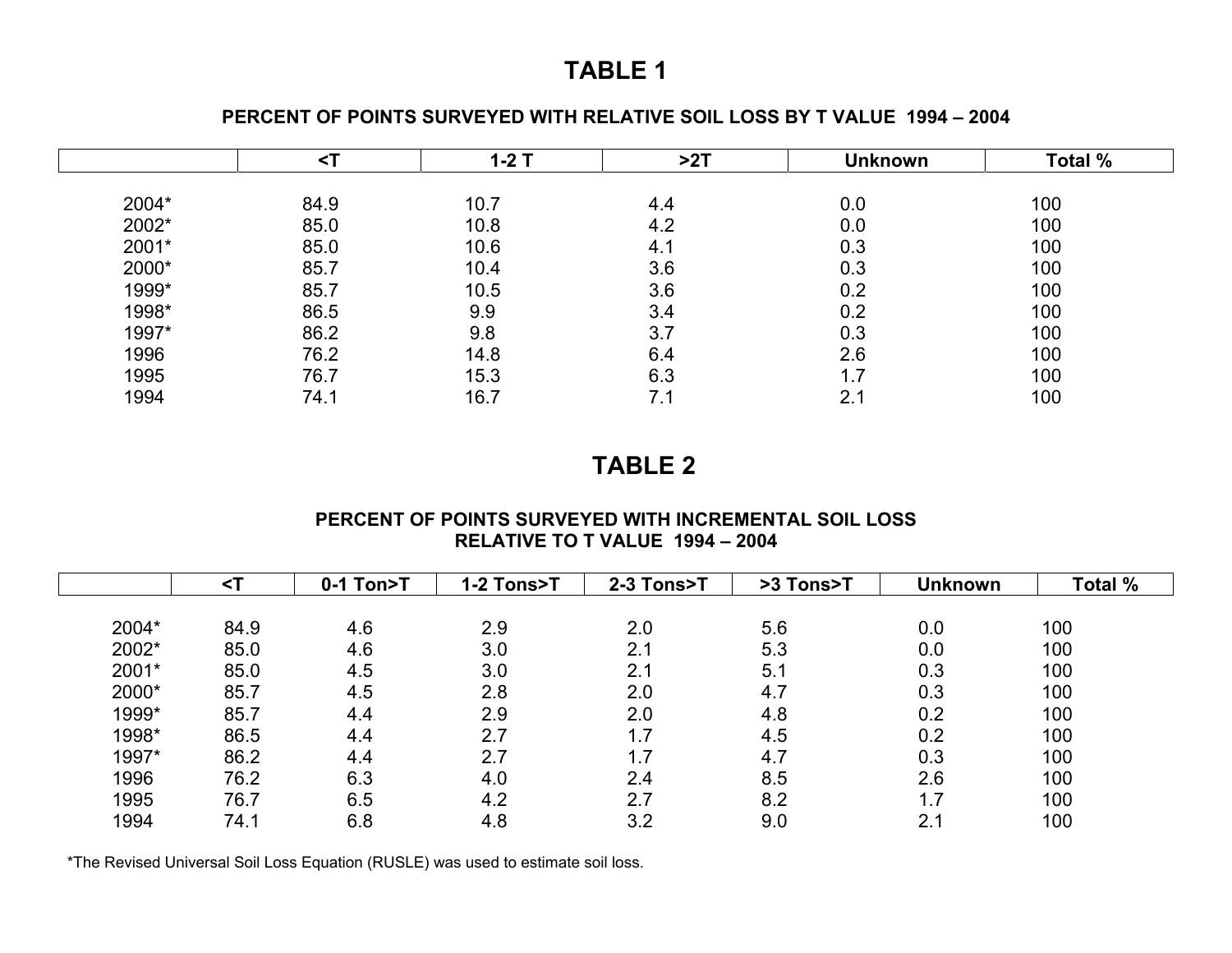## **PERCENT OF POINTS SURVEYED WITH RELATIVE SOIL LOSS BY T VALUE 1994 – 2004**

|       |      | $1-2$ T | >2T | <b>Unknown</b> | Total % |
|-------|------|---------|-----|----------------|---------|
| 2004* | 84.9 | 10.7    | 4.4 | 0.0            | 100     |
| 2002* | 85.0 | 10.8    | 4.2 | 0.0            | 100     |
| 2001* | 85.0 | 10.6    | 4.1 | 0.3            | 100     |
| 2000* | 85.7 | 10.4    | 3.6 | 0.3            | 100     |
| 1999* | 85.7 | 10.5    | 3.6 | 0.2            | 100     |
| 1998* | 86.5 | 9.9     | 3.4 | 0.2            | 100     |
| 1997* | 86.2 | 9.8     | 3.7 | 0.3            | 100     |
| 1996  | 76.2 | 14.8    | 6.4 | 2.6            | 100     |
| 1995  | 76.7 | 15.3    | 6.3 | 1.7            | 100     |
| 1994  | 74.1 | 16.7    | 7.1 | 2.1            | 100     |

# **TABLE 2**

#### **PERCENT OF POINTS SURVEYED WITH INCREMENTAL SOIL LOSS RELATIVE TO T VALUE 1994 – 2004**

|       |      | 0-1 Ton>T | 1-2 Tons>T | 2-3 Tons>T | >3 Tons>T | <b>Unknown</b> | Total % |
|-------|------|-----------|------------|------------|-----------|----------------|---------|
|       |      |           |            |            |           |                |         |
| 2004* | 84.9 | 4.6       | 2.9        | 2.0        | 5.6       | 0.0            | 100     |
| 2002* | 85.0 | 4.6       | 3.0        | 2.1        | 5.3       | 0.0            | 100     |
| 2001* | 85.0 | 4.5       | 3.0        | 2.1        | 5.1       | 0.3            | 100     |
| 2000* | 85.7 | 4.5       | 2.8        | 2.0        | 4.7       | 0.3            | 100     |
| 1999* | 85.7 | 4.4       | 2.9        | 2.0        | 4.8       | 0.2            | 100     |
| 1998* | 86.5 | 4.4       | 2.7        | 1.7<br>◢   | 4.5       | 0.2            | 100     |
| 1997* | 86.2 | 4.4       | 2.7        | 1.7        | 4.7       | 0.3            | 100     |
| 1996  | 76.2 | 6.3       | 4.0        | 2.4        | 8.5       | 2.6            | 100     |
| 1995  | 76.7 | 6.5       | 4.2        | 2.7        | 8.2       | 1.7            | 100     |
| 1994  | 74.1 | 6.8       | 4.8        | 3.2        | 9.0       | 2.1            | 100     |

\*The Revised Universal Soil Loss Equation (RUSLE) was used to estimate soil loss.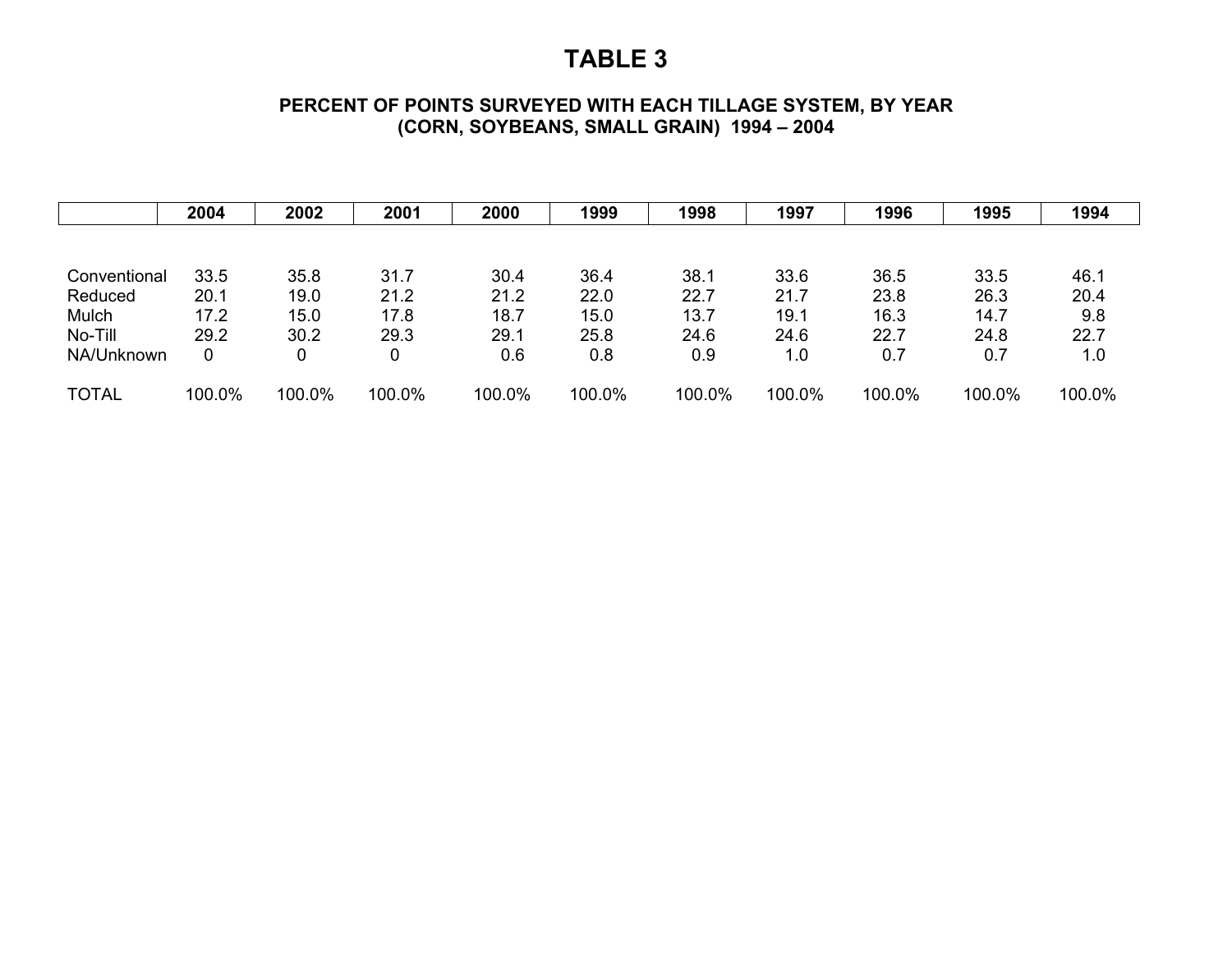## **PERCENT OF POINTS SURVEYED WITH EACH TILLAGE SYSTEM, BY YEAR (CORN, SOYBEANS, SMALL GRAIN) 1994 – 2004**

|              | 2004   | 2002   | 2001   | 2000   | 1999   | 1998   | 1997   | 1996   | 1995   | 1994   |
|--------------|--------|--------|--------|--------|--------|--------|--------|--------|--------|--------|
|              |        |        |        |        |        |        |        |        |        |        |
| Conventional | 33.5   | 35.8   | 31.7   | 30.4   | 36.4   | 38.1   | 33.6   | 36.5   | 33.5   | 46.1   |
| Reduced      | 20.1   | 19.0   | 21.2   | 21.2   | 22.0   | 22.7   | 21.7   | 23.8   | 26.3   | 20.4   |
| Mulch        | 17.2   | 15.0   | 17.8   | 18.7   | 15.0   | 13.7   | 19.1   | 16.3   | 14.7   | 9.8    |
| No-Till      | 29.2   | 30.2   | 29.3   | 29.1   | 25.8   | 24.6   | 24.6   | 22.7   | 24.8   | 22.7   |
| NA/Unknown   | 0      | 0      | 0      | 0.6    | 0.8    | 0.9    | 1.0    | 0.7    | 0.7    | 1.0    |
| <b>TOTAL</b> | 100.0% | 100.0% | 100.0% | 100.0% | 100.0% | 100.0% | 100.0% | 100.0% | 100.0% | 100.0% |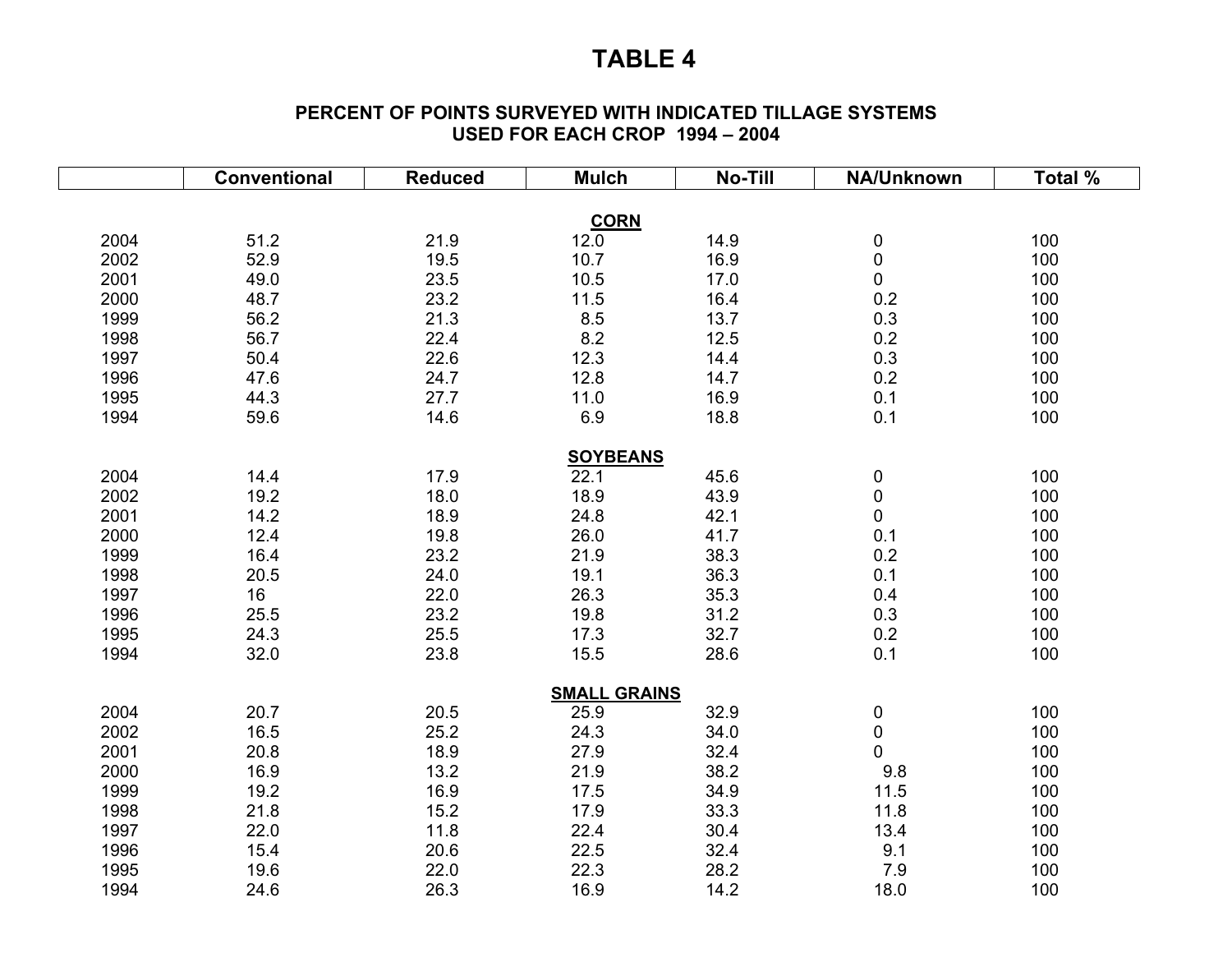#### **PERCENT OF POINTS SURVEYED WITH INDICATED TILLAGE SYSTEMS USED FOR EACH CROP 1994 – 2004**

|      | <b>Conventional</b> | <b>Reduced</b> | <b>Mulch</b>        | <b>No-Till</b> | NA/Unknown | Total % |
|------|---------------------|----------------|---------------------|----------------|------------|---------|
|      |                     |                |                     |                |            |         |
|      |                     |                | <b>CORN</b>         |                |            |         |
| 2004 | 51.2                | 21.9           | 12.0                | 14.9           | $\pmb{0}$  | 100     |
| 2002 | 52.9                | 19.5           | 10.7                | 16.9           | $\pmb{0}$  | 100     |
| 2001 | 49.0                | 23.5           | 10.5                | 17.0           | $\pmb{0}$  | 100     |
| 2000 | 48.7                | 23.2           | 11.5                | 16.4           | 0.2        | 100     |
| 1999 | 56.2                | 21.3           | 8.5                 | 13.7           | 0.3        | 100     |
| 1998 | 56.7                | 22.4           | 8.2                 | 12.5           | 0.2        | 100     |
| 1997 | 50.4                | 22.6           | 12.3                | 14.4           | 0.3        | 100     |
| 1996 | 47.6                | 24.7           | 12.8                | 14.7           | 0.2        | 100     |
| 1995 | 44.3                | 27.7           | 11.0                | 16.9           | 0.1        | 100     |
| 1994 | 59.6                | 14.6           | 6.9                 | 18.8           | 0.1        | 100     |
|      |                     |                | <b>SOYBEANS</b>     |                |            |         |
| 2004 | 14.4                | 17.9           | 22.1                | 45.6           | $\pmb{0}$  | 100     |
| 2002 | 19.2                | 18.0           | 18.9                | 43.9           | $\pmb{0}$  | 100     |
| 2001 | 14.2                | 18.9           | 24.8                | 42.1           | $\pmb{0}$  | 100     |
| 2000 | 12.4                | 19.8           | 26.0                | 41.7           | 0.1        | 100     |
| 1999 | 16.4                | 23.2           | 21.9                | 38.3           | 0.2        | 100     |
| 1998 | 20.5                | 24.0           | 19.1                | 36.3           | 0.1        | 100     |
| 1997 | 16                  | 22.0           | 26.3                | 35.3           | 0.4        | 100     |
| 1996 | 25.5                | 23.2           | 19.8                | 31.2           | 0.3        | 100     |
| 1995 | 24.3                | 25.5           | 17.3                | 32.7           | 0.2        | 100     |
| 1994 | 32.0                | 23.8           | 15.5                | 28.6           | 0.1        | 100     |
|      |                     |                |                     |                |            |         |
|      |                     |                | <b>SMALL GRAINS</b> |                |            |         |
| 2004 | 20.7                | 20.5           | 25.9                | 32.9           | 0          | 100     |
| 2002 | 16.5                | 25.2           | 24.3                | 34.0           | $\pmb{0}$  | 100     |
| 2001 | 20.8                | 18.9           | 27.9                | 32.4           | 0          | 100     |
| 2000 | 16.9                | 13.2           | 21.9                | 38.2           | 9.8        | 100     |
| 1999 | 19.2                | 16.9           | 17.5                | 34.9           | 11.5       | 100     |
| 1998 | 21.8                | 15.2           | 17.9                | 33.3           | 11.8       | 100     |
| 1997 | 22.0                | 11.8           | 22.4                | 30.4           | 13.4       | 100     |
| 1996 | 15.4                | 20.6           | 22.5                | 32.4           | 9.1        | 100     |
| 1995 | 19.6                | 22.0           | 22.3                | 28.2           | 7.9        | 100     |
| 1994 | 24.6                | 26.3           | 16.9                | 14.2           | 18.0       | 100     |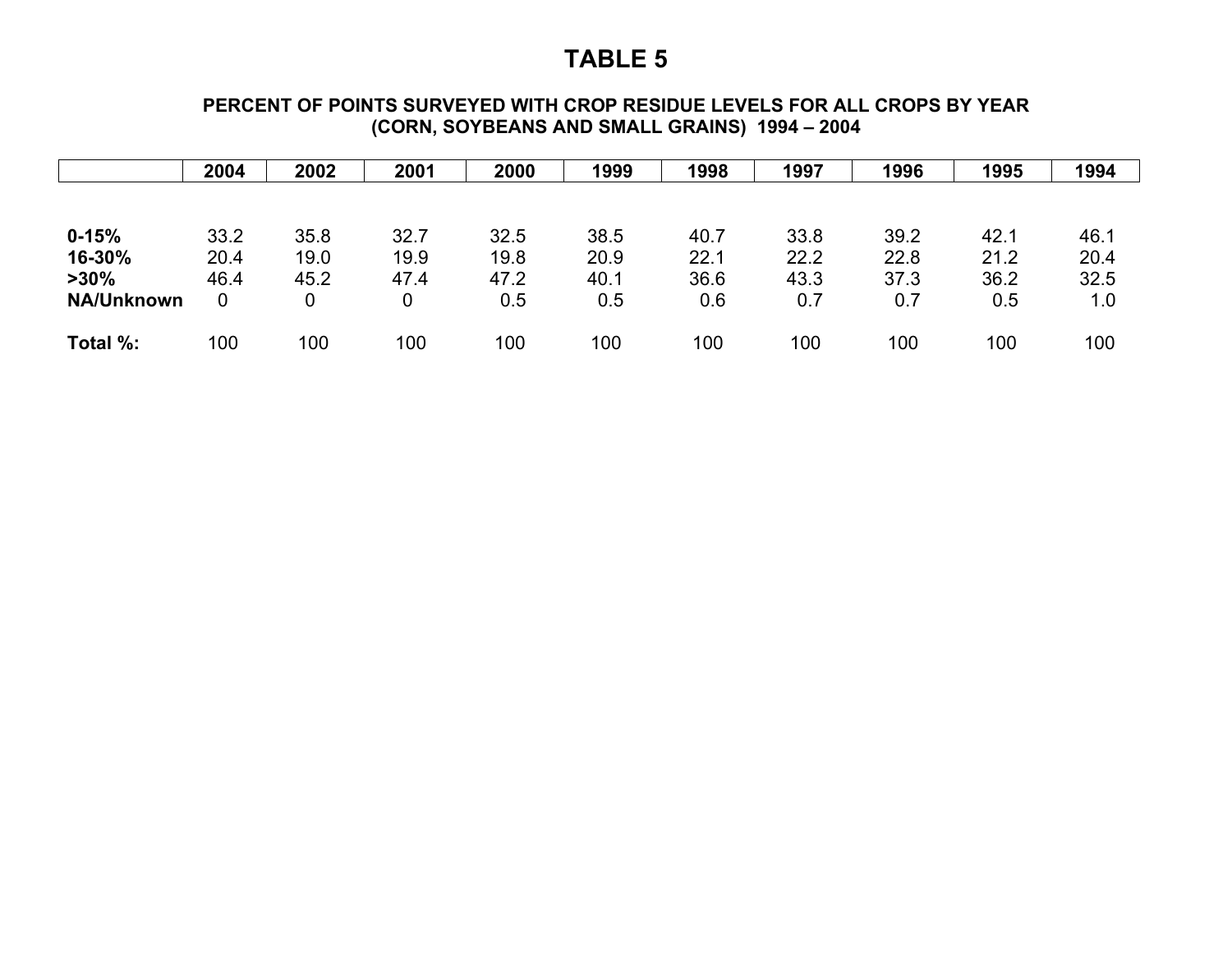#### **PERCENT OF POINTS SURVEYED WITH CROP RESIDUE LEVELS FOR ALL CROPS BY YEAR (CORN, SOYBEANS AND SMALL GRAINS) 1994 – 2004**

|                   | 2004 | 2002 | 2001 | 2000 | 1999 | 1998 | 1997 | 1996 | 1995 | 1994 |
|-------------------|------|------|------|------|------|------|------|------|------|------|
|                   |      |      |      |      |      |      |      |      |      |      |
| $0 - 15%$         | 33.2 | 35.8 | 32.7 | 32.5 | 38.5 | 40.7 | 33.8 | 39.2 | 42.1 | 46.1 |
| 16-30%            | 20.4 | 19.0 | 19.9 | 19.8 | 20.9 | 22.1 | 22.2 | 22.8 | 21.2 | 20.4 |
| $>30\%$           | 46.4 | 45.2 | 47.4 | 47.2 | 40.1 | 36.6 | 43.3 | 37.3 | 36.2 | 32.5 |
| <b>NA/Unknown</b> | 0    | 0    | 0    | 0.5  | 0.5  | 0.6  | 0.7  | 0.7  | 0.5  | 1.0  |
| Total %:          | 100  | 100  | 100  | 100  | 100  | 100  | 100  | 100  | 100  | 100  |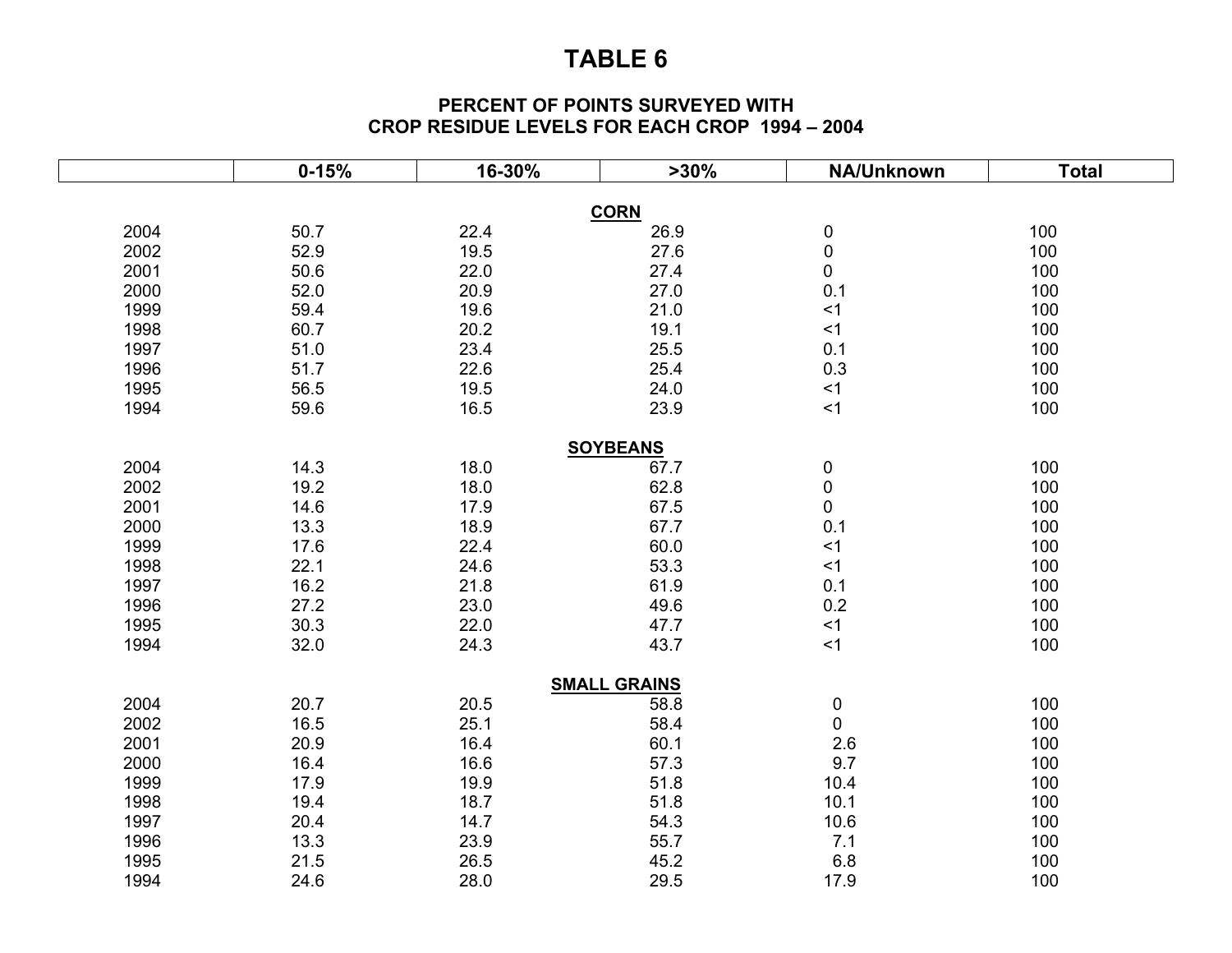#### **PERCENT OF POINTS SURVEYED WITH CROP RESIDUE LEVELS FOR EACH CROP 1994 – 2004**

|      | $0 - 15%$ | 16-30% | $>30\%$             | NA/Unknown | <b>Total</b> |
|------|-----------|--------|---------------------|------------|--------------|
|      |           |        | <b>CORN</b>         |            |              |
| 2004 | 50.7      | 22.4   | 26.9                | $\pmb{0}$  | 100          |
| 2002 | 52.9      | 19.5   | 27.6                | $\pmb{0}$  | 100          |
| 2001 | 50.6      | 22.0   | 27.4                | 0          | 100          |
| 2000 | 52.0      | 20.9   | 27.0                | 0.1        | 100          |
| 1999 | 59.4      | 19.6   | 21.0                | <1         | 100          |
| 1998 | 60.7      | 20.2   | 19.1                | <1         | 100          |
| 1997 | 51.0      | 23.4   | 25.5                | 0.1        | 100          |
| 1996 | 51.7      | 22.6   | 25.4                | 0.3        | 100          |
| 1995 | 56.5      | 19.5   | 24.0                | <1         | 100          |
| 1994 | 59.6      | 16.5   | 23.9                | $<$ 1      | 100          |
|      |           |        | <b>SOYBEANS</b>     |            |              |
| 2004 | 14.3      | 18.0   | 67.7                | 0          | 100          |
| 2002 | 19.2      | 18.0   | 62.8                | $\pmb{0}$  | 100          |
| 2001 | 14.6      | 17.9   | 67.5                | 0          | 100          |
| 2000 | 13.3      | 18.9   | 67.7                | 0.1        | 100          |
| 1999 | 17.6      | 22.4   | 60.0                | < 1        | 100          |
| 1998 | 22.1      | 24.6   | 53.3                | <1         | 100          |
| 1997 | 16.2      | 21.8   | 61.9                | 0.1        | 100          |
| 1996 | 27.2      | 23.0   | 49.6                | 0.2        | 100          |
| 1995 | 30.3      | 22.0   | 47.7                | <1         | 100          |
| 1994 | 32.0      | 24.3   | 43.7                | <1         | 100          |
|      |           |        |                     |            |              |
|      |           |        | <b>SMALL GRAINS</b> |            |              |
| 2004 | 20.7      | 20.5   | 58.8                | 0          | 100          |
| 2002 | 16.5      | 25.1   | 58.4                | $\pmb{0}$  | 100          |
| 2001 | 20.9      | 16.4   | 60.1                | 2.6        | 100          |
| 2000 | 16.4      | 16.6   | 57.3                | 9.7        | 100          |
| 1999 | 17.9      | 19.9   | 51.8                | 10.4       | 100          |
| 1998 | 19.4      | 18.7   | 51.8                | 10.1       | 100          |
| 1997 | 20.4      | 14.7   | 54.3                | 10.6       | 100          |
| 1996 | 13.3      | 23.9   | 55.7                | 7.1        | 100          |
| 1995 | 21.5      | 26.5   | 45.2                | 6.8        | 100          |
| 1994 | 24.6      | 28.0   | 29.5                | 17.9       | 100          |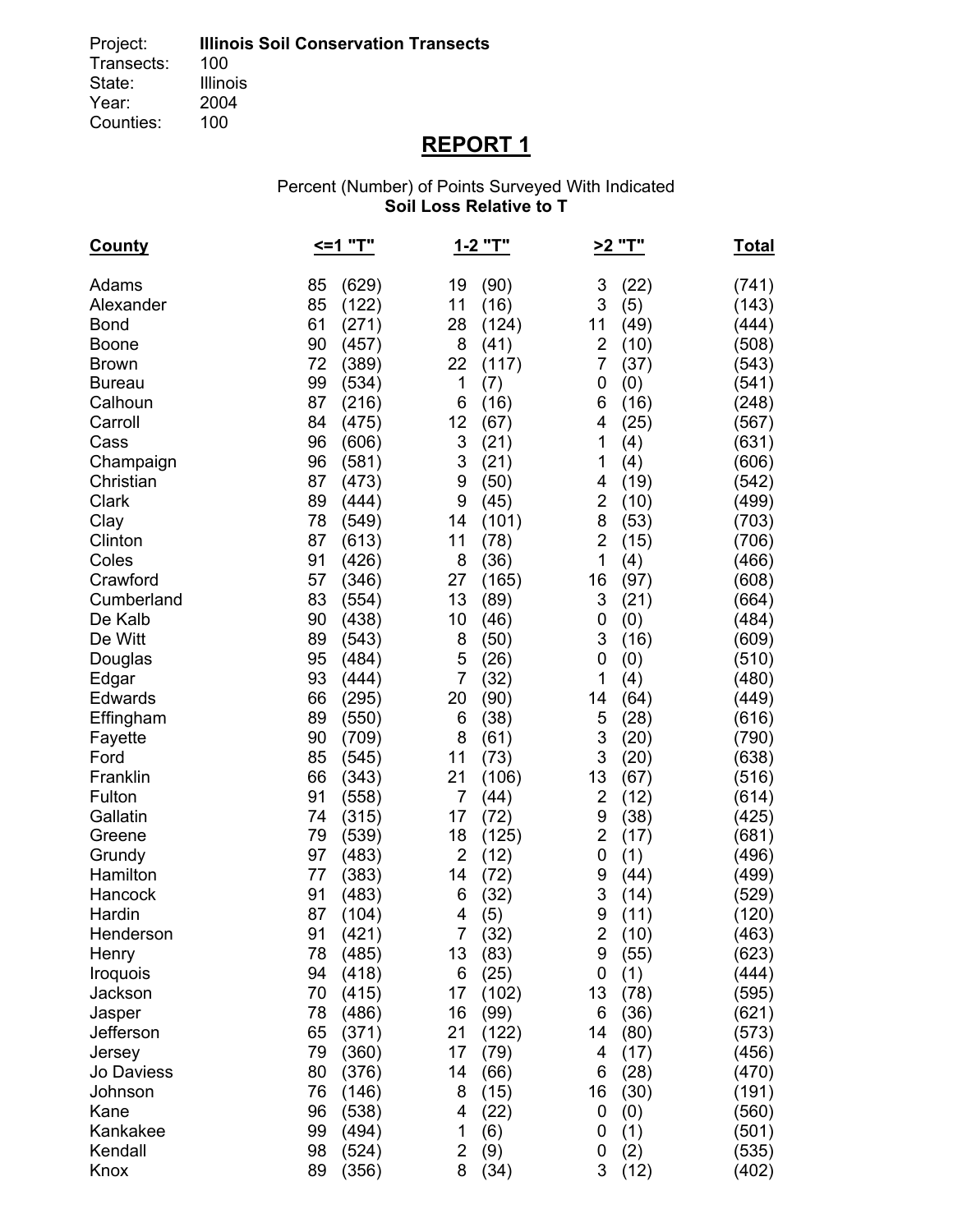# **REPORT 1**

#### Percent (Number) of Points Surveyed With Indicated **Soil Loss Relative to T**

| <b>County</b> | <=1 "T"     |                | 1-2 "T" | >2 "T"                  |      | <u>Total</u> |
|---------------|-------------|----------------|---------|-------------------------|------|--------------|
| Adams         | 85<br>(629) | 19             | (90)    | 3                       | (22) | (741)        |
| Alexander     | 85<br>(122) | 11             | (16)    | 3                       | (5)  | (143)        |
| <b>Bond</b>   | 61<br>(271) | 28             | (124)   | 11                      | (49) | (444)        |
| <b>Boone</b>  | 90<br>(457) | 8              | (41)    | 2                       | (10) | (508)        |
| <b>Brown</b>  | 72<br>(389) | 22             | (117)   | 7                       | (37) | (543)        |
| <b>Bureau</b> | 99<br>(534) | 1              | (7)     | 0                       | (0)  | (541)        |
| Calhoun       | 87<br>(216) | 6              | (16)    | 6                       | (16) | (248)        |
| Carroll       | 84<br>(475) | 12             | (67)    | 4                       | (25) | (567)        |
| Cass          | 96<br>(606) | 3              | (21)    | 1                       | (4)  | (631)        |
| Champaign     | 96<br>(581) | 3              | (21)    | 1                       | (4)  | (606)        |
| Christian     | 87<br>(473) | 9              | (50)    | 4                       | (19) | (542)        |
| Clark         | 89<br>(444) | 9              | (45)    | $\overline{\mathbf{c}}$ | (10) | (499)        |
| Clay          | (549)<br>78 | 14             | (101)   | 8                       | (53) | (703)        |
| Clinton       | (613)<br>87 | 11             | (78)    | $\overline{2}$          | (15) | (706)        |
| Coles         | 91<br>(426) | 8              | (36)    | 1                       | (4)  | (466)        |
| Crawford      | 57<br>(346) | 27             | (165)   | 16                      | (97) | (608)        |
| Cumberland    | 83<br>(554) | 13             | (89)    | 3                       | (21) | (664)        |
| De Kalb       | 90<br>(438) | 10             | (46)    | 0                       | (0)  | (484)        |
| De Witt       | 89<br>(543) | 8              | (50)    | 3                       | (16) | (609)        |
| Douglas       | 95<br>(484) | 5              | (26)    | 0                       | (0)  | (510)        |
| Edgar         | 93<br>(444) | $\overline{7}$ | (32)    | 1                       | (4)  | (480)        |
| Edwards       | 66<br>(295) | 20             | (90)    | 14                      | (64) | (449)        |
| Effingham     | 89<br>(550) | 6              | (38)    | 5                       | (28) | (616)        |
| Fayette       | 90<br>(709) | 8              | (61)    | 3                       | (20) | (790)        |
| Ford          | 85<br>(545) | 11             | (73)    | 3                       | (20) | (638)        |
| Franklin      | 66<br>(343) | 21             | (106)   | 13                      | (67) | (516)        |
| Fulton        | 91<br>(558) | 7              | (44)    | $\overline{2}$          | (12) | (614)        |
| Gallatin      | 74<br>(315) | 17             | (72)    | 9                       | (38) | (425)        |
| Greene        | 79<br>(539) | 18             | (125)   | 2                       | (17) | (681)        |
| Grundy        | 97<br>(483) | $\overline{2}$ | (12)    | 0                       | (1)  | (496)        |
| Hamilton      | 77<br>(383) | 14             | (72)    | 9                       | (44) | (499)        |
| Hancock       | 91<br>(483) | 6              | (32)    | 3                       | (14) | (529)        |
| Hardin        | 87<br>(104) | 4              | (5)     | 9                       | (11) | (120)        |
| Henderson     | 91<br>(421) | $\overline{7}$ | (32)    | $\overline{2}$          | (10) | (463)        |
| Henry         | 78<br>(485) | 13             | (83)    | 9                       | (55) | (623)        |
| Iroquois      | 94<br>(418) | 6              | (25)    | 0                       | (1)  | (444)        |
| Jackson       | 70<br>(415) | 17             | (102)   | 13                      | (78) | (595)        |
| Jasper        | 78<br>(486) | 16             | (99)    | 6                       | (36) | (621)        |
| Jefferson     | 65<br>(371) | 21             | (122)   | 14                      | (80) | (573)        |
| Jersey        | (360)<br>79 | 17             | (79)    | 4                       | (17) | (456)        |
| Jo Daviess    | 80<br>(376) | 14             | (66)    | 6                       | (28) | (470)        |
| Johnson       | (146)<br>76 | 8              | (15)    | 16                      | (30) | (191)        |
| Kane          | 96<br>(538) | 4              | (22)    | 0                       | (0)  | (560)        |
| Kankakee      | 99<br>(494) | 1              | (6)     | 0                       | (1)  | (501)        |
| Kendall       | 98<br>(524) | $\overline{2}$ | (9)     | 0                       | (2)  | (535)        |
| Knox          | 89<br>(356) | 8              | (34)    | 3                       | (12) | (402)        |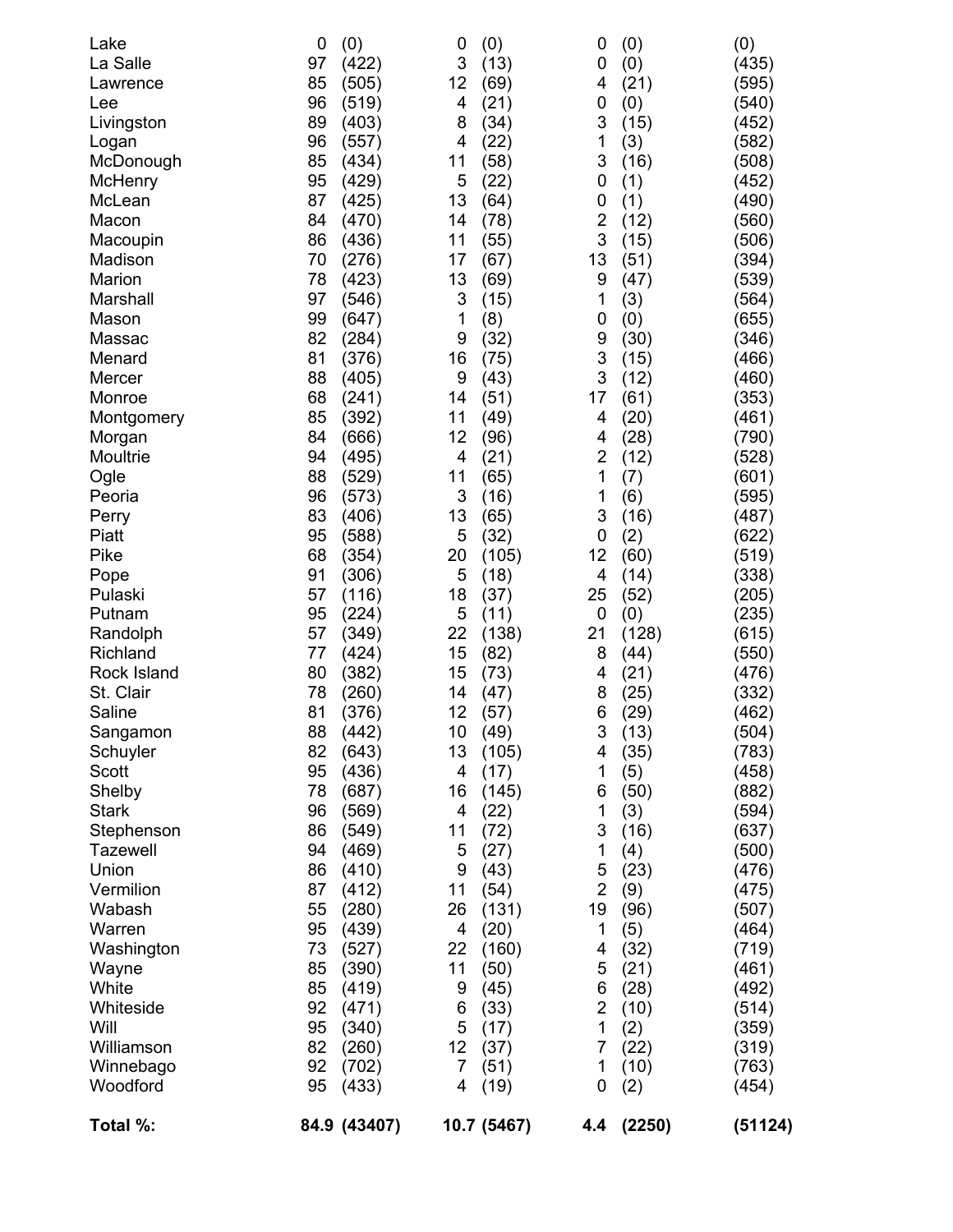| Lake            | 0  | (0)          | 0              | (0)         | 0              | (0)    | (0)     |
|-----------------|----|--------------|----------------|-------------|----------------|--------|---------|
| La Salle        | 97 | (422)        | 3              | (13)        | 0              | (0)    | (435)   |
| Lawrence        | 85 | (505)        | 12             | (69)        | 4              | (21)   | (595)   |
| Lee             | 96 | (519)        | 4              | (21)        | 0              | (0)    | (540)   |
| Livingston      | 89 | (403)        | 8              | (34)        | 3              | (15)   | (452)   |
| Logan           | 96 | (557)        | 4              | (22)        | 1              | (3)    | (582)   |
| McDonough       | 85 | (434)        | 11             | (58)        | 3              | (16)   | (508)   |
| McHenry         | 95 | (429)        | 5              | (22)        | 0              | (1)    | (452)   |
| McLean          | 87 | (425)        | 13             | (64)        | 0              | (1)    | (490)   |
| Macon           | 84 | (470)        | 14             | (78)        | $\overline{2}$ | (12)   | (560)   |
| Macoupin        | 86 | (436)        | 11             | (55)        | 3              | (15)   | (506)   |
| Madison         | 70 | (276)        | 17             | (67)        | 13             | (51)   | (394)   |
| Marion          | 78 | (423)        | 13             | (69)        | 9              | (47)   | (539)   |
| Marshall        | 97 | (546)        | 3              | (15)        | 1              | (3)    | (564)   |
| Mason           | 99 | (647)        | 1              | (8)         | 0              | (0)    | (655)   |
| Massac          | 82 | (284)        | 9              | (32)        | 9              | (30)   | (346)   |
| Menard          | 81 | (376)        | 16             | (75)        | 3              | (15)   | (466)   |
| Mercer          | 88 | (405)        | 9              | (43)        | 3              | (12)   | (460)   |
| Monroe          | 68 | (241)        | 14             | (51)        | 17             | (61)   | (353)   |
| Montgomery      | 85 | (392)        | 11             | (49)        | 4              | (20)   | (461)   |
| Morgan          | 84 | (666)        | 12             | (96)        | 4              | (28)   | (790)   |
| Moultrie        | 94 | (495)        | 4              | (21)        | $\overline{2}$ | (12)   | (528)   |
| Ogle            | 88 | (529)        | 11             | (65)        | 1              | (7)    | (601)   |
| Peoria          | 96 | (573)        | 3              | (16)        | 1              | (6)    | (595)   |
| Perry           | 83 | (406)        | 13             | (65)        | 3              | (16)   | (487)   |
| Piatt           | 95 | (588)        | 5              | (32)        | 0              | (2)    | (622)   |
| Pike            | 68 | (354)        | 20             | (105)       | 12             | (60)   | (519)   |
| Pope            | 91 | (306)        | 5              | (18)        | 4              | (14)   | (338)   |
| Pulaski         | 57 | (116)        | 18             | (37)        | 25             | (52)   | (205)   |
| Putnam          | 95 | (224)        | 5              | (11)        | 0              | (0)    | (235)   |
| Randolph        | 57 | (349)        | 22             | (138)       | 21             | (128)  | (615)   |
| Richland        | 77 | (424)        | 15             | (82)        | 8              | (44)   | (550)   |
| Rock Island     | 80 | (382)        | 15             | (73)        | 4              | (21)   | (476)   |
| St. Clair       | 78 | (260)        | 14             | (47)        | 8              | (25)   | (332)   |
| Saline          | 81 | (376)        | 12             | (57)        | 6              | (29)   | (462)   |
| Sangamon        | 88 | (442)        | 10             | (49)        | 3              | (13)   | (504)   |
| Schuyler        | 82 | (643)        | 13             | (105)       | 4              | (35)   | (783)   |
| Scott           | 95 | (436)        | 4              | (17)        | 1              | (5)    | (458)   |
| Shelby          | 78 | (687)        | 16             | (145)       | 6              | (50)   | (882)   |
| <b>Stark</b>    | 96 | (569)        | 4              | (22)        | 1              | (3)    | (594)   |
| Stephenson      | 86 | (549)        | 11             | (72)        | 3              | (16)   | (637)   |
| <b>Tazewell</b> | 94 | (469)        | 5              | (27)        | 1              | (4)    | (500)   |
| Union           | 86 | (410)        | 9              | (43)        | 5              | (23)   | (476)   |
| Vermilion       | 87 | (412)        | 11             | (54)        | $\overline{2}$ | (9)    | (475)   |
| Wabash          | 55 | (280)        | 26             | (131)       | 19             | (96)   | (507)   |
| Warren          | 95 | (439)        | 4              | (20)        | 1              | (5)    | (464)   |
| Washington      | 73 | (527)        | 22             | (160)       | 4              | (32)   | (719)   |
| Wayne           | 85 | (390)        | 11             | (50)        | 5              | (21)   | (461)   |
| White           | 85 | (419)        | 9              | (45)        | 6              | (28)   | (492)   |
| Whiteside       | 92 | (471)        | 6              | (33)        | 2              | (10)   | (514)   |
| Will            | 95 | (340)        | 5              | (17)        | 1              | (2)    | (359)   |
| Williamson      | 82 | (260)        | 12             | (37)        | 7              | (22)   | (319)   |
| Winnebago       | 92 | (702)        | $\overline{7}$ | (51)        | 1              | (10)   | (763)   |
| Woodford        | 95 | (433)        | 4              | (19)        | 0              | (2)    | (454)   |
| Total %:        |    | 84.9 (43407) |                | 10.7 (5467) | 4.4            | (2250) | (51124) |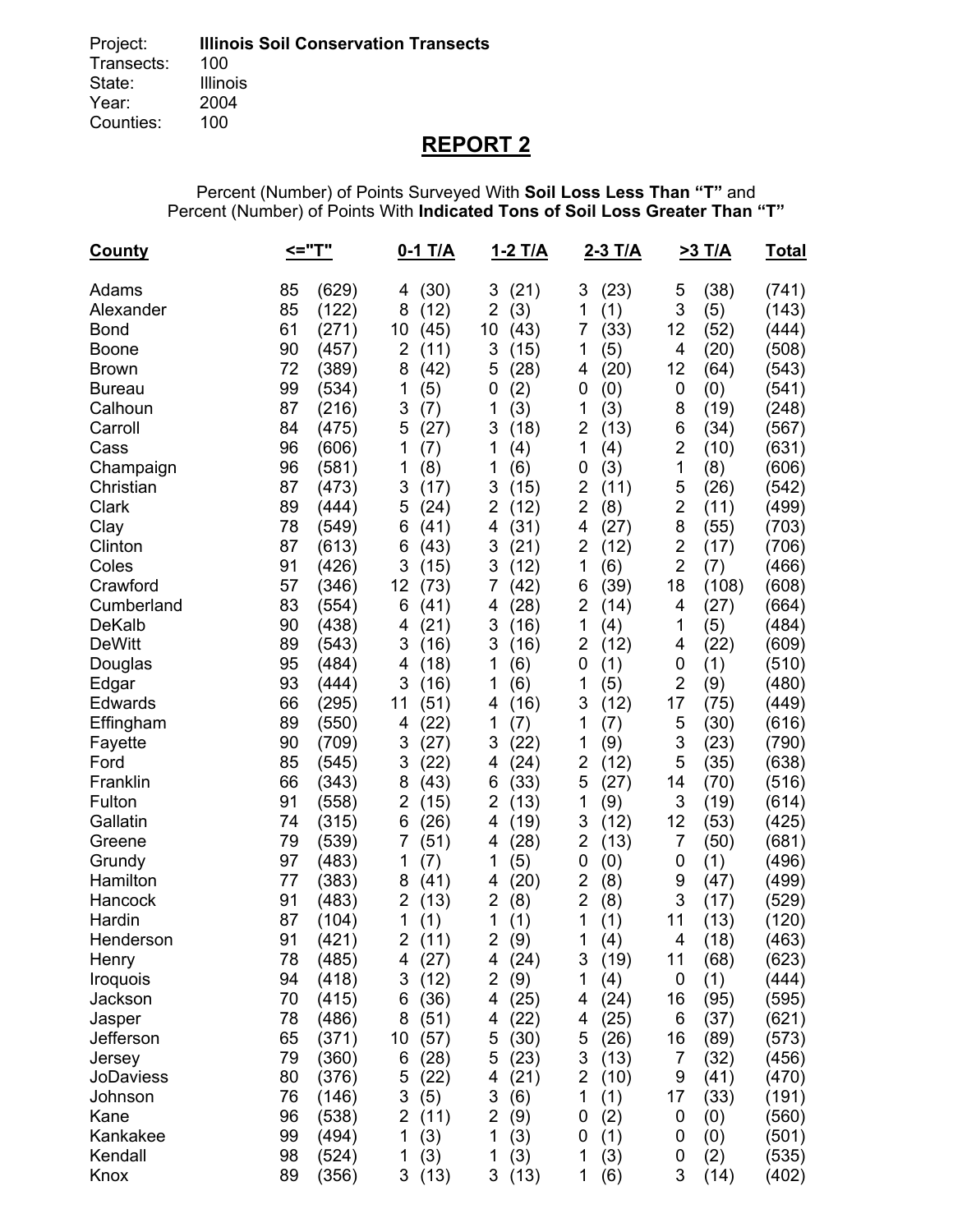# **REPORT 2**

Percent (Number) of Points Surveyed With **Soil Loss Less Than "T"** and Percent (Number) of Points With **Indicated Tons of Soil Loss Greater Than "T"** 

| <u>County</u>                                                                                                                                                                                                                                                                                                                                                                                     | <="T"                                                                                                                                                                                                                                                                                                                                                                                                                                                                                                       | 0-1 T/A                                                                                                                                                                                                                                                                                                                                                                                                                                             | 1-2 T/A                                                                                                                                                                                                                                                                                                                                                                                                                                                                | 2-3 T/A                                                                                                                                                                                                                                                                                                                                                                                                                                                                     | <b>&gt;3 T/A</b>                                                                                                                                                                                                                                                                                                                                                                                                                                                                                                        | <u>Total</u>                                                                                                                                                                                                                                                                                          |
|---------------------------------------------------------------------------------------------------------------------------------------------------------------------------------------------------------------------------------------------------------------------------------------------------------------------------------------------------------------------------------------------------|-------------------------------------------------------------------------------------------------------------------------------------------------------------------------------------------------------------------------------------------------------------------------------------------------------------------------------------------------------------------------------------------------------------------------------------------------------------------------------------------------------------|-----------------------------------------------------------------------------------------------------------------------------------------------------------------------------------------------------------------------------------------------------------------------------------------------------------------------------------------------------------------------------------------------------------------------------------------------------|------------------------------------------------------------------------------------------------------------------------------------------------------------------------------------------------------------------------------------------------------------------------------------------------------------------------------------------------------------------------------------------------------------------------------------------------------------------------|-----------------------------------------------------------------------------------------------------------------------------------------------------------------------------------------------------------------------------------------------------------------------------------------------------------------------------------------------------------------------------------------------------------------------------------------------------------------------------|-------------------------------------------------------------------------------------------------------------------------------------------------------------------------------------------------------------------------------------------------------------------------------------------------------------------------------------------------------------------------------------------------------------------------------------------------------------------------------------------------------------------------|-------------------------------------------------------------------------------------------------------------------------------------------------------------------------------------------------------------------------------------------------------------------------------------------------------|
| Adams<br>Alexander<br><b>Bond</b><br><b>Boone</b><br><b>Brown</b><br><b>Bureau</b><br>Calhoun<br>Carroll<br>Cass<br>Champaign<br>Christian<br>Clark<br>Clay<br>Clinton<br>Coles<br>Crawford<br>Cumberland<br><b>DeKalb</b><br><b>DeWitt</b><br>Douglas<br>Edgar<br>Edwards<br>Effingham<br>Fayette<br>Ford<br>Franklin<br>Fulton<br>Gallatin<br>Greene<br>Grundy<br>Hamilton<br>Hancock<br>Hardin | (629)<br>85<br>85<br>(122)<br>61<br>(271)<br>90<br>(457)<br>72<br>(389)<br>99<br>(534)<br>87<br>(216)<br>84<br>(475)<br>96<br>(606)<br>96<br>(581)<br>87<br>(473)<br>89<br>(444)<br>78<br>(549)<br>87<br>(613)<br>91<br>(426)<br>57<br>(346)<br>83<br>(554)<br>90<br>(438)<br>89<br>(543)<br>95<br>(484)<br>93<br>(444)<br>66<br>(295)<br>89<br>(550)<br>90<br>(709)<br>85<br>(545)<br>66<br>(343)<br>91<br>(558)<br>74<br>(315)<br>79<br>(539)<br>(483)<br>97<br>77<br>(383)<br>91<br>(483)<br>87<br>(104) | (30)<br>4<br>8<br>(12)<br>10<br>(45)<br>$\overline{2}$<br>(11)<br>(42)<br>8<br>1<br>(5)<br>3<br>(7)<br>(27)<br>5<br>1<br>(7)<br>1<br>(8)<br>3<br>(17)<br>5<br>(24)<br>(41)<br>6<br>(43)<br>6<br>3<br>(15)<br>12<br>(73)<br>(41)<br>6<br>(21)<br>4<br>3<br>(16)<br>(18)<br>4<br>3<br>(16)<br>11<br>(51)<br>(22)<br>4<br>3<br>(27)<br>3<br>(22)<br>(43)<br>8<br>2<br>(15)<br>(26)<br>6<br>(51)<br>7<br>1<br>(7)<br>(41)<br>8<br>2<br>(13)<br>1<br>(1) | (21)<br>3<br>$\overline{2}$<br>(3)<br>10<br>(43)<br>3<br>(15)<br>5<br>(28)<br>(2)<br>0<br>1<br>(3)<br>3<br>(18)<br>1<br>(4)<br>1<br>(6)<br>3<br>(15)<br>2<br>(12)<br>(31)<br>4<br>3<br>(21)<br>3<br>(12)<br>7<br>(42)<br>(28)<br>4<br>3<br>(16)<br>3<br>(16)<br>1<br>(6)<br>1<br>(6)<br>(16)<br>4<br>1<br>(7)<br>3<br>(22)<br>(24)<br>4<br>(33)<br>6<br>$\overline{2}$<br>(13)<br>(19)<br>4<br>(28)<br>4<br>1<br>(5)<br>(20)<br>4<br>$\overline{2}$<br>(8)<br>1<br>(1) | (23)<br>3<br>(1)<br>1<br>7<br>(33)<br>(5)<br>1<br>(20)<br>4<br>(0)<br>0<br>1<br>(3)<br>2<br>(13)<br>1<br>(4)<br>(3)<br>0<br>$\overline{2}$<br>(11)<br>$\overline{2}$<br>(8)<br>(27)<br>4<br>$\overline{2}$<br>(12)<br>1<br>(6)<br>(39)<br>6<br>2<br>(14)<br>1<br>(4)<br>2<br>(12)<br>0<br>(1)<br>(5)<br>1<br>3<br>(12)<br>1<br>(7)<br>(9)<br>1<br>2<br>(12)<br>5<br>(27)<br>1<br>(9)<br>3<br>(12)<br>2<br>(13)<br>(0)<br>0<br>$\overline{2}$<br>(8)<br>2<br>(8)<br>1<br>(1) | 5<br>(38)<br>3<br>(5)<br>12<br>(52)<br>4<br>(20)<br>12<br>(64)<br>(0)<br>0<br>8<br>(19)<br>6<br>(34)<br>$\overline{2}$<br>(10)<br>1<br>(8)<br>5<br>(26)<br>$\overline{2}$<br>(11)<br>8<br>(55)<br>$\overline{2}$<br>(17)<br>$\overline{2}$<br>(7)<br>18<br>(108)<br>4<br>(27)<br>1<br>(5)<br>(22)<br>4<br>(1)<br>0<br>$\overline{2}$<br>(9)<br>17<br>(75)<br>5<br>(30)<br>3<br>(23)<br>5<br>(35)<br>14<br>(70)<br>3<br>(19)<br>12<br>(53)<br>$\overline{7}$<br>(50)<br>(1)<br>0<br>9<br>(47)<br>3<br>(17)<br>(13)<br>11 | (741)<br>(143)<br>(444)<br>(508)<br>(543)<br>(541)<br>(248)<br>(567)<br>(631)<br>(606)<br>(542)<br>(499)<br>(703)<br>(706)<br>(466)<br>(608)<br>(664)<br>(484)<br>(609)<br>(510)<br>(480)<br>(449)<br>(616)<br>(790)<br>(638)<br>(516)<br>(614)<br>(425)<br>(681)<br>(496)<br>(499)<br>(529)<br>(120) |
| Henderson                                                                                                                                                                                                                                                                                                                                                                                         | 91<br>(421)                                                                                                                                                                                                                                                                                                                                                                                                                                                                                                 | 2<br>(11)                                                                                                                                                                                                                                                                                                                                                                                                                                           | 2<br>(9)                                                                                                                                                                                                                                                                                                                                                                                                                                                               | 1<br>(4)                                                                                                                                                                                                                                                                                                                                                                                                                                                                    | 4<br>(18)                                                                                                                                                                                                                                                                                                                                                                                                                                                                                                               | (463)                                                                                                                                                                                                                                                                                                 |
| Henry<br>Iroquois<br>Jackson                                                                                                                                                                                                                                                                                                                                                                      | 78<br>(485)<br>94<br>(418)<br>70<br>(415)                                                                                                                                                                                                                                                                                                                                                                                                                                                                   | (27)<br>4<br>3<br>(12)<br>(36)<br>6                                                                                                                                                                                                                                                                                                                                                                                                                 | (24)<br>4<br>2<br>(9)<br>(25)<br>4                                                                                                                                                                                                                                                                                                                                                                                                                                     | (19)<br>3<br>1<br>(4)<br>(24)<br>4                                                                                                                                                                                                                                                                                                                                                                                                                                          | (68)<br>11<br>0<br>(1)<br>16<br>(95)                                                                                                                                                                                                                                                                                                                                                                                                                                                                                    | (623)<br>(444)<br>(595)                                                                                                                                                                                                                                                                               |
| Jasper<br>Jefferson                                                                                                                                                                                                                                                                                                                                                                               | (486)<br>78<br>65<br>(371)                                                                                                                                                                                                                                                                                                                                                                                                                                                                                  | (51)<br>8<br>(57)<br>10                                                                                                                                                                                                                                                                                                                                                                                                                             | (22)<br>4<br>5<br>(30)                                                                                                                                                                                                                                                                                                                                                                                                                                                 | (25)<br>4<br>5<br>(26)                                                                                                                                                                                                                                                                                                                                                                                                                                                      | 6<br>(37)<br>(89)<br>16                                                                                                                                                                                                                                                                                                                                                                                                                                                                                                 | (621)<br>(573)                                                                                                                                                                                                                                                                                        |
| Jersey<br><b>JoDaviess</b>                                                                                                                                                                                                                                                                                                                                                                        | 79<br>(360)<br>80<br>(376)                                                                                                                                                                                                                                                                                                                                                                                                                                                                                  | (28)<br>6<br>(22)<br>5                                                                                                                                                                                                                                                                                                                                                                                                                              | 5<br>(23)<br>(21)<br>4                                                                                                                                                                                                                                                                                                                                                                                                                                                 | 3<br>(13)<br>$\overline{2}$<br>(10)                                                                                                                                                                                                                                                                                                                                                                                                                                         | (32)<br>7<br>9<br>(41)                                                                                                                                                                                                                                                                                                                                                                                                                                                                                                  | (456)<br>(470)                                                                                                                                                                                                                                                                                        |
| Johnson<br>Kane<br>Kankakee                                                                                                                                                                                                                                                                                                                                                                       | 76<br>(146)<br>96<br>(538)<br>99<br>(494)                                                                                                                                                                                                                                                                                                                                                                                                                                                                   | 3<br>(5)<br>2<br>(11)<br>(3)<br>1                                                                                                                                                                                                                                                                                                                                                                                                                   | 3<br>(6)<br>2<br>(9)<br>1<br>(3)                                                                                                                                                                                                                                                                                                                                                                                                                                       | 1<br>(1)<br>(2)<br>0<br>(1)<br>0                                                                                                                                                                                                                                                                                                                                                                                                                                            | (33)<br>17<br>(0)<br>0<br>(0)<br>0                                                                                                                                                                                                                                                                                                                                                                                                                                                                                      | (191)<br>(560)<br>(501)                                                                                                                                                                                                                                                                               |
| Kendall<br>Knox                                                                                                                                                                                                                                                                                                                                                                                   | 98<br>(524)<br>89<br>(356)                                                                                                                                                                                                                                                                                                                                                                                                                                                                                  | (3)<br>1<br>(13)<br>3                                                                                                                                                                                                                                                                                                                                                                                                                               | 1<br>(3)<br>3(13)                                                                                                                                                                                                                                                                                                                                                                                                                                                      | 1<br>(3)<br>1<br>(6)                                                                                                                                                                                                                                                                                                                                                                                                                                                        | (2)<br>0<br>3<br>(14)                                                                                                                                                                                                                                                                                                                                                                                                                                                                                                   | (535)<br>(402)                                                                                                                                                                                                                                                                                        |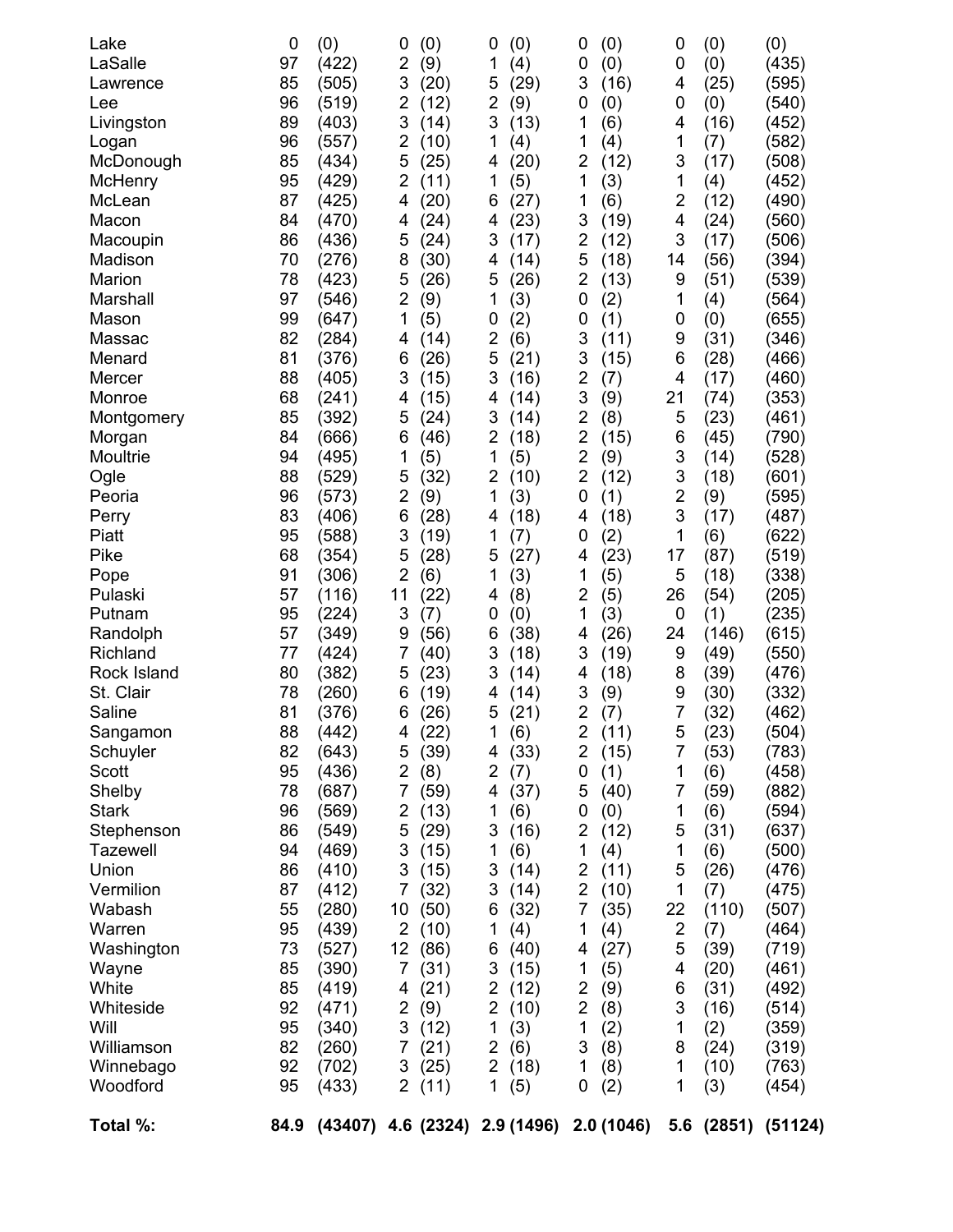| Lake<br>LaSalle<br>Lawrence | 0<br>97<br>85 | (0)<br>(422)<br>(505) | (0)<br>0<br>2<br>(9)<br>3<br>(20) | 0<br>(0)<br>1<br>(4)<br>(29)<br>5 | (0)<br>0<br>0<br>(0)<br>3<br>(16)   | 0<br>0<br>4             | (0)<br>(0)<br>(25) | (0)<br>(435)<br>(595) |
|-----------------------------|---------------|-----------------------|-----------------------------------|-----------------------------------|-------------------------------------|-------------------------|--------------------|-----------------------|
| Lee                         | 96            | (519)                 | $\overline{2}$<br>(12)            | 2<br>(9)                          | 0<br>(0)                            | 0                       | (0)                | (540)                 |
| Livingston                  | 89            | (403)                 | 3<br>(14)                         | 3<br>(13)                         | 1<br>(6)                            | 4                       | (16)               | (452)                 |
| Logan                       | 96            | (557)                 | 2<br>(10)                         | 1<br>(4)                          | 1<br>(4)                            | 1                       | (7)                | (582)                 |
| McDonough                   | 85            | (434)                 | 5<br>(25)                         | (20)<br>4                         | 2<br>(12)                           | 3                       | (17)               | (508)                 |
| McHenry                     | 95            | (429)                 | $\overline{2}$<br>(11)            | 1<br>(5)                          | 1<br>(3)                            | 1                       | (4)                | (452)                 |
| McLean<br>Macon             | 87<br>84      | (425)<br>(470)        | (20)<br>4<br>(24)<br>4            | (27)<br>6<br>(23)<br>4            | (6)<br>1<br>3<br>(19)               | $\overline{2}$<br>4     | (12)<br>(24)       | (490)<br>(560)        |
| Macoupin                    | 86            | (436)                 | 5<br>(24)                         | 3<br>(17)                         | 2<br>(12)                           | 3                       | (17)               | (506)                 |
| Madison                     | 70            | (276)                 | 8<br>(30)                         | (14)<br>4                         | 5<br>(18)                           | 14                      | (56)               | (394)                 |
| Marion                      | 78            | (423)                 | 5<br>(26)                         | (26)<br>5                         | $\overline{2}$<br>(13)              | 9                       | (51)               | (539)                 |
| Marshall                    | 97            | (546)                 | $\overline{2}$<br>(9)             | (3)<br>1                          | 0<br>(2)                            | 1                       | (4)                | (564)                 |
| Mason                       | 99            | (647)                 | 1<br>(5)                          | (2)<br>0                          | 0<br>(1)                            | 0                       | (0)                | (655)                 |
| Massac                      | 82            | (284)                 | 4<br>(14)                         | 2<br>(6)                          | 3<br>(11)                           | 9                       | (31)               | (346)                 |
| Menard                      | 81            | (376)                 | (26)<br>6                         | 5<br>(21)                         | 3<br>(15)                           | 6                       | (28)               | (466)                 |
| Mercer                      | 88            | (405)                 | 3<br>(15)                         | 3<br>(16)                         | $\overline{2}$<br>(7)               | 4                       | (17)               | (460)                 |
| Monroe                      | 68            | (241)                 | 4<br>(15)                         | (14)<br>4                         | 3<br>(9)                            | 21                      | (74)               | (353)                 |
| Montgomery                  | 85            | (392)                 | 5<br>(24)                         | 3<br>(14)                         | $\overline{2}$<br>(8)               | 5                       | (23)               | (461)                 |
| Morgan                      | 84            | (666)                 | 6<br>(46)                         | 2<br>(18)                         | $\overline{2}$<br>(15)              | 6                       | (45)               | (790)                 |
| Moultrie                    | 94            | (495)                 | 1<br>(5)                          | 1<br>(5)                          | $\overline{\mathbf{c}}$<br>(9)      | 3                       | (14)               | (528)                 |
| Ogle                        | 88            | (529)                 | 5<br>(32)                         | 2<br>(10)                         | $\overline{2}$<br>(12)              | 3                       | (18)               | (601)                 |
| Peoria                      | 96            | (573)                 | 2<br>(9)                          | 1<br>(3)                          | 0<br>(1)                            | $\overline{\mathbf{c}}$ | (9)                | (595)                 |
| Perry                       | 83            | (406)                 | 6<br>(28)                         | (18)<br>4                         | (18)<br>4                           | 3                       | (17)               | (487)                 |
| Piatt                       | 95            | (588)                 | 3<br>(19)                         | 1<br>(7)                          | (2)<br>0                            | 1                       | (6)                | (622)                 |
| Pike                        | 68            | (354)                 | 5<br>(28)<br>2                    | (27)<br>5                         | (23)<br>4                           | 17                      | (87)               | (519)                 |
| Pope<br>Pulaski             | 91<br>57      | (306)<br>(116)        | (6)<br>11<br>(22)                 | 1<br>(3)<br>(8)<br>4              | 1<br>(5)<br>2<br>(5)                | 5<br>26                 | (18)<br>(54)       | (338)<br>(205)        |
| Putnam                      | 95            | (224)                 | 3<br>(7)                          | 0<br>(0)                          | 1<br>(3)                            | 0                       | (1)                | (235)                 |
| Randolph                    | 57            | (349)                 | 9<br>(56)                         | (38)<br>6                         | (26)<br>4                           | 24                      | (146)              | (615)                 |
| Richland                    | 77            | (424)                 | 7<br>(40)                         | 3<br>(18)                         | 3<br>(19)                           | 9                       | (49)               | (550)                 |
| Rock Island                 | 80            | (382)                 | 5<br>(23)                         | 3<br>(14)                         | (18)<br>4                           | 8                       | (39)               | (476)                 |
| St. Clair                   | 78            | (260)                 | 6<br>(19)                         | (14)<br>4                         | 3<br>(9)                            | 9                       | (30)               | (332)                 |
| Saline                      | 81            | (376)                 | 6<br>(26)                         | (21)<br>5                         | $\overline{\mathbf{c}}$<br>(7)      | 7                       | (32)               | (462)                 |
| Sangamon                    | 88            | (442)                 | (22)<br>4                         | $\mathbf 1$<br>(6)                | $\overline{\mathbf{c}}$<br>(11)     | 5                       | (23)               | (504)                 |
| Schuyler                    | 82            | (643)                 | (39)<br>5                         | (33)<br>4                         | 2<br>(15)                           | 7                       | (53)               | (783)                 |
| Scott                       | 95            | (436)                 | 2<br>(8)                          | 2<br>(7)                          | (1)<br>0                            | 1                       | (6)                | (458)                 |
| Shelby                      | 78            | (687)                 | 7<br>(59)                         | (37)<br>4                         | 5<br>(40)                           | 7                       | (59)               | (882)                 |
| <b>Stark</b>                | 96            | (569)                 | 2<br>(13)                         | 1<br>(6)                          | 0<br>(0)                            | 1                       | (6)                | (594)                 |
| Stephenson                  | 86            | (549)                 | 5<br>(29)                         | 3<br>(16)                         | $\overline{2}$<br>(12)              | 5                       | (31)               | (637)                 |
| <b>Tazewell</b><br>Union    | 94            | (469)                 | 3<br>(15)                         | (6)<br>1                          | 1<br>(4)<br>$\overline{\mathbf{c}}$ | 1<br>5                  | (6)                | (500)                 |
| Vermilion                   | 86<br>87      | (410)<br>(412)        | 3<br>(15)<br>7<br>(32)            | 3<br>(14)<br>3<br>(14)            | (11)<br>$\overline{2}$<br>(10)      | 1                       | (26)<br>(7)        | (476)<br>(475)        |
| Wabash                      | 55            | (280)                 | 10<br>(50)                        | (32)<br>6                         | 7<br>(35)                           | 22                      | (110)              | (507)                 |
| Warren                      | 95            | (439)                 | $\overline{2}$<br>(10)            | 1<br>(4)                          | 1<br>(4)                            | $\overline{2}$          | (7)                | (464)                 |
| Washington                  | 73            | (527)                 | 12<br>(86)                        | (40)<br>6                         | 4<br>(27)                           | 5                       | (39)               | (719)                 |
| Wayne                       | 85            | (390)                 | 7<br>(31)                         | 3<br>(15)                         | 1<br>(5)                            | 4                       | (20)               | (461)                 |
| White                       | 85            | (419)                 | (21)<br>4                         | 2<br>(12)                         | 2<br>(9)                            | 6                       | (31)               | (492)                 |
| Whiteside                   | 92            | (471)                 | $\overline{2}$<br>(9)             | 2<br>(10)                         | $\overline{\mathbf{c}}$<br>(8)      | 3                       | (16)               | (514)                 |
| Will                        | 95            | (340)                 | 3<br>(12)                         | 1<br>(3)                          | 1<br>(2)                            | 1                       | (2)                | (359)                 |
| Williamson                  | 82            | (260)                 | 7<br>(21)                         | 2<br>(6)                          | 3<br>(8)                            | 8                       | (24)               | (319)                 |
| Winnebago                   | 92            | (702)                 | 3<br>(25)                         | $\overline{2}$<br>(18)            | 1<br>(8)                            | 1                       | (10)               | (763)                 |
| Woodford                    | 95            | (433)                 | $\overline{2}$<br>(11)            | 1<br>(5)                          | 0<br>(2)                            | 1                       | (3)                | (454)                 |
| Total %:                    | 84.9          | (43407)               |                                   | 4.6 (2324) 2.9 (1496)             | 2.0(1046)                           |                         | 5.6 (2851)         | (51124)               |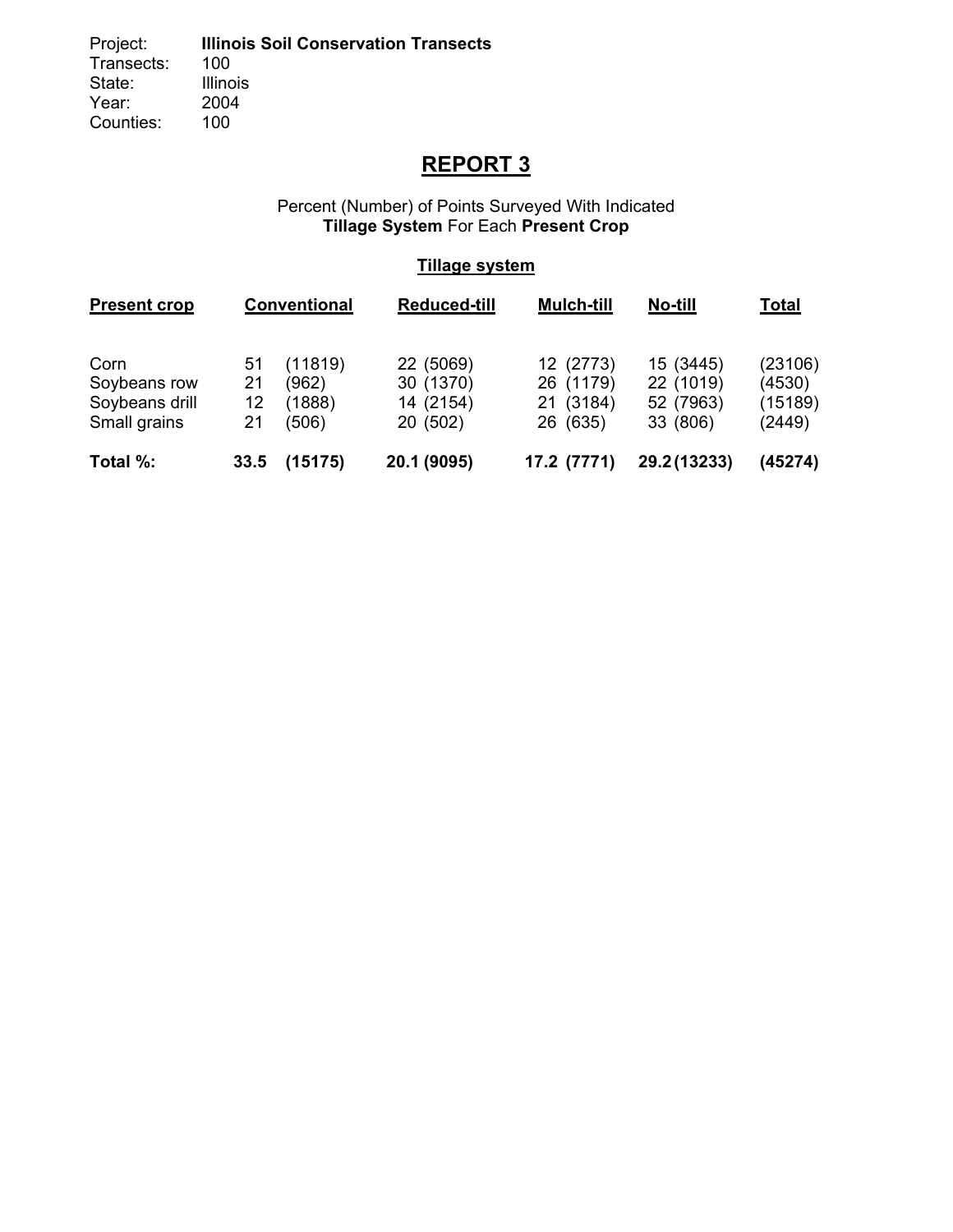# **REPORT 3**

#### Percent (Number) of Points Surveyed With Indicated **Tillage System** For Each **Present Crop**

### **Tillage system**

| <b>Present crop</b>                                    |                      | Conventional                        | <b>Reduced-till</b>                             | <b>Mulch-till</b>                               | No-till                                         | <b>Total</b>                           |
|--------------------------------------------------------|----------------------|-------------------------------------|-------------------------------------------------|-------------------------------------------------|-------------------------------------------------|----------------------------------------|
| Corn<br>Soybeans row<br>Soybeans drill<br>Small grains | 51<br>21<br>12<br>21 | (11819)<br>(962)<br>(1888)<br>(506) | 22 (5069)<br>30 (1370)<br>14 (2154)<br>20 (502) | 12 (2773)<br>26 (1179)<br>21 (3184)<br>26 (635) | 15 (3445)<br>22 (1019)<br>52 (7963)<br>33 (806) | (23106)<br>(4530)<br>(15189)<br>(2449) |
| Total %:                                               | 33.5                 | (15175)                             | 20.1 (9095)                                     | 17.2 (7771)                                     | 29.2 (13233)                                    | (45274)                                |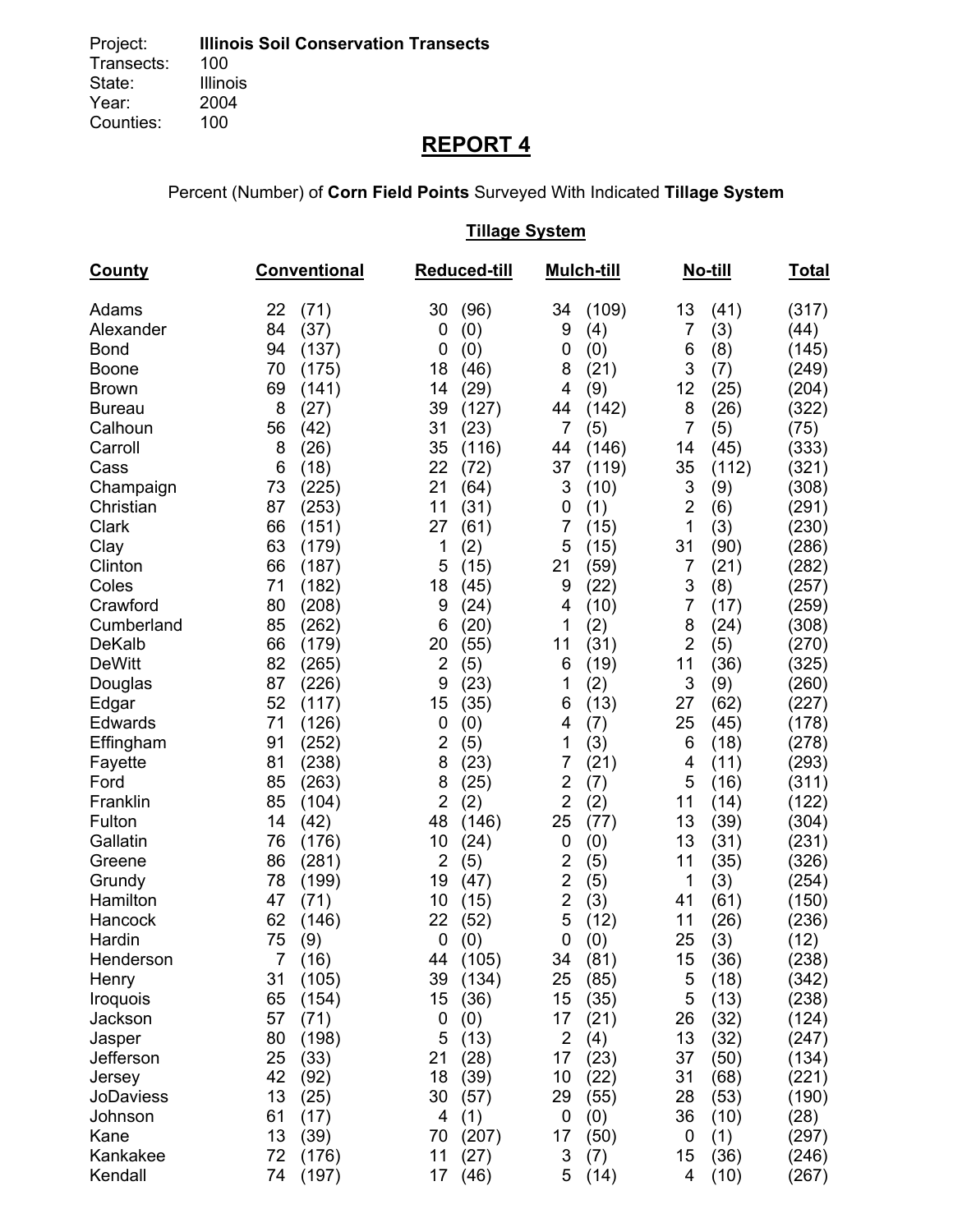# **REPORT 4**

Percent (Number) of **Corn Field Points** Surveyed With Indicated **Tillage System** 

## **Tillage System**

| <b>County</b> | Conventional           | Reduced-till          | <b>Mulch-till</b>     | No-till               | Total |
|---------------|------------------------|-----------------------|-----------------------|-----------------------|-------|
| Adams         | 22<br>(71)             | 30<br>(96)            | (109)<br>34           | 13<br>(41)            | (317) |
| Alexander     | (37)<br>84             | (0)<br>0              | 9<br>(4)              | 7<br>(3)              | (44)  |
| <b>Bond</b>   | 94<br>(137)            | (0)<br>0              | (0)<br>0              | (8)<br>6              | (145) |
| Boone         | 70<br>(175)            | 18<br>(46)            | (21)<br>8             | 3<br>(7)              | (249) |
| <b>Brown</b>  | 69<br>(141)            | (29)<br>14            | 4<br>(9)              | 12<br>(25)            | (204) |
| <b>Bureau</b> | 8<br>(27)              | 39<br>(127)           | (142)<br>44           | 8<br>(26)             | (322) |
| Calhoun       | 56<br>(42)             | 31<br>(23)            | 7<br>(5)              | 7<br>(5)              | (75)  |
| Carroll       | 8<br>(26)              | 35<br>(116)           | (146)<br>44           | (45)<br>14            | (333) |
| Cass          | 6<br>(18)              | 22<br>(72)            | 37<br>(119)           | 35<br>(112)           | (321) |
| Champaign     | 73<br>(225)            | 21<br>(64)            | 3<br>(10)             | 3<br>(9)              | (308) |
| Christian     | 87<br>(253)            | 11<br>(31)            | (1)<br>0              | $\overline{2}$<br>(6) | (291) |
| Clark         | 66<br>(151)            | 27<br>(61)            | 7<br>(15)             | 1<br>(3)              | (230) |
| Clay          | 63<br>(179)            | 1<br>(2)              | 5<br>(15)             | 31<br>(90)            | (286) |
| Clinton       | 66<br>(187)            | 5<br>(15)             | 21<br>(59)            | 7<br>(21)             | (282) |
| Coles         | (182)<br>71            | 18<br>(45)            | (22)<br>9             | 3<br>(8)              | (257) |
| Crawford      | 80<br>(208)            | 9<br>(24)             | (10)<br>4             | 7<br>(17)             | (259) |
| Cumberland    | 85<br>(262)            | 6<br>(20)             | 1<br>(2)              | 8<br>(24)             | (308) |
| <b>DeKalb</b> | 66<br>(179)            | (55)<br>20            | 11<br>(31)            | $\overline{2}$<br>(5) | (270) |
| <b>DeWitt</b> | 82<br>(265)            | $\overline{2}$<br>(5) | 6<br>(19)             | 11<br>(36)            | (325) |
| Douglas       | 87<br>(226)            | 9<br>(23)             | 1<br>(2)              | 3<br>(9)              | (260) |
| Edgar         | 52<br>(117)            | 15<br>(35)            | 6<br>(13)             | (62)<br>27            | (227) |
| Edwards       | 71<br>(126)            | (0)<br>0              | 4<br>(7)              | 25<br>(45)            | (178) |
| Effingham     | 91<br>(252)            | $\overline{2}$<br>(5) | 1<br>(3)              | (18)<br>6             | (278) |
| Fayette       | (238)<br>81            | 8<br>(23)             | 7<br>(21)             | (11)<br>4             | (293) |
| Ford          | 85<br>(263)            | 8<br>(25)             | $\overline{c}$<br>(7) | 5<br>(16)             | (311) |
| Franklin      | 85<br>(104)            | $\overline{2}$<br>(2) | $\overline{2}$<br>(2) | 11<br>(14)            | (122) |
| Fulton        | 14<br>(42)             | 48<br>(146)           | 25<br>(77)            | 13<br>(39)            | (304) |
| Gallatin      | 76<br>(176)            | 10<br>(24)            | 0<br>(0)              | 13<br>(31)            | (231) |
| Greene        | 86<br>(281)            | $\overline{2}$<br>(5) | $\overline{2}$<br>(5) | 11<br>(35)            | (326) |
| Grundy        | 78<br>(199)            | 19<br>(47)            | $\overline{2}$<br>(5) | 1<br>(3)              | (254) |
| Hamilton      | 47<br>(71)             | 10<br>(15)            | $\overline{2}$<br>(3) | (61)<br>41            | (150) |
| Hancock       | 62<br>(146)            | 22<br>(52)            | 5<br>(12)             | 11<br>(26)            | (236) |
| Hardin        | 75<br>(9)              | 0<br>(0)              | 0<br>(0)              | 25<br>(3)             | (12)  |
| Henderson     | 7 <sup>1</sup><br>(16) | 44 (105)              | 34<br>(81)            | 15<br>(36)            | (238) |
| Henry         | 31<br>(105)            | 39<br>(134)           | 25<br>(85)            | 5<br>(18)             | (342) |
| Iroquois      | 65<br>(154)            | 15<br>(36)            | 15<br>(35)            | 5<br>(13)             | (238) |
| Jackson       | 57<br>(71)             | (0)<br>0              | 17<br>(21)            | (32)<br>26            | (124) |
| Jasper        | 80<br>(198)            | 5<br>(13)             | $\overline{2}$<br>(4) | 13<br>(32)            | (247) |
| Jefferson     | 25<br>(33)             | 21<br>(28)            | 17<br>(23)            | 37<br>(50)            | (134) |
| Jersey        | 42<br>(92)             | 18<br>(39)            | 10<br>(22)            | 31<br>(68)            | (221) |
| JoDaviess     | 13<br>(25)             | 30<br>(57)            | (55)<br>29            | 28<br>(53)            | (190) |
| Johnson       | 61<br>(17)             | 4<br>(1)              | 0<br>(0)              | 36<br>(10)            | (28)  |
| Kane          | 13<br>(39)             | 70<br>(207)           | 17<br>(50)            | (1)<br>0              | (297) |
| Kankakee      | 72<br>(176)            | 11<br>(27)            | 3<br>(7)              | 15<br>(36)            | (246) |
| Kendall       | (197)<br>74            | 17<br>(46)            | (14)<br>5             | (10)<br>4             | (267) |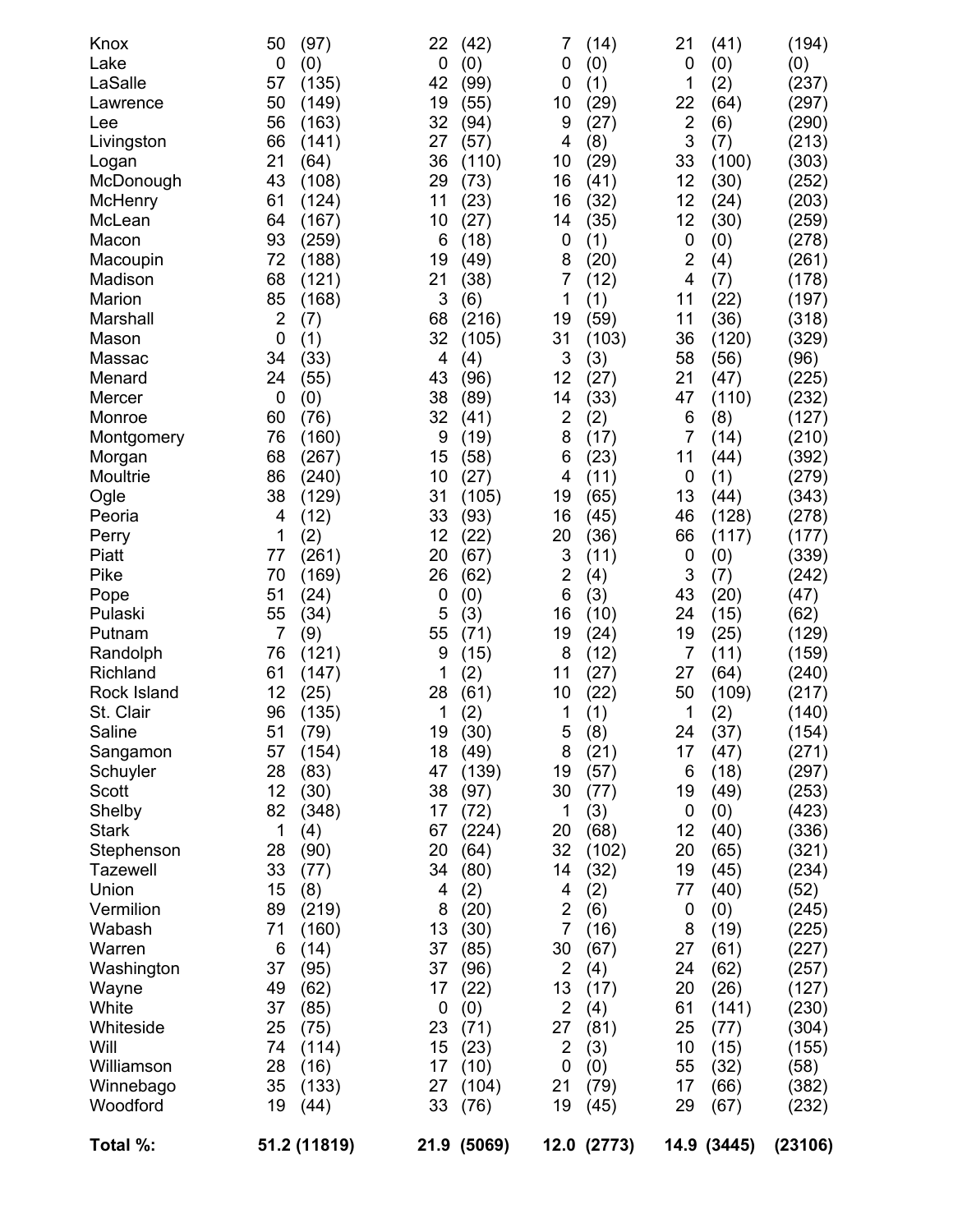| Knox<br>Lake<br>LaSalle<br>Lawrence<br>Lee<br>Livingston<br>Logan<br>McDonough<br>McHenry<br>McLean<br>Macon<br>Macoupin<br>Madison<br>Marion<br>Marshall<br>Mason<br>Massac<br>Menard<br>Mercer<br>Monroe<br>Montgomery<br>Morgan<br>Moultrie<br>Ogle<br>Peoria<br>Perry<br>Piatt<br>Pike<br>Pope<br>Pulaski<br>Putnam<br>Randolph<br>Richland<br>Rock Island<br>St. Clair<br>Saline<br>Sangamon<br>Schuyler<br>Scott<br>Shelby<br><b>Stark</b><br>Stephenson<br><b>Tazewell</b><br>Union<br>Vermilion<br>Wabash<br>Warren<br>Washington | 50<br>(97)<br>0<br>(0)<br>57<br>(135)<br>50<br>(149)<br>56<br>(163)<br>66<br>(141)<br>21<br>(64)<br>43<br>(108)<br>61<br>(124)<br>64<br>(167)<br>93<br>(259)<br>72<br>(188)<br>68<br>(121)<br>85<br>(168)<br>$\overline{2}$<br>(7)<br>$\mathbf 0$<br>(1)<br>34<br>(33)<br>24<br>(55)<br>$\mathbf 0$<br>(0)<br>60<br>(76)<br>76<br>(160)<br>68<br>(267)<br>86<br>(240)<br>38<br>(129)<br>4<br>(12)<br>1<br>(2)<br>77<br>(261)<br>70<br>(169)<br>51<br>(24)<br>55<br>(34)<br>$\overline{7}$<br>(9)<br>76<br>(121)<br>61<br>(147)<br>12<br>(25)<br>96<br>(135)<br>51<br>(79)<br>57<br>(154)<br>28<br>(83)<br>12<br>(30)<br>82<br>(348)<br>1<br>(4)<br>28<br>(90)<br>33<br>(77)<br>15<br>(8)<br>89<br>(219)<br>71<br>(160)<br>6<br>(14)<br>(95)<br>37 | 22<br>(42)<br>(0)<br>0<br>42<br>(99)<br>19<br>(55)<br>32<br>(94)<br>27<br>(57)<br>36<br>(110)<br>29<br>(73)<br>11<br>(23)<br>10<br>(27)<br>6<br>(18)<br>19<br>(49)<br>21<br>(38)<br>3<br>(6)<br>68<br>(216)<br>32<br>(105)<br>4<br>(4)<br>43<br>(96)<br>38<br>(89)<br>32<br>(41)<br>9<br>(19)<br>15<br>(58)<br>10<br>(27)<br>31<br>(105)<br>33<br>(93)<br>12<br>(22)<br>20<br>(67)<br>26<br>(62)<br>0<br>(0)<br>5<br>(3)<br>55<br>(71)<br>9<br>(15)<br>1<br>(2)<br>28<br>(61)<br>1<br>(2)<br>19<br>(30)<br>18<br>(49)<br>47<br>(139)<br>38<br>(97)<br>17<br>(72)<br>67<br>(224)<br>20<br>(64)<br>(80)<br>34<br>(2)<br>4<br>8<br>(20)<br>13<br>(30)<br>37<br>(85)<br>37<br>(96) | 7<br>(14)<br>0<br>(0)<br>(1)<br>0<br>(29)<br>10<br>9<br>(27)<br>4<br>(8)<br>(29)<br>10<br>(41)<br>16<br>16<br>(32)<br>(35)<br>14<br>(1)<br>0<br>8<br>(20)<br>7<br>(12)<br>1<br>(1)<br>19<br>(59)<br>31<br>(103)<br>3<br>(3)<br>12<br>(27)<br>(33)<br>14<br>$\overline{2}$<br>(2)<br>8<br>(17)<br>(23)<br>6<br>(11)<br>4<br>19<br>(65)<br>16<br>(45)<br>(36)<br>20<br>3<br>(11)<br>$\overline{2}$<br>(4)<br>6<br>(3)<br>(10)<br>16<br>19<br>(24)<br>8<br>(12)<br>11<br>(27)<br>(22)<br>10<br>(1)<br>1<br>5<br>(8)<br>8<br>(21)<br>19<br>(57)<br>30<br>(77)<br>(3)<br>1<br>20<br>(68)<br>32<br>(102)<br>14<br>(32)<br>4<br>(2)<br>$\overline{2}$<br>(6)<br>7<br>(16)<br>30<br>(67)<br>$\overline{2}$<br>(4) | 21<br>(41)<br>0<br>(0)<br>1<br>(2)<br>22<br>(64)<br>$\overline{\mathbf{c}}$<br>(6)<br>3<br>(7)<br>33<br>(100)<br>12<br>(30)<br>12<br>(24)<br>12<br>(30)<br>0<br>(0)<br>$\overline{2}$<br>(4)<br>4<br>(7)<br>11<br>(22)<br>11<br>(36)<br>(120)<br>36<br>58<br>(56)<br>21<br>(47)<br>47<br>(110)<br>(8)<br>6<br>7<br>(14)<br>11<br>(44)<br>(1)<br>0<br>13<br>(44)<br>46<br>(128)<br>66<br>(117)<br>0<br>(0)<br>3<br>(7)<br>43<br>(20)<br>24<br>(15)<br>19<br>(25)<br>7<br>(11)<br>27<br>(64)<br>50<br>(109)<br>1<br>(2)<br>24<br>(37)<br>17<br>(47)<br>6<br>(18)<br>(49)<br>19<br>0<br>(0)<br>12<br>(40)<br>(65)<br>20<br>19<br>(45)<br>77<br>(40)<br>0<br>(0)<br>8<br>(19)<br>27<br>(61)<br>24<br>(62) | (194)<br>(0)<br>(237)<br>(297)<br>(290)<br>(213)<br>(303)<br>(252)<br>(203)<br>(259)<br>(278)<br>(261)<br>(178)<br>(197)<br>(318)<br>(329)<br>(96)<br>(225)<br>(232)<br>(127)<br>(210)<br>(392)<br>(279)<br>(343)<br>(278)<br>(177)<br>(339)<br>(242)<br>(47)<br>(62)<br>(129)<br>(159)<br>(240)<br>(217)<br>(140)<br>(154)<br>(271)<br>(297)<br>(253)<br>(423)<br>(336)<br>(321)<br>(234)<br>(52)<br>(245)<br>(225)<br>(227)<br>(257) |
|-------------------------------------------------------------------------------------------------------------------------------------------------------------------------------------------------------------------------------------------------------------------------------------------------------------------------------------------------------------------------------------------------------------------------------------------------------------------------------------------------------------------------------------------|---------------------------------------------------------------------------------------------------------------------------------------------------------------------------------------------------------------------------------------------------------------------------------------------------------------------------------------------------------------------------------------------------------------------------------------------------------------------------------------------------------------------------------------------------------------------------------------------------------------------------------------------------------------------------------------------------------------------------------------------------|--------------------------------------------------------------------------------------------------------------------------------------------------------------------------------------------------------------------------------------------------------------------------------------------------------------------------------------------------------------------------------------------------------------------------------------------------------------------------------------------------------------------------------------------------------------------------------------------------------------------------------------------------------------------------------|-----------------------------------------------------------------------------------------------------------------------------------------------------------------------------------------------------------------------------------------------------------------------------------------------------------------------------------------------------------------------------------------------------------------------------------------------------------------------------------------------------------------------------------------------------------------------------------------------------------------------------------------------------------------------------------------------------------|-------------------------------------------------------------------------------------------------------------------------------------------------------------------------------------------------------------------------------------------------------------------------------------------------------------------------------------------------------------------------------------------------------------------------------------------------------------------------------------------------------------------------------------------------------------------------------------------------------------------------------------------------------------------------------------------------------|----------------------------------------------------------------------------------------------------------------------------------------------------------------------------------------------------------------------------------------------------------------------------------------------------------------------------------------------------------------------------------------------------------------------------------------|
|                                                                                                                                                                                                                                                                                                                                                                                                                                                                                                                                           |                                                                                                                                                                                                                                                                                                                                                                                                                                                                                                                                                                                                                                                                                                                                                   |                                                                                                                                                                                                                                                                                                                                                                                                                                                                                                                                                                                                                                                                                |                                                                                                                                                                                                                                                                                                                                                                                                                                                                                                                                                                                                                                                                                                           |                                                                                                                                                                                                                                                                                                                                                                                                                                                                                                                                                                                                                                                                                                       |                                                                                                                                                                                                                                                                                                                                                                                                                                        |
|                                                                                                                                                                                                                                                                                                                                                                                                                                                                                                                                           |                                                                                                                                                                                                                                                                                                                                                                                                                                                                                                                                                                                                                                                                                                                                                   |                                                                                                                                                                                                                                                                                                                                                                                                                                                                                                                                                                                                                                                                                |                                                                                                                                                                                                                                                                                                                                                                                                                                                                                                                                                                                                                                                                                                           |                                                                                                                                                                                                                                                                                                                                                                                                                                                                                                                                                                                                                                                                                                       |                                                                                                                                                                                                                                                                                                                                                                                                                                        |
| Wayne                                                                                                                                                                                                                                                                                                                                                                                                                                                                                                                                     | (62)<br>49                                                                                                                                                                                                                                                                                                                                                                                                                                                                                                                                                                                                                                                                                                                                        | 17<br>(22)                                                                                                                                                                                                                                                                                                                                                                                                                                                                                                                                                                                                                                                                     | 13<br>(17)                                                                                                                                                                                                                                                                                                                                                                                                                                                                                                                                                                                                                                                                                                | 20<br>(26)                                                                                                                                                                                                                                                                                                                                                                                                                                                                                                                                                                                                                                                                                            | (127)                                                                                                                                                                                                                                                                                                                                                                                                                                  |
| White                                                                                                                                                                                                                                                                                                                                                                                                                                                                                                                                     | 37<br>(85)                                                                                                                                                                                                                                                                                                                                                                                                                                                                                                                                                                                                                                                                                                                                        | $\mathbf 0$<br>(0)                                                                                                                                                                                                                                                                                                                                                                                                                                                                                                                                                                                                                                                             | $\overline{2}$<br>(4)                                                                                                                                                                                                                                                                                                                                                                                                                                                                                                                                                                                                                                                                                     | 61<br>(141)                                                                                                                                                                                                                                                                                                                                                                                                                                                                                                                                                                                                                                                                                           | (230)                                                                                                                                                                                                                                                                                                                                                                                                                                  |
| Whiteside                                                                                                                                                                                                                                                                                                                                                                                                                                                                                                                                 | 25<br>(75)                                                                                                                                                                                                                                                                                                                                                                                                                                                                                                                                                                                                                                                                                                                                        | 23<br>(71)                                                                                                                                                                                                                                                                                                                                                                                                                                                                                                                                                                                                                                                                     | 27<br>(81)                                                                                                                                                                                                                                                                                                                                                                                                                                                                                                                                                                                                                                                                                                | 25<br>(77)                                                                                                                                                                                                                                                                                                                                                                                                                                                                                                                                                                                                                                                                                            | (304)                                                                                                                                                                                                                                                                                                                                                                                                                                  |
| Will<br>Williamson                                                                                                                                                                                                                                                                                                                                                                                                                                                                                                                        | 74<br>(114)<br>28<br>(16)                                                                                                                                                                                                                                                                                                                                                                                                                                                                                                                                                                                                                                                                                                                         | 15<br>(23)<br>17<br>(10)                                                                                                                                                                                                                                                                                                                                                                                                                                                                                                                                                                                                                                                       | $\overline{2}$<br>(3)<br>0<br>(0)                                                                                                                                                                                                                                                                                                                                                                                                                                                                                                                                                                                                                                                                         | 10<br>(15)<br>55<br>(32)                                                                                                                                                                                                                                                                                                                                                                                                                                                                                                                                                                                                                                                                              | (155)<br>(58)                                                                                                                                                                                                                                                                                                                                                                                                                          |
| Winnebago                                                                                                                                                                                                                                                                                                                                                                                                                                                                                                                                 | 35<br>(133)                                                                                                                                                                                                                                                                                                                                                                                                                                                                                                                                                                                                                                                                                                                                       | 27<br>(104)                                                                                                                                                                                                                                                                                                                                                                                                                                                                                                                                                                                                                                                                    | 21<br>(79)                                                                                                                                                                                                                                                                                                                                                                                                                                                                                                                                                                                                                                                                                                | 17<br>(66)                                                                                                                                                                                                                                                                                                                                                                                                                                                                                                                                                                                                                                                                                            | (382)                                                                                                                                                                                                                                                                                                                                                                                                                                  |
| Woodford                                                                                                                                                                                                                                                                                                                                                                                                                                                                                                                                  | 19<br>(44)                                                                                                                                                                                                                                                                                                                                                                                                                                                                                                                                                                                                                                                                                                                                        | 33<br>(76)                                                                                                                                                                                                                                                                                                                                                                                                                                                                                                                                                                                                                                                                     | 19<br>(45)                                                                                                                                                                                                                                                                                                                                                                                                                                                                                                                                                                                                                                                                                                | 29<br>(67)                                                                                                                                                                                                                                                                                                                                                                                                                                                                                                                                                                                                                                                                                            | (232)                                                                                                                                                                                                                                                                                                                                                                                                                                  |
| Total %:                                                                                                                                                                                                                                                                                                                                                                                                                                                                                                                                  | 51.2 (11819)                                                                                                                                                                                                                                                                                                                                                                                                                                                                                                                                                                                                                                                                                                                                      | 21.9 (5069)                                                                                                                                                                                                                                                                                                                                                                                                                                                                                                                                                                                                                                                                    | 12.0 (2773)                                                                                                                                                                                                                                                                                                                                                                                                                                                                                                                                                                                                                                                                                               | 14.9 (3445)                                                                                                                                                                                                                                                                                                                                                                                                                                                                                                                                                                                                                                                                                           | (23106)                                                                                                                                                                                                                                                                                                                                                                                                                                |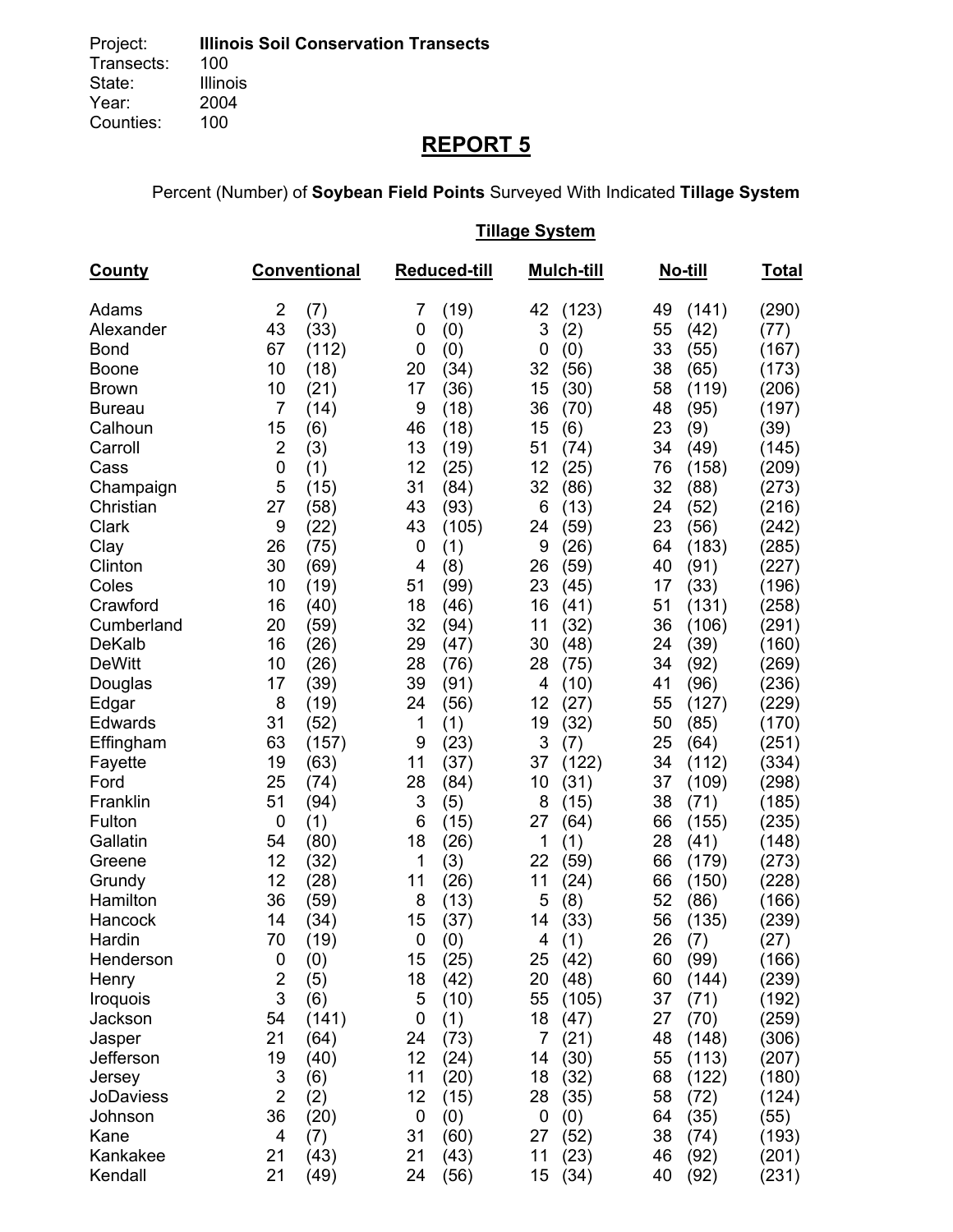# **REPORT 5**

Percent (Number) of **Soybean Field Points** Surveyed With Indicated **Tillage System** 

## **Tillage System**

| <b>County</b>              |                         | <b>Conventional</b> |             | <b>Reduced-till</b> |          | <b>Mulch-till</b> |          | <u>No-till</u> | <u>Total</u>   |
|----------------------------|-------------------------|---------------------|-------------|---------------------|----------|-------------------|----------|----------------|----------------|
| Adams                      | $\overline{2}$          | (7)                 | 7           | (19)                | 42       | (123)             | 49       | (141)          | (290)          |
| Alexander                  | 43                      | (33)                | 0           | (0)                 | 3        | (2)               | 55       | (42)           | (77)           |
| <b>Bond</b>                | 67                      | (112)               | 0           | (0)                 | 0        | (0)               | 33       | (55)           | (167)          |
| <b>Boone</b>               | 10                      | (18)                | 20          | (34)                | 32       | (56)              | 38       | (65)           | (173)          |
| <b>Brown</b>               | 10<br>$\overline{7}$    | (21)                | 17          | (36)                | 15       | (30)              | 58       | (119)          | (206)          |
| <b>Bureau</b><br>Calhoun   | 15                      | (14)<br>(6)         | 9<br>46     | (18)<br>(18)        | 36<br>15 | (70)              | 48<br>23 | (95)           | (197)          |
| Carroll                    | $\overline{c}$          | (3)                 | 13          | (19)                | 51       | (6)<br>(74)       | 34       | (9)<br>(49)    | (39)<br>(145)  |
| Cass                       | 0                       | (1)                 | 12          | (25)                | 12       | (25)              | 76       | (158)          | (209)          |
| Champaign                  | 5                       | (15)                | 31          | (84)                | 32       | (86)              | 32       | (88)           | (273)          |
| Christian                  | 27                      | (58)                | 43          | (93)                | 6        | (13)              | 24       | (52)           | (216)          |
| Clark                      | 9                       | (22)                | 43          | (105)               | 24       | (59)              | 23       | (56)           | (242)          |
| Clay                       | 26                      | (75)                | 0           | (1)                 | 9        | (26)              | 64       | (183)          | (285)          |
| Clinton                    | 30                      | (69)                | 4           | (8)                 | 26       | (59)              | 40       | (91)           | (227)          |
| Coles                      | 10                      | (19)                | 51          | (99)                | 23       | (45)              | 17       | (33)           | (196)          |
| Crawford                   | 16                      | (40)                | 18          | (46)                | 16       | (41)              | 51       | (131)          | (258)          |
| Cumberland                 | 20                      | (59)                | 32          | (94)                | 11       | (32)              | 36       | (106)          | (291)          |
| <b>DeKalb</b>              | 16                      | (26)                | 29          | (47)                | 30       | (48)              | 24       | (39)           | (160)          |
| <b>DeWitt</b>              | 10                      | (26)                | 28          | (76)                | 28       | (75)              | 34       | (92)           | (269)          |
| Douglas                    | 17                      | (39)                | 39          | (91)                | 4        | (10)              | 41       | (96)           | (236)          |
| Edgar                      | 8                       | (19)                | 24          | (56)                | 12       | (27)              | 55       | (127)          | (229)          |
| Edwards                    | 31                      | (52)                | 1           | (1)                 | 19       | (32)              | 50       | (85)           | (170)          |
| Effingham<br>Fayette       | 63<br>19                | (157)<br>(63)       | 9<br>11     | (23)<br>(37)        | 3<br>37  | (7)<br>(122)      | 25<br>34 | (64)<br>(112)  | (251)<br>(334) |
| Ford                       | 25                      | (74)                | 28          | (84)                | 10       | (31)              | 37       | (109)          | (298)          |
| Franklin                   | 51                      | (94)                | 3           | (5)                 | 8        | (15)              | 38       | (71)           | (185)          |
| Fulton                     | 0                       | (1)                 | 6           | (15)                | 27       | (64)              | 66       | (155)          | (235)          |
| Gallatin                   | 54                      | (80)                | 18          | (26)                | 1        | (1)               | 28       | (41)           | (148)          |
| Greene                     | 12                      | (32)                | 1           | (3)                 | 22       | (59)              | 66       | (179)          | (273)          |
| Grundy                     | 12                      | (28)                | 11          | (26)                | 11       | (24)              | 66       | (150)          | (228)          |
| Hamilton                   | 36                      | (59)                | 8           | (13)                | 5        | (8)               | 52       | (86)           | (166)          |
| Hancock                    | 14                      | (34)                | 15          | (37)                | 14       | (33)              | 56       | (135)          | (239)          |
| Hardin                     | 70                      | (19)                | $\mathbf 0$ | (0)                 | 4        | (1)               | 26       | (7)            | (27)           |
| Henderson                  | $\pmb{0}$               | (0)                 | 15          | (25)                | 25       | (42)              | 60       | (99)           | (166)          |
| Henry                      | $\overline{\mathbf{c}}$ | (5)                 | 18          | (42)                | 20       | (48)              | 60       | (144)          | (239)          |
| Iroquois                   | 3                       | (6)                 | 5           | (10)                | 55       | (105)             | 37       | (71)           | (192)          |
| Jackson                    | 54                      | (141)               | 0           | (1)                 | 18       | (47)              | 27       | (70)           | (259)          |
| Jasper                     | 21                      | (64)                | 24          | (73)                | 7        | (21)              | 48       | (148)          | (306)          |
| Jefferson                  | 19                      | (40)                | 12          | (24)                | 14       | (30)              | 55       | (113)          | (207)          |
| Jersey<br><b>JoDaviess</b> | 3<br>$\overline{2}$     | (6)                 | 11<br>12    | (20)                | 18       | (32)              | 68<br>58 | (122)          | (180)          |
| Johnson                    | 36                      | (2)<br>(20)         | $\mathbf 0$ | (15)                | 28<br>0  | (35)<br>(0)       | 64       | (72)<br>(35)   | (124)<br>(55)  |
| Kane                       | 4                       | (7)                 | 31          | (0)<br>(60)         | 27       | (52)              | 38       | (74)           | (193)          |
| Kankakee                   | 21                      | (43)                | 21          | (43)                | 11       | (23)              | 46       | (92)           | (201)          |
| Kendall                    | 21                      | (49)                | 24          | (56)                | 15       | (34)              | 40       | (92)           | (231)          |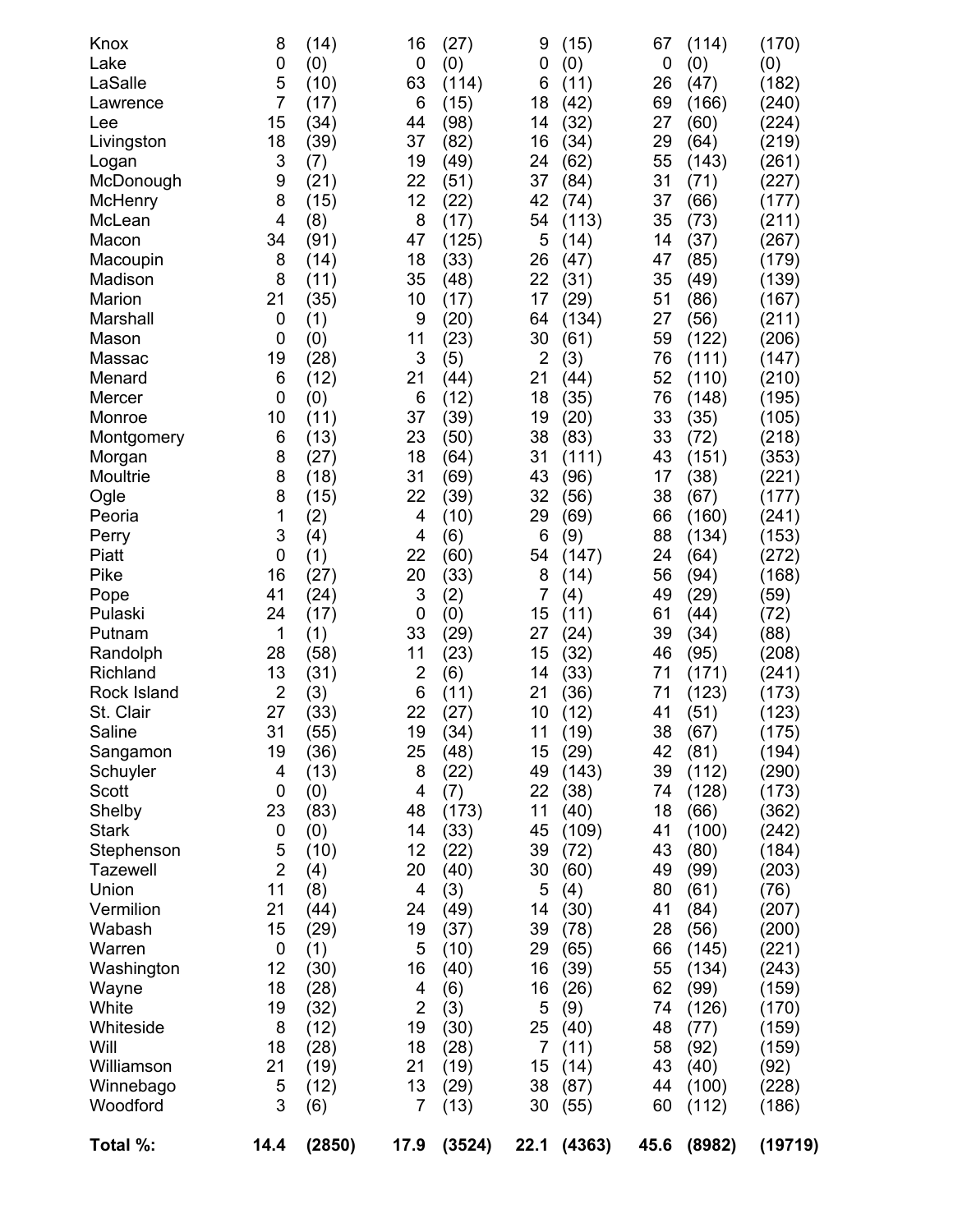| Knox<br>Lake         | 8<br>0         | (14)<br>(0)  | 16<br>$\mathbf 0$ | (27)<br>(0)  | 9<br>0         | (15)<br>(0)   | 67<br>0  | (114)<br>(0) | (170)<br>(0)   |
|----------------------|----------------|--------------|-------------------|--------------|----------------|---------------|----------|--------------|----------------|
| LaSalle              | 5              | (10)         | 63                | (114)        | 6              | (11)          | 26       | (47)         | (182)          |
| Lawrence             | $\overline{7}$ | (17)         | 6                 | (15)         | 18             | (42)          | 69       | (166)        | (240)          |
| Lee                  | 15             | (34)         | 44                | (98)         | 14             | (32)          | 27       | (60)         | (224)          |
| Livingston           | 18             | (39)         | 37                | (82)         | 16             | (34)          | 29       | (64)         | (219)          |
| Logan                | 3              | (7)          | 19                | (49)         | 24             | (62)          | 55       | (143)        | (261)          |
| McDonough            | 9              | (21)         | 22                | (51)         | 37             | (84)          | 31       | (71)         | (227)          |
| McHenry              | 8              | (15)         | 12                | (22)         | 42             | (74)          | 37       | (66)         | (177)          |
| McLean               | $\overline{4}$ | (8)          | 8                 | (17)         | 54             | (113)         | 35       | (73)         | (211)          |
| Macon                | 34             | (91)         | 47                | (125)        | 5              | (14)          | 14       | (37)         | (267)          |
| Macoupin             | 8              | (14)         | 18                | (33)         | 26             | (47)          | 47       | (85)         | (179)          |
| Madison              | 8              | (11)         | 35                | (48)         | 22             | (31)          | 35       | (49)         | (139)          |
| Marion               | 21             | (35)         | 10                | (17)         | 17             | (29)          | 51       | (86)         | (167)          |
| Marshall             | 0              | (1)          | 9                 | (20)         | 64             | (134)         | 27       | (56)         | (211)          |
| Mason                | $\mathbf 0$    | (0)          | 11                | (23)         | 30             | (61)          | 59       | (122)        | (206)          |
| Massac               | 19             | (28)         | 3                 | (5)          | $\overline{2}$ | (3)           | 76       | (111)        | (147)          |
| Menard               | 6              | (12)         | 21                | (44)         | 21             | (44)          | 52       | (110)        | (210)          |
| Mercer               | 0              | (0)          | 6                 | (12)         | 18             | (35)          | 76       | (148)        | (195)          |
| Monroe               | 10             | (11)         | 37                | (39)         | 19             | (20)          | 33       | (35)         | (105)          |
| Montgomery           | 6              | (13)         | 23                | (50)         | 38             | (83)          | 33       | (72)         | (218)          |
| Morgan               | 8              | (27)         | 18                | (64)         | 31             | (111)         | 43       | (151)        | (353)          |
| Moultrie             | 8              | (18)         | 31                | (69)         | 43             | (96)          | 17       | (38)         | (221)          |
| Ogle                 | 8              | (15)         | 22                | (39)         | 32             | (56)          | 38       | (67)         | (177)          |
| Peoria               | 1              | (2)          | 4                 | (10)         | 29             | (69)          | 66       | (160)        | (241)          |
| Perry                | 3              | (4)          | 4                 | (6)          | 6              | (9)           | 88       | (134)        | (153)          |
| Piatt                | 0              | (1)          | 22                | (60)         | 54             | (147)         | 24       | (64)         | (272)          |
| Pike                 | 16             | (27)         | 20                | (33)         | 8              | (14)          | 56       | (94)         | (168)          |
| Pope                 | 41             | (24)         | 3                 | (2)          | 7              | (4)           | 49       | (29)         | (59)           |
| Pulaski              | 24             | (17)         | 0                 | (0)          | 15             | (11)          | 61       | (44)         | (72)           |
| Putnam               | 1              | (1)          | 33                | (29)         | 27             | (24)          | 39       | (34)         | (88)           |
| Randolph             | 28             | (58)         | 11                | (23)         | 15             | (32)          | 46       | (95)         | (208)          |
| Richland             | 13             | (31)         | $\overline{c}$    | (6)          | 14             | (33)          | 71       | (171)        | (241)          |
| Rock Island          | $\overline{2}$ | (3)          | 6                 | (11)         | 21             | (36)          | 71       | (123)        | (173)          |
| St. Clair<br>Saline  | 27<br>31       | (33)         | 22<br>19          | (27)         | 10<br>11       | (12)          | 41       | (51)         | (123)          |
|                      | 19             | (55)<br>(36) | 25                | (34)<br>(48) | 15             | (19)          | 38<br>42 | (67)<br>(81) | (175)<br>(194) |
| Sangamon<br>Schuyler | 4              | (13)         | 8                 | (22)         | 49             | (29)<br>(143) | 39       | (112)        | (290)          |
| Scott                | 0              | (0)          | 4                 | (7)          | 22             | (38)          | 74       | (128)        | (173)          |
| Shelby               | 23             | (83)         | 48                | (173)        | 11             | (40)          | 18       | (66)         | (362)          |
| <b>Stark</b>         | 0              | (0)          | 14                | (33)         | 45             | (109)         | 41       | (100)        | (242)          |
| Stephenson           | 5              | (10)         | 12                | (22)         | 39             | (72)          | 43       | (80)         | (184)          |
| <b>Tazewell</b>      | $\overline{2}$ | (4)          | 20                | (40)         | 30             | (60)          | 49       | (99)         | (203)          |
| Union                | 11             | (8)          | 4                 | (3)          | 5              | (4)           | 80       | (61)         | (76)           |
| Vermilion            | 21             | (44)         | 24                | (49)         | 14             | (30)          | 41       | (84)         | (207)          |
| Wabash               | 15             | (29)         | 19                | (37)         | 39             | (78)          | 28       | (56)         | (200)          |
| Warren               | 0              | (1)          | 5                 | (10)         | 29             | (65)          | 66       | (145)        | (221)          |
| Washington           | 12             | (30)         | 16                | (40)         | 16             | (39)          | 55       | (134)        | (243)          |
| Wayne                | 18             | (28)         | 4                 | (6)          | 16             | (26)          | 62       | (99)         | (159)          |
| White                | 19             | (32)         | $\overline{2}$    | (3)          | 5              | (9)           | 74       | (126)        | (170)          |
| Whiteside            | 8              | (12)         | 19                | (30)         | 25             | (40)          | 48       | (77)         | (159)          |
| Will                 | 18             | (28)         | 18                | (28)         | 7              | (11)          | 58       | (92)         | (159)          |
| Williamson           | 21             | (19)         | 21                | (19)         | 15             | (14)          | 43       | (40)         | (92)           |
| Winnebago            | 5              | (12)         | 13                | (29)         | 38             | (87)          | 44       | (100)        | (228)          |
| Woodford             | 3              | (6)          | 7                 | (13)         | 30             | (55)          | 60       | (112)        | (186)          |
| Total %:             | 14.4           | (2850)       | 17.9              | (3524)       | 22.1           | (4363)        | 45.6     | (8982)       | (19719)        |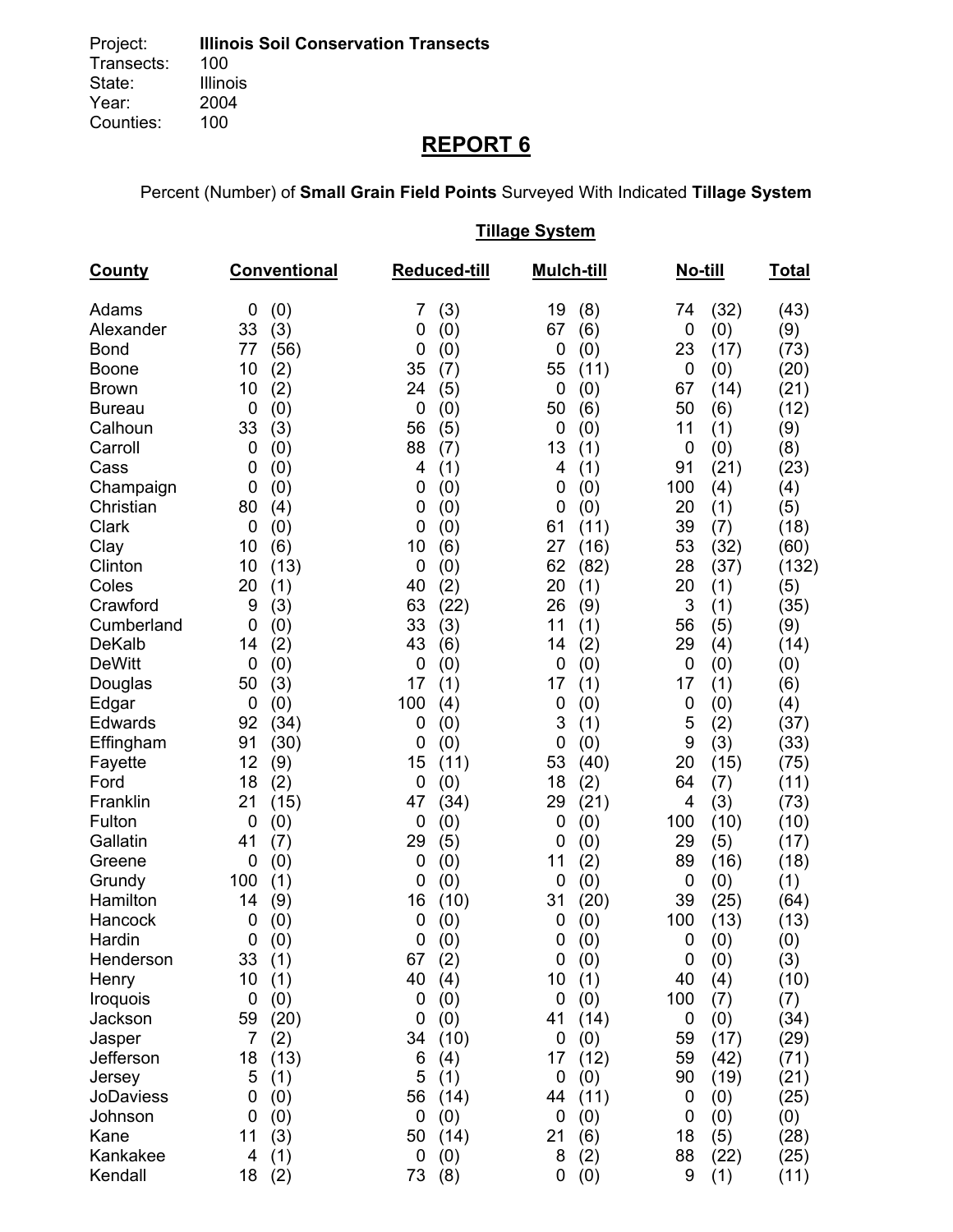# **REPORT 6**

Percent (Number) of **Small Grain Field Points** Surveyed With Indicated **Tillage System** 

## **Tillage System**

| County          | <b>Conventional</b>     | <b>Reduced-till</b> | <b>Mulch-till</b>  | <u>No-till</u> | <b>Total</b> |
|-----------------|-------------------------|---------------------|--------------------|----------------|--------------|
| Adams           | (0)<br>0                | (3)<br>7            | 19<br>(8)          | (32)<br>74     | (43)         |
| Alexander       | 33<br>(3)               | 0<br>(0)            | 67<br>(6)          | 0<br>(0)       | (9)          |
| <b>Bond</b>     | 77<br>(56)              | 0<br>(0)            | 0<br>(0)           | 23<br>(17)     | (73)         |
| Boone           | 10<br>(2)               | 35<br>(7)           | 55<br>(11)         | 0<br>(0)       | (20)         |
| <b>Brown</b>    | 10<br>(2)               | 24<br>(5)           | (0)<br>0           | 67<br>(14)     | (21)         |
| <b>Bureau</b>   | (0)<br>0                | 0<br>(0)            | (6)<br>50          | 50<br>(6)      | (12)         |
| Calhoun         | 33<br>(3)               | 56<br>(5)           | 0<br>(0)           | 11<br>(1)      | (9)          |
| Carroll         | 0<br>(0)                | 88<br>(7)           | 13<br>(1)          | 0<br>(0)       | (8)          |
| Cass            | 0<br>(0)                | 4<br>(1)            | 4<br>(1)           | (21)<br>91     | (23)         |
| Champaign       | (0)<br>0                | 0<br>(0)            | (0)<br>0           | 100<br>(4)     | (4)          |
| Christian       | 80<br>(4)               | 0<br>(0)            | (0)<br>0           | 20<br>(1)      | (5)          |
| Clark           | $\boldsymbol{0}$<br>(0) | 0<br>(0)            | 61<br>(11)         | 39<br>(7)      | (18)         |
| Clay            | 10<br>(6)               | 10<br>(6)           | 27<br>(16)         | 53<br>(32)     | (60)         |
| Clinton         | 10<br>(13)              | $\mathbf 0$<br>(0)  | 62<br>(82)         | 28<br>(37)     | (132)        |
| Coles           | 20<br>(1)               | 40<br>(2)           | 20<br>(1)          | 20<br>(1)      | (5)          |
| Crawford        | 9<br>(3)                | 63<br>(22)          | 26<br>(9)          | 3<br>(1)       | (35)         |
| Cumberland      | $\overline{0}$<br>(0)   | 33<br>(3)           | 11<br>(1)          | 56<br>(5)      | (9)          |
| <b>DeKalb</b>   | 14<br>(2)               | 43<br>(6)           | 14<br>(2)          | 29<br>(4)      | (14)         |
| <b>DeWitt</b>   | $\mathbf 0$<br>(0)      | $\mathbf 0$<br>(0)  | 0<br>(0)           | 0<br>(0)       | (0)          |
| Douglas         | (3)<br>50               | 17<br>(1)           | 17<br>(1)          | 17<br>(1)      | (6)          |
| Edgar           | 0<br>(0)                | 100<br>(4)          | 0<br>(0)           | 0<br>(0)       | (4)          |
| Edwards         | 92<br>(34)              | 0<br>(0)            | 3<br>(1)           | 5<br>(2)       | (37)         |
| Effingham       | 91<br>(30)              | $\mathbf 0$<br>(0)  | 0<br>(0)           | 9<br>(3)       | (33)         |
| Fayette         | 12<br>(9)               | 15<br>(11)          | 53<br>(40)         | 20<br>(15)     | (75)         |
| Ford            | 18<br>(2)               | 0<br>(0)            | 18<br>(2)          | 64<br>(7)      | (11)         |
| Franklin        | 21<br>(15)              | 47<br>(34)          | 29<br>(21)         | (3)<br>4       | (73)         |
| Fulton          | $\boldsymbol{0}$<br>(0) | 0<br>(0)            | 0<br>(0)           | 100<br>(10)    | (10)         |
| Gallatin        | 41<br>(7)               | 29<br>(5)           | 0<br>(0)           | 29<br>(5)      | (17)         |
| Greene          | 0<br>(0)                | 0<br>(0)            | 11<br>(2)          | 89<br>(16)     | (18)         |
| Grundy          | 100<br>(1)              | 0<br>(0)            | 0<br>(0)           | 0<br>(0)       | (1)          |
| Hamilton        | 14<br>(9)               | 16<br>(10)          | 31<br>(20)         | 39<br>(25)     | (64)         |
| Hancock         | 0<br>(0)                | 0<br>(0)            | 0<br>(0)           | 100<br>(13)    | (13)         |
| Hardin          | (0)<br>0                | $\mathbf 0$<br>(0)  | (0)<br>0           | 0<br>(0)       | (0)          |
| Henderson       | 33<br>(1)               | 67<br>(2)           | 0<br>(0)           | 0<br>(0)       | (3)          |
| Henry           | 10<br>(1)               | 40<br>(4)           | 10<br>(1)          | 40<br>(4)      | (10)         |
| <b>Iroquois</b> | $\mathbf 0$<br>(0)      | 0<br>(0)            | 0<br>(0)           | 100<br>(7)     | (7)          |
| Jackson         | 59<br>(20)              | 0<br>(0)            | 41<br>(14)         | (0)<br>0       | (34)         |
| Jasper          | 7<br>(2)                | (10)<br>34          | (0)<br>0           | 59<br>(17)     | (29)         |
| Jefferson       | 18<br>(13)              | 6<br>(4)            | 17<br>(12)         | 59<br>(42)     | (71)         |
| Jersey          | 5<br>(1)                | 5<br>(1)            | $\mathbf 0$<br>(0) | (19)<br>90     | (21)         |
| JoDaviess       | 0<br>(0)                | 56<br>(14)          | (11)<br>44         | (0)<br>0       | (25)         |
| Johnson         | (0)<br>0                | $\mathbf 0$<br>(0)  | (0)<br>0           | (0)<br>0       | (0)          |
| Kane            | (3)<br>11               | 50<br>(14)          | 21<br>(6)          | 18<br>(5)      | (28)         |
| Kankakee        | 4<br>(1)                | 0<br>(0)            | 8<br>(2)           | 88<br>(22)     | (25)         |
| Kendall         | 18<br>(2)               | 73<br>(8)           | (0)<br>0           | (1)<br>9       | (11)         |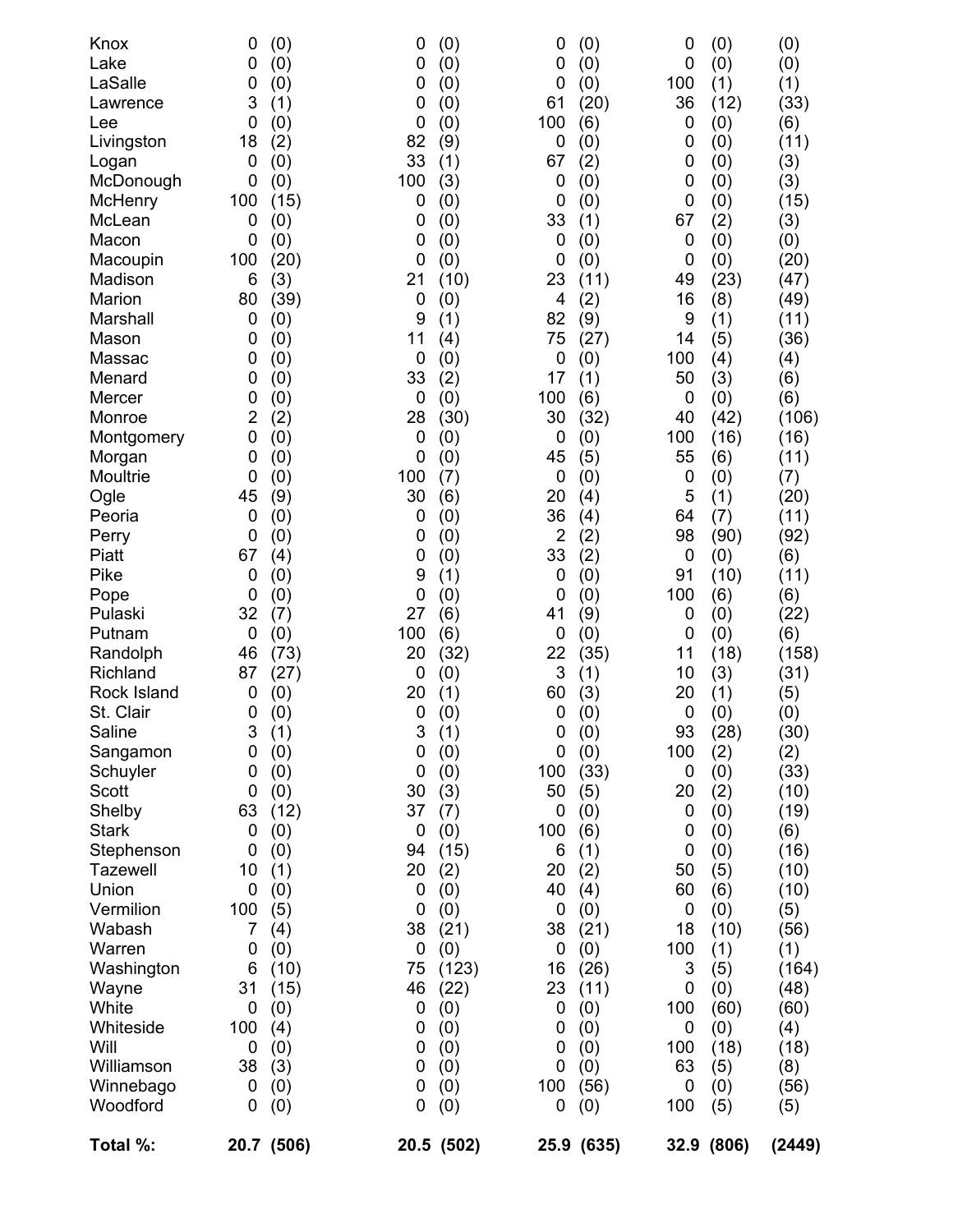| Total %:        |                | 20.7 (506) |             | 20.5 (502) |                | 25.9 (635) |          | 32.9 (806) | (2449) |
|-----------------|----------------|------------|-------------|------------|----------------|------------|----------|------------|--------|
| Woodford        | 0              | (0)        | 0           | (0)        | 0              | (0)        | 100      | (5)        | (5)    |
| Winnebago       | 0              | (0)        | 0           | (0)        | 100            | (56)       | 0        | (0)        | (56)   |
| Williamson      | 38             | (3)        | 0           | (0)        | 0              | (0)        | 63       | (5)        | (8)    |
|                 | 0              | (0)        | 0           | (0)        | 0              | (0)        | 100      | (18)       | (18)   |
| Will            |                | (4)        |             | (0)        |                | (0)        |          | (0)        | (4)    |
| Whiteside       | 100            | (0)        | 0<br>0      | (0)        | 0<br>0         | (0)        | 100<br>0 | (60)       | (60)   |
| Wayne<br>White  | 31<br>0        | (15)       | 46          | (22)       | 23             | (11)       | 0        | (0)        | (48)   |
| Washington      | 6              | (10)       | 75          | (123)      | 16             | (26)       | 3        | (5)        | (164)  |
| Warren          | 0              | (0)        | 0           | (0)        | 0              | (0)        | 100      | (1)        | (1)    |
| Wabash          | 7              | (4)        | 38          | (21)       | 38             | (21)       | 18       | (10)       | (56)   |
| Vermilion       | 100            | (5)        | 0           | (0)        | 0              | (0)        | 0        | (0)        | (5)    |
| Union           | $\mathbf 0$    | (0)        | 0           | (0)        | 40             | (4)        | 60       | (6)        | (10)   |
| <b>Tazewell</b> | 10             | (1)        | 20          | (2)        | 20             | (2)        | 50       | (5)        | (10)   |
| Stephenson      | 0              | (0)        | 94          | (15)       | 6              | (1)        | 0        | (0)        | (16)   |
| <b>Stark</b>    | 0              | (0)        | 0           | (0)        | 100            | (6)        | 0        | (0)        | (6)    |
| Shelby          | 63             | (12)       | 37          | (7)        | 0              | (0)        | 0        | (0)        | (19)   |
| Scott           | 0              | (0)        | 30          | (3)        | 50             | (5)        | 20       | (2)        | (10)   |
| Schuyler        |                | (0)        |             | (0)        |                | (33)       |          | (0)        | (33)   |
| Sangamon        | 0              | (0)        | 0           | (0)        | 100            | (0)        | 0        | (2)        | (2)    |
|                 | 0              | (1)        | $\mathbf 0$ | (1)        | 0              | (0)        | 100      |            |        |
| Saline          | 3              |            | 3           |            | $\mathbf 0$    |            | 93       | (28)       | (30)   |
| St. Clair       | 0              | (0)        | $\mathbf 0$ | (0)        | 0              | (0)        | 0        | (0)        | (0)    |
| Rock Island     | 0              | (0)        | 20          | (1)        | 60             | (3)        | 20       | (1)        | (5)    |
| Richland        | 87             | (27)       | 0           | (0)        | 3              | (1)        | 10       | (3)        | (31)   |
| Randolph        | 46             | (73)       | 20          | (32)       | 22             | (35)       | 11       | (18)       | (158)  |
| Putnam          | 0              | (0)        | 100         | (6)        | 0              | (0)        | 0        | (0)        | (6)    |
| Pulaski         | 32             | (7)        | 27          | (6)        | 41             | (9)        | 0        | (0)        | (22)   |
| Pope            | 0              | (0)        | 0           | (0)        | 0              | (0)        | 100      | (6)        | (6)    |
| Pike            | 0              | (0)        | 9           | (1)        | 0              | (0)        | 91       | (10)       | (11)   |
| Piatt           | 67             | (4)        | 0           | (0)        | 33             | (2)        | 0        | (0)        | (6)    |
| Perry           | 0              | (0)        | 0           | (0)        | $\overline{2}$ | (2)        | 98       | (90)       | (92)   |
| Peoria          | 0              | (0)        | 0           | (0)        | 36             | (4)        | 64       | (7)        | (11)   |
| Ogle            | 45             | (9)        | 30          | (6)        | 20             | (4)        | 5        | (1)        | (20)   |
| Moultrie        | 0              | (0)        | 100         | (7)        | 0              | (0)        | 0        | (0)        | (7)    |
| Morgan          | 0              | (0)        | 0           | (0)        | 45             | (5)        | 55       | (6)        | (11)   |
| Montgomery      | 0              | (0)        | 0           | (0)        | 0              | (0)        | 100      | (16)       | (16)   |
| Monroe          | $\overline{2}$ | (2)        | 28          | (30)       | 30             | (32)       | 40       | (42)       | (106)  |
| Mercer          | 0              | (0)        | 0           | (0)        | 100            | (6)        | 0        | (0)        | (6)    |
| Menard          | 0              | (0)        | 33          | (2)        | 17             | (1)        | 50       | (3)        | (6)    |
| Massac          | 0              | (0)        | 0           | (0)        | 0              | (0)        | 100      | (4)        | (4)    |
| Mason           | 0              | (0)        | 11          | (4)        | 75             | (27)       | 14       | (5)        | (36)   |
| Marshall        | 0              | (0)        | 9           | (1)        | 82             | (9)        | 9        | (1)        | (11)   |
| Marion          | 80             | (39)       | 0           | (0)        | 4              | (2)        | 16       | (8)        | (49)   |
| Madison         | 6              | (3)        | 21          | (10)       | 23             | (11)       | 49       | (23)       | (47)   |
| Macoupin        | 100            | (20)       | 0           | (0)        | 0              | (0)        | 0        | (0)        | (20)   |
| Macon           | 0              | (0)        | 0           | (0)        | 0              | (0)        | 0        | (0)        | (0)    |
| McLean          | 0              | (0)        | 0           | (0)        | 33             | (1)        | 67       | (2)        | (3)    |
| McHenry         | 100            | (15)       | 0           | (0)        | 0              | (0)        | 0        | (0)        | (15)   |
| McDonough       | 0              | (0)        | 100         | (3)        | 0              | (0)        | 0        | (0)        | (3)    |
| Logan           | 0              | (0)        | 33          | (1)        | 67             | (2)        | 0        | (0)        | (3)    |
| Livingston      | 18             | (2)        | 82          | (9)        | 0              | (0)        | 0        | (0)        | (11)   |
| Lee             | 0              | (0)        | 0           | (0)        | 100            | (6)        | 0        | (0)        | (6)    |
| Lawrence        | 3              | (1)        | 0           | (0)        | 61             | (20)       | 36       | (12)       | (33)   |
| LaSalle         | 0              | (0)        | 0           | (0)        | 0              | (0)        | 100      | (1)        | (1)    |
| Lake            | 0              | (0)        | 0           | (0)        | 0              | (0)        | 0        | (0)        | (0)    |
| Knox            | 0              | (0)        | 0           | (0)        | 0              | (0)        | 0        | (0)        | (0)    |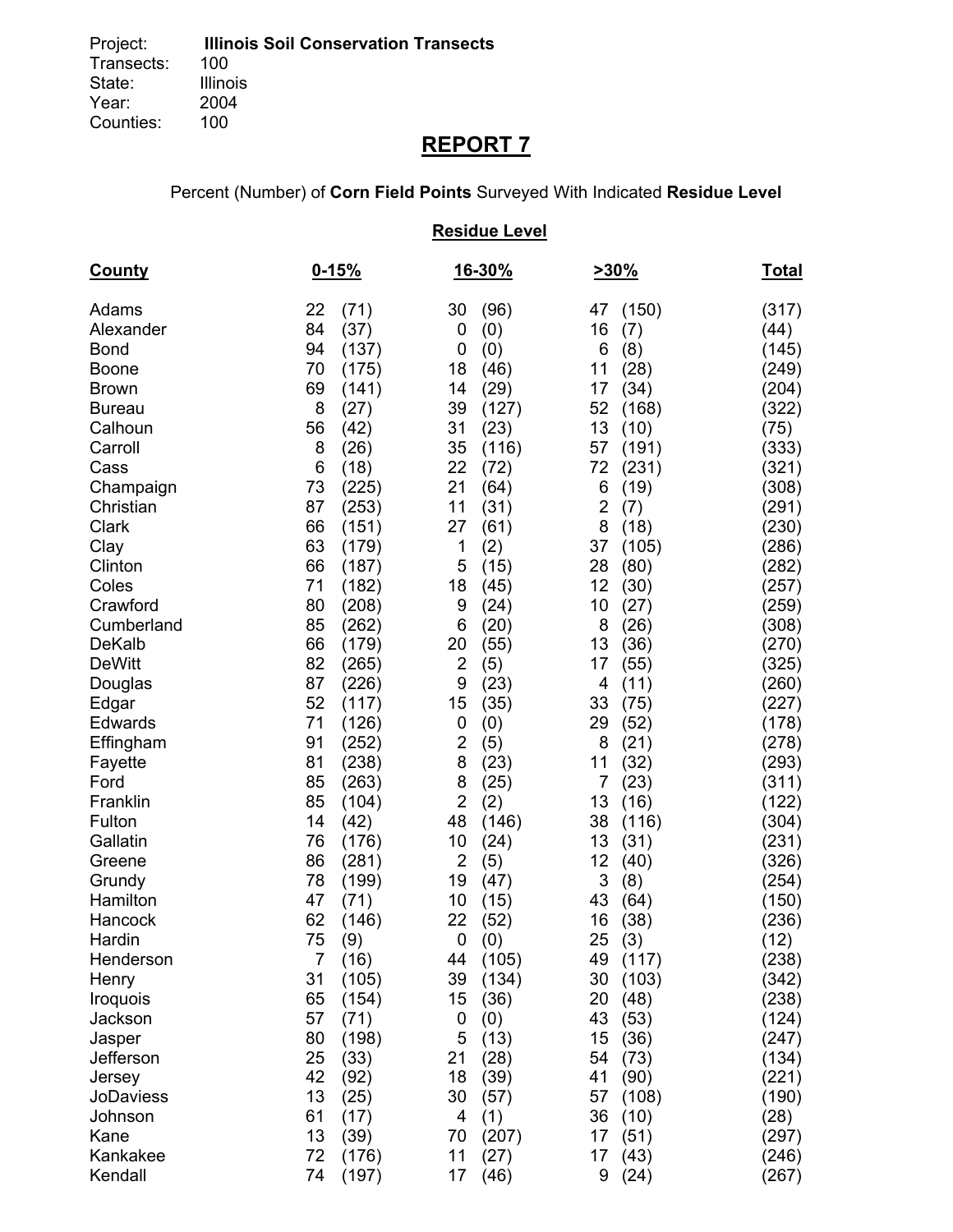# **REPORT 7**

Percent (Number) of **Corn Field Points** Surveyed With Indicated **Residue Level**

## **Residue Level**

| <b>County</b>    | $0 - 15%$  |                                  | 16-30% | 230%                           | <u>Total</u> |
|------------------|------------|----------------------------------|--------|--------------------------------|--------------|
| Adams            | (71)<br>22 | 30                               | (96)   | (150)<br>47                    | (317)        |
| Alexander        | 84<br>(37) | 0                                | (0)    | 16<br>(7)                      | (44)         |
| <b>Bond</b>      | 94         | (137)<br>$\mathbf 0$             | (0)    | 6<br>(8)                       | (145)        |
| <b>Boone</b>     | 70         | 18<br>(175)                      | (46)   | 11<br>(28)                     | (249)        |
| <b>Brown</b>     | 69         | 14<br>(141)                      | (29)   | 17<br>(34)                     | (204)        |
| <b>Bureau</b>    | 8<br>(27)  | 39                               | (127)  | 52<br>(168)                    | (322)        |
| Calhoun          | 56<br>(42) | 31                               | (23)   | 13<br>(10)                     | (75)         |
| Carroll          | 8<br>(26)  | 35                               | (116)  | 57<br>(191)                    | (333)        |
| Cass             | 6<br>(18)  | 22                               | (72)   | 72<br>(231)                    | (321)        |
| Champaign        | 73         | (225)<br>21                      | (64)   | 6<br>(19)                      | (308)        |
| Christian        | 87         | (253)<br>11                      | (31)   | $\overline{\mathbf{c}}$<br>(7) | (291)        |
| Clark            | 66         | (151)<br>27                      | (61)   | 8<br>(18)                      | (230)        |
| Clay             | 63         | (179)<br>1                       | (2)    | 37<br>(105)                    | (286)        |
| Clinton          | 66         | 5<br>(187)                       | (15)   | 28<br>(80)                     | (282)        |
| Coles            | 71         | (182)<br>18                      | (45)   | 12<br>(30)                     | (257)        |
| Crawford         | 80         | (208)<br>9                       | (24)   | 10<br>(27)                     | (259)        |
| Cumberland       | 85         | (262)<br>6                       | (20)   | 8<br>(26)                      | (308)        |
| <b>DeKalb</b>    | 66         | (179)<br>20                      | (55)   | 13<br>(36)                     | (270)        |
| <b>DeWitt</b>    | 82         | (265)<br>$\overline{2}$          | (5)    | 17<br>(55)                     | (325)        |
| Douglas          | 87         | (226)<br>9                       | (23)   | 4<br>(11)                      | (260)        |
| Edgar            | 52         | (117)<br>15                      | (35)   | 33<br>(75)                     | (227)        |
| Edwards          | 71         | (126)<br>0                       | (0)    | 29<br>(52)                     | (178)        |
| Effingham        | 91         | $\overline{c}$<br>(252)          | (5)    | 8<br>(21)                      | (278)        |
| Fayette          | 81         | 8<br>(238)                       | (23)   | 11<br>(32)                     | (293)        |
| Ford             | 85         | 8<br>(263)                       | (25)   | 7<br>(23)                      | (311)        |
| Franklin         | 85         | $\overline{2}$<br>(104)          | (2)    | 13<br>(16)                     | (122)        |
| Fulton           | (42)<br>14 | 48                               | (146)  | 38<br>(116)                    | (304)        |
| Gallatin         | 76         | (176)<br>10                      | (24)   | 13<br>(31)                     | (231)        |
| Greene           | 86         | $\overline{\mathbf{c}}$<br>(281) | (5)    | 12<br>(40)                     | (326)        |
| Grundy           | 78         | (199)<br>19                      | (47)   | 3<br>(8)                       | (254)        |
| Hamilton         | 47<br>(71) | 10                               | (15)   | 43<br>(64)                     | (150)        |
| Hancock          | 62         | 22<br>(146)                      | (52)   | 16<br>(38)                     | (236)        |
| Hardin           | 75<br>(9)  | $\mathbf 0$                      | (0)    | 25<br>(3)                      | (12)         |
| Henderson        | 7<br>(16)  | 44                               | (105)  | 49<br>(117)                    | (238)        |
| Henry            | 31         | 39<br>(105)                      | (134)  | 30<br>(103)                    | (342)        |
| Iroquois         | 65         | 15<br>(154)                      | (36)   | 20<br>(48)                     | (238)        |
| Jackson          | 57<br>(71) | 0                                | (0)    | 43<br>(53)                     | (124)        |
| Jasper           | 80         | (198)<br>5                       | (13)   | 15<br>(36)                     | (247)        |
| Jefferson        | 25<br>(33) | 21                               | (28)   | 54<br>(73)                     | (134)        |
| Jersey           | 42<br>(92) | 18                               | (39)   | 41<br>(90)                     | (221)        |
| <b>JoDaviess</b> | 13<br>(25) | 30                               | (57)   | 57<br>(108)                    | (190)        |
| Johnson          | 61<br>(17) | 4                                | (1)    | 36<br>(10)                     | (28)         |
| Kane             | 13<br>(39) | 70                               | (207)  | 17<br>(51)                     | (297)        |
| Kankakee         | 72         | (176)<br>11                      | (27)   | 17<br>(43)                     | (246)        |
| Kendall          | 74         | 17<br>(197)                      | (46)   | (24)<br>9                      | (267)        |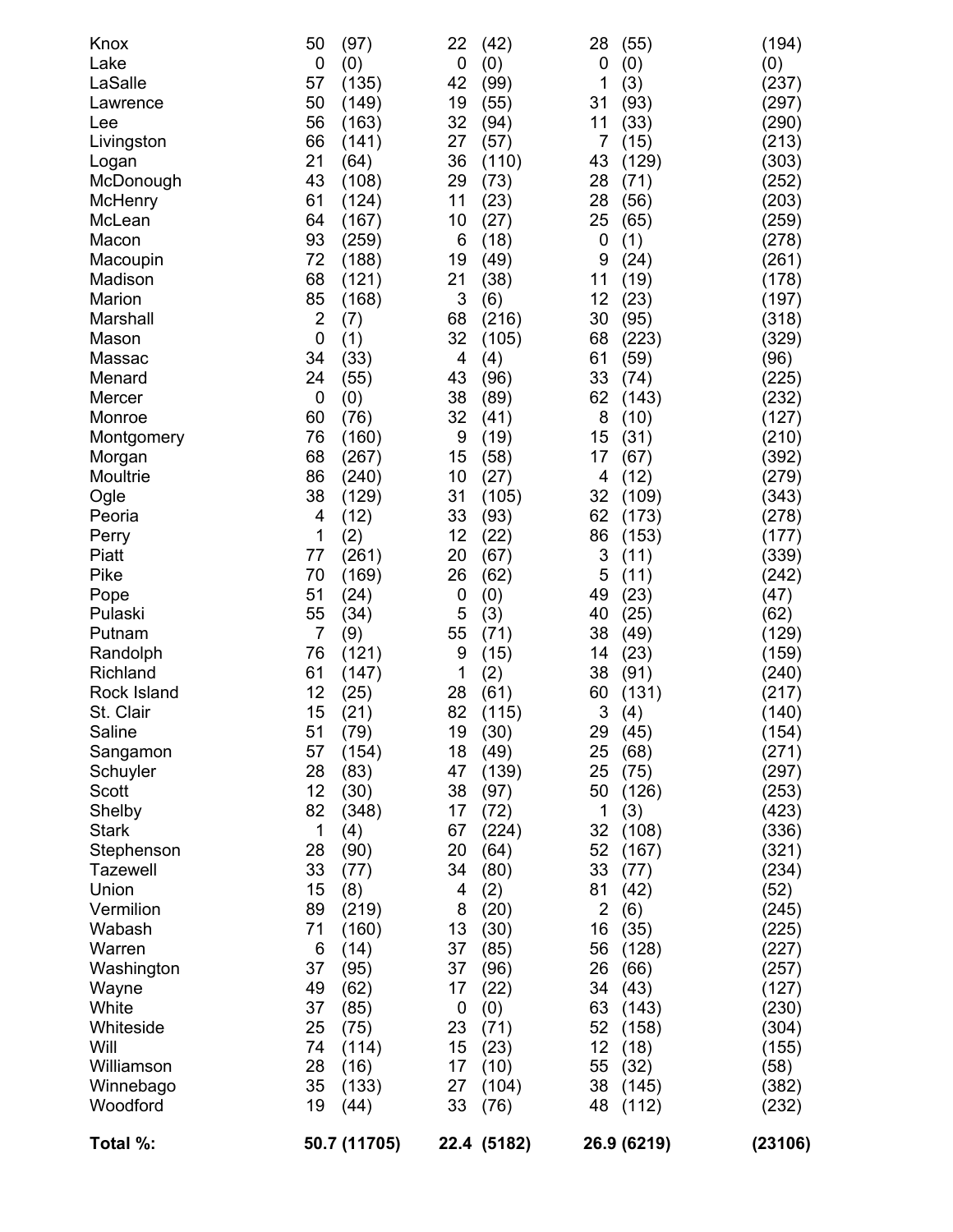| Total %:                      | 50.7 (11705)          | 22.4 (5182)             | 26.9 (6219)    | (23106) |
|-------------------------------|-----------------------|-------------------------|----------------|---------|
|                               |                       |                         |                |         |
| Woodford                      | 19<br>(44)            | 33<br>(76)              | 48<br>(112)    | (232)   |
| Winnebago                     | 35<br>(133)           | 27<br>(104)             | 38<br>(145)    | (382)   |
| Williamson                    | 28<br>(16)            | 17<br>(10)              | 55<br>(32)     | (58)    |
| Will                          | 74<br>(114)           | 15<br>(23)              | (18)<br>12     | (155)   |
| Whiteside                     | 25<br>(75)            | 23<br>(71)              | 52<br>(158)    | (304)   |
| White                         | 37<br>(85)            | $\boldsymbol{0}$<br>(0) | 63<br>(143)    | (230)   |
| Wayne                         | 49<br>(62)            | (22)<br>17              | (43)<br>34     | (127)   |
| Washington                    | 37<br>(95)            | 37<br>(96)              | 26<br>(66)     | (257)   |
| Warren                        | 6<br>(14)             | 37<br>(85)              | 56<br>(128)    | (227)   |
| Wabash                        | 71<br>(160)           | 13<br>(30)              | 16<br>(35)     | (225)   |
| Vermilion                     | (219)                 | (20)                    | (6)            | (245)   |
|                               | (8)<br>89             | (2)<br>8                | $\overline{2}$ | (52)    |
| Union                         | 15                    | 4                       | (42)<br>81     |         |
| Stephenson<br><b>Tazewell</b> | 33<br>(77)            | 34<br>(80)              | 33<br>(77)     | (234)   |
|                               | 28<br>(90)            | 20<br>(64)              | 52<br>(167)    | (321)   |
| <b>Stark</b>                  | 1<br>(4)              | 67<br>(224)             | 32<br>(108)    | (336)   |
| Shelby                        | 82<br>(348)           | 17<br>(72)              | 1<br>(3)       | (423)   |
| Scott                         | 12<br>(30)            | 38<br>(97)              | 50<br>(126)    | (253)   |
| Schuyler                      | 28<br>(83)            | 47<br>(139)             | 25<br>(75)     | (297)   |
| Sangamon                      | 57<br>(154)           | 18<br>(49)              | 25<br>(68)     | (271)   |
| Saline                        | 51<br>(79)            | 19<br>(30)              | 29 (45)        | (154)   |
| St. Clair                     | 15<br>(21)            | 82<br>(115)             | 3<br>(4)       | (140)   |
| Rock Island                   | 12<br>(25)            | 28<br>(61)              | (131)<br>60    | (217)   |
| Richland                      | 61<br>(147)           | 1<br>(2)                | 38<br>(91)     | (240)   |
| Randolph                      | 76<br>(121)           | 9<br>(15)               | (23)<br>14     | (159)   |
| Putnam                        | $\overline{7}$<br>(9) | 55<br>(71)              | 38<br>(49)     | (129)   |
|                               |                       |                         |                |         |
| Pulaski                       | 55<br>(34)            | 5<br>(3)                | (25)<br>40     | (62)    |
| Pope                          | 51<br>(24)            | 0<br>(0)                | 49<br>(23)     | (47)    |
| Pike                          | 70<br>(169)           | 26<br>(62)              | 5<br>(11)      | (242)   |
| Piatt                         | 77<br>(261)           | 20<br>(67)              | 3<br>(11)      | (339)   |
| Perry                         | 1<br>(2)              | 12<br>(22)              | 86<br>(153)    | (177)   |
| Peoria                        | (12)<br>4             | 33<br>(93)              | 62<br>(173)    | (278)   |
| Ogle                          | 38<br>(129)           | 31<br>(105)             | (109)<br>32    | (343)   |
| Moultrie                      | 86<br>(240)           | 10<br>(27)              | (12)<br>4      | (279)   |
| Morgan                        | 68<br>(267)           | 15<br>(58)              | (67)<br>17     | (392)   |
| Montgomery                    | 76<br>(160)           | 9<br>(19)               | 15<br>(31)     | (210)   |
| Monroe                        | 60<br>(76)            | 32<br>(41)              | 8<br>(10)      | (127)   |
| Mercer                        | 0<br>(0)              | 38<br>(89)              | 62<br>(143)    | (232)   |
|                               | (55)                  |                         |                |         |
| Menard                        | 24                    | 43<br>(96)              | 33<br>(74)     | (225)   |
| Massac                        | 34<br>(33)            | 4<br>(4)                | 61<br>(59)     | (96)    |
| Mason                         | $\mathbf 0$<br>(1)    | 32<br>(105)             | (223)<br>68    | (329)   |
| Marshall                      | $\overline{2}$<br>(7) | 68<br>(216)             | (95)<br>30     | (318)   |
| Marion                        | 85<br>(168)           | 3<br>(6)                | (23)<br>12     | (197)   |
| Madison                       | 68<br>(121)           | 21<br>(38)              | 11<br>(19)     | (178)   |
| Macoupin                      | 72<br>(188)           | 19<br>(49)              | (24)<br>9      | (261)   |
| Macon                         | 93<br>(259)           | 6<br>(18)               | 0<br>(1)       | (278)   |
| McLean                        | 64<br>(167)           | 10<br>(27)              | 25<br>(65)     | (259)   |
| McHenry                       | 61<br>(124)           | 11<br>(23)              | 28<br>(56)     | (203)   |
| McDonough                     | 43<br>(108)           | 29<br>(73)              | 28<br>(71)     | (252)   |
| Logan                         | 21<br>(64)            | 36<br>(110)             | (129)<br>43    | (303)   |
| Livingston                    | 66<br>(141)           | 27<br>(57)              | (15)<br>7      | (213)   |
| Lee                           | 56<br>(163)           | 32<br>(94)              | 11<br>(33)     | (290)   |
| Lawrence                      | 50<br>(149)           | 19<br>(55)              | (93)<br>31     | (297)   |
| LaSalle                       | 57<br>(135)           | 42<br>(99)              | 1<br>(3)       | (237)   |
|                               | $\mathbf 0$<br>(0)    | $\mathbf 0$<br>(0)      | 0<br>(0)       | (0)     |
| Lake                          |                       |                         |                |         |
| Knox                          | 50<br>(97)            | 22<br>(42)              | 28<br>(55)     | (194)   |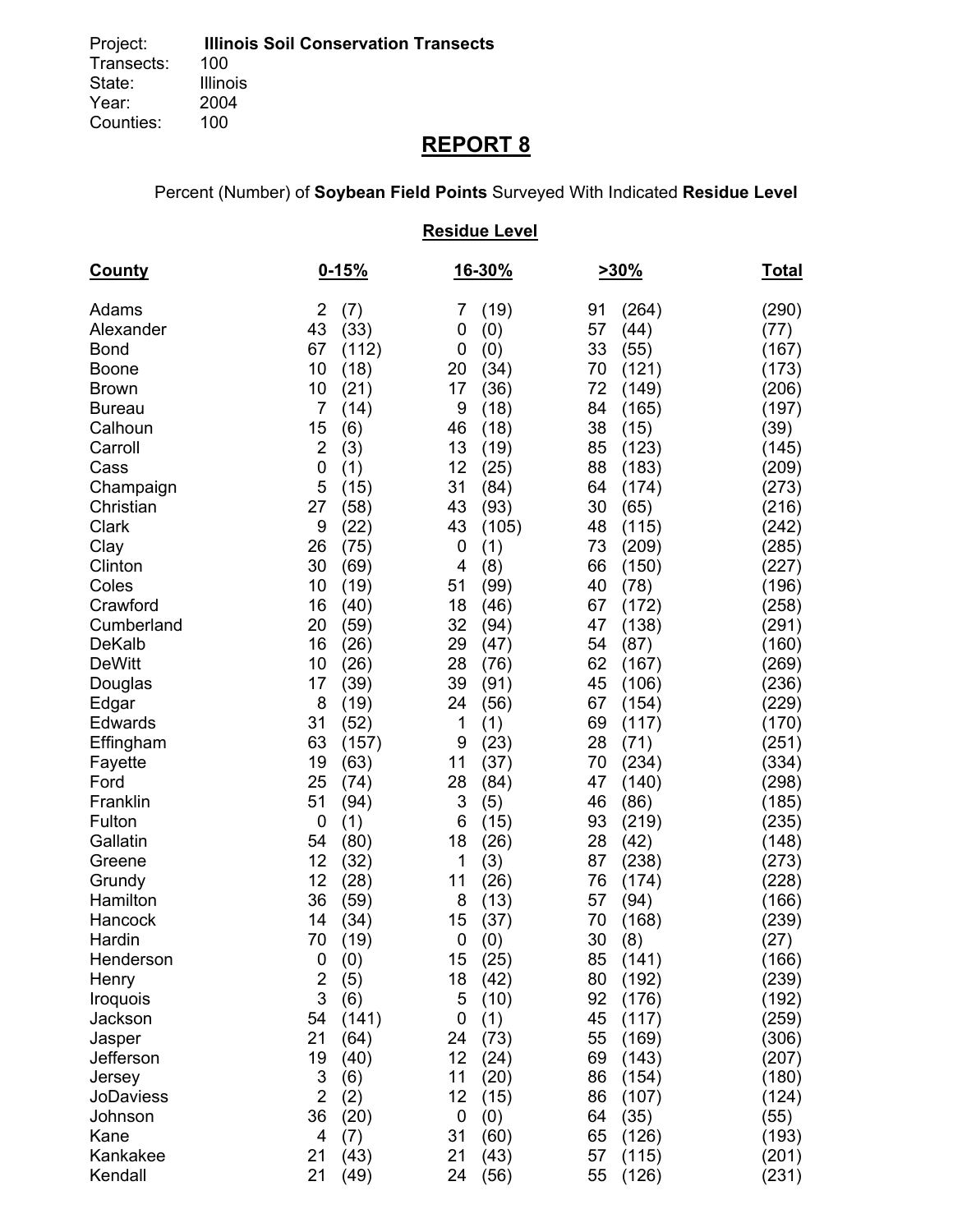# **REPORT 8**

Percent (Number) of **Soybean Field Points** Surveyed With Indicated **Residue Level**

## **Residue Level**

| <b>County</b>    | $0 - 15%$             | 16-30%             | 230%        | <b>Total</b> |
|------------------|-----------------------|--------------------|-------------|--------------|
| Adams            | $\overline{2}$<br>(7) | (19)<br>7          | (264)<br>91 | (290)        |
| Alexander        | 43<br>(33)            | 0<br>(0)           | 57<br>(44)  | (77)         |
| <b>Bond</b>      | 67<br>(112)           | 0<br>(0)           | 33<br>(55)  | (167)        |
| <b>Boone</b>     | 10<br>(18)            | 20<br>(34)         | (121)<br>70 | (173)        |
| <b>Brown</b>     | 10<br>(21)            | 17<br>(36)         | 72<br>(149) | (206)        |
| <b>Bureau</b>    | 7<br>(14)             | 9<br>(18)          | 84<br>(165) | (197)        |
| Calhoun          | 15<br>(6)             | 46<br>(18)         | 38<br>(15)  | (39)         |
| Carroll          | $\overline{2}$<br>(3) | 13<br>(19)         | 85<br>(123) | (145)        |
| Cass             | $\mathbf 0$<br>(1)    | 12<br>(25)         | 88<br>(183) | (209)        |
| Champaign        | 5<br>(15)             | 31<br>(84)         | 64<br>(174) | (273)        |
| Christian        | (58)<br>27            | 43<br>(93)         | (65)<br>30  | (216)        |
| Clark            | 9<br>(22)             | 43<br>(105)        | 48<br>(115) | (242)        |
| Clay             | 26<br>(75)            | (1)<br>0           | 73<br>(209) | (285)        |
| Clinton          | 30<br>(69)            | (8)<br>4           | 66<br>(150) | (227)        |
| Coles            | 10<br>(19)            | 51<br>(99)         | 40<br>(78)  | (196)        |
| Crawford         | 16<br>(40)            | 18<br>(46)         | 67<br>(172) | (258)        |
| Cumberland       | 20<br>(59)            | 32<br>(94)         | (138)<br>47 | (291)        |
| <b>DeKalb</b>    | 16<br>(26)            | 29<br>(47)         | 54<br>(87)  | (160)        |
| <b>DeWitt</b>    | 10<br>(26)            | 28<br>(76)         | 62<br>(167) | (269)        |
| Douglas          | 17<br>(39)            | 39<br>(91)         | 45<br>(106) | (236)        |
| Edgar            | 8<br>(19)             | 24<br>(56)         | 67<br>(154) | (229)        |
| Edwards          | (52)<br>31            | (1)<br>1           | 69<br>(117) | (170)        |
| Effingham        | 63<br>(157)           | 9<br>(23)          | 28<br>(71)  | (251)        |
| Fayette          | 19<br>(63)            | 11<br>(37)         | 70<br>(234) | (334)        |
| Ford             | 25<br>(74)            | 28<br>(84)         | 47<br>(140) | (298)        |
| Franklin         | 51<br>(94)            | 3<br>(5)           | 46<br>(86)  | (185)        |
| Fulton           | $\mathbf 0$<br>(1)    | (15)<br>6          | 93<br>(219) | (235)        |
| Gallatin         | 54<br>(80)            | 18<br>(26)         | (42)<br>28  | (148)        |
| Greene           | 12<br>(32)            | (3)<br>1           | 87<br>(238) | (273)        |
| Grundy           | 12<br>(28)            | 11<br>(26)         | 76<br>(174) | (228)        |
| Hamilton         | 36<br>(59)            | 8<br>(13)          | 57<br>(94)  | (166)        |
| Hancock          | 14<br>(34)            | 15<br>(37)         | 70<br>(168) | (239)        |
| Hardin           | 70<br>(19)            | 0<br>(0)           | 30<br>(8)   | (27)         |
| Henderson        | 0<br>(0)              | 15<br>(25)         | 85<br>(141) | (166)        |
| Henry            | $\overline{2}$<br>(5) | 18<br>(42)         | 80<br>(192) | (239)        |
| Iroquois         | 3<br>(6)              | 5<br>(10)          | 92<br>(176) | (192)        |
| Jackson          | 54<br>(141)           | (1)<br>0           | (117)<br>45 | (259)        |
| Jasper           | 21<br>(64)            | 24<br>(73)         | 55<br>(169) | (306)        |
| Jefferson        | 19<br>(40)            | 12<br>(24)         | (143)<br>69 | (207)        |
| Jersey           | 3<br>(6)              | 11<br>(20)         | 86<br>(154) | (180)        |
| <b>JoDaviess</b> | $\overline{2}$<br>(2) | 12<br>(15)         | 86<br>(107) | (124)        |
| Johnson          | 36<br>(20)            | $\mathbf 0$<br>(0) | 64<br>(35)  | (55)         |
| Kane             | 4<br>(7)              | 31<br>(60)         | 65<br>(126) | (193)        |
| Kankakee         | 21<br>(43)            | 21<br>(43)         | 57<br>(115) | (201)        |
| Kendall          | 21<br>(49)            | 24<br>(56)         | 55<br>(126) | (231)        |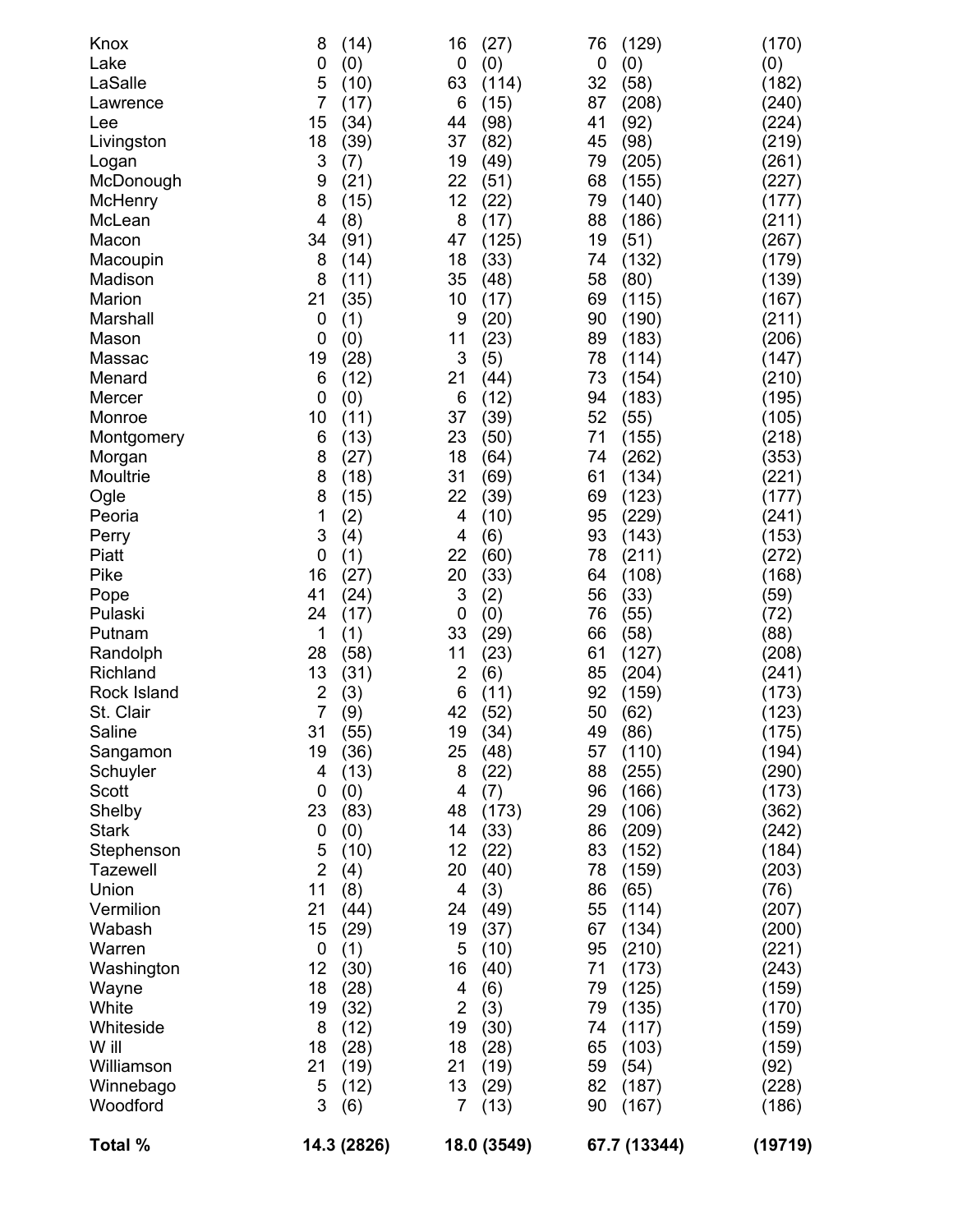| (206)<br>(147)<br>(210)<br>(195)<br>(105)<br>(218)<br>(353)<br>(221)<br>(177)<br>(241)<br>(153)<br>(272)<br>(168)<br>(59)<br>(72)<br>(88)<br>(208)<br>(241)<br>(173)<br>(123)<br>(175)<br>(194)<br>(290)<br>(173)<br>(362)<br>(242)<br>(184)<br>(203)<br>(76)<br>(207)<br>(200)<br>(221)<br>(243)<br>(159)<br>(170)<br>(159)<br>(159)<br>(92)<br>(228)<br>(186) |
|-----------------------------------------------------------------------------------------------------------------------------------------------------------------------------------------------------------------------------------------------------------------------------------------------------------------------------------------------------------------|
|                                                                                                                                                                                                                                                                                                                                                                 |
|                                                                                                                                                                                                                                                                                                                                                                 |
|                                                                                                                                                                                                                                                                                                                                                                 |
|                                                                                                                                                                                                                                                                                                                                                                 |
|                                                                                                                                                                                                                                                                                                                                                                 |
|                                                                                                                                                                                                                                                                                                                                                                 |
|                                                                                                                                                                                                                                                                                                                                                                 |
|                                                                                                                                                                                                                                                                                                                                                                 |
|                                                                                                                                                                                                                                                                                                                                                                 |
|                                                                                                                                                                                                                                                                                                                                                                 |
|                                                                                                                                                                                                                                                                                                                                                                 |
|                                                                                                                                                                                                                                                                                                                                                                 |
|                                                                                                                                                                                                                                                                                                                                                                 |
|                                                                                                                                                                                                                                                                                                                                                                 |
|                                                                                                                                                                                                                                                                                                                                                                 |
|                                                                                                                                                                                                                                                                                                                                                                 |
|                                                                                                                                                                                                                                                                                                                                                                 |
|                                                                                                                                                                                                                                                                                                                                                                 |
|                                                                                                                                                                                                                                                                                                                                                                 |
|                                                                                                                                                                                                                                                                                                                                                                 |
|                                                                                                                                                                                                                                                                                                                                                                 |
|                                                                                                                                                                                                                                                                                                                                                                 |
|                                                                                                                                                                                                                                                                                                                                                                 |
|                                                                                                                                                                                                                                                                                                                                                                 |
|                                                                                                                                                                                                                                                                                                                                                                 |
|                                                                                                                                                                                                                                                                                                                                                                 |
|                                                                                                                                                                                                                                                                                                                                                                 |
|                                                                                                                                                                                                                                                                                                                                                                 |
|                                                                                                                                                                                                                                                                                                                                                                 |
|                                                                                                                                                                                                                                                                                                                                                                 |
|                                                                                                                                                                                                                                                                                                                                                                 |
|                                                                                                                                                                                                                                                                                                                                                                 |
|                                                                                                                                                                                                                                                                                                                                                                 |
|                                                                                                                                                                                                                                                                                                                                                                 |
|                                                                                                                                                                                                                                                                                                                                                                 |
|                                                                                                                                                                                                                                                                                                                                                                 |
|                                                                                                                                                                                                                                                                                                                                                                 |
|                                                                                                                                                                                                                                                                                                                                                                 |
|                                                                                                                                                                                                                                                                                                                                                                 |
|                                                                                                                                                                                                                                                                                                                                                                 |
|                                                                                                                                                                                                                                                                                                                                                                 |
| (211)                                                                                                                                                                                                                                                                                                                                                           |
| (167)                                                                                                                                                                                                                                                                                                                                                           |
| (139)                                                                                                                                                                                                                                                                                                                                                           |
|                                                                                                                                                                                                                                                                                                                                                                 |
| (179)                                                                                                                                                                                                                                                                                                                                                           |
| (267)                                                                                                                                                                                                                                                                                                                                                           |
| (211)                                                                                                                                                                                                                                                                                                                                                           |
| (177)                                                                                                                                                                                                                                                                                                                                                           |
| (227)                                                                                                                                                                                                                                                                                                                                                           |
| (261)                                                                                                                                                                                                                                                                                                                                                           |
| (219)                                                                                                                                                                                                                                                                                                                                                           |
| (224)                                                                                                                                                                                                                                                                                                                                                           |
| (240)                                                                                                                                                                                                                                                                                                                                                           |
| (182)                                                                                                                                                                                                                                                                                                                                                           |
| (0)                                                                                                                                                                                                                                                                                                                                                             |
| (170)                                                                                                                                                                                                                                                                                                                                                           |
|                                                                                                                                                                                                                                                                                                                                                                 |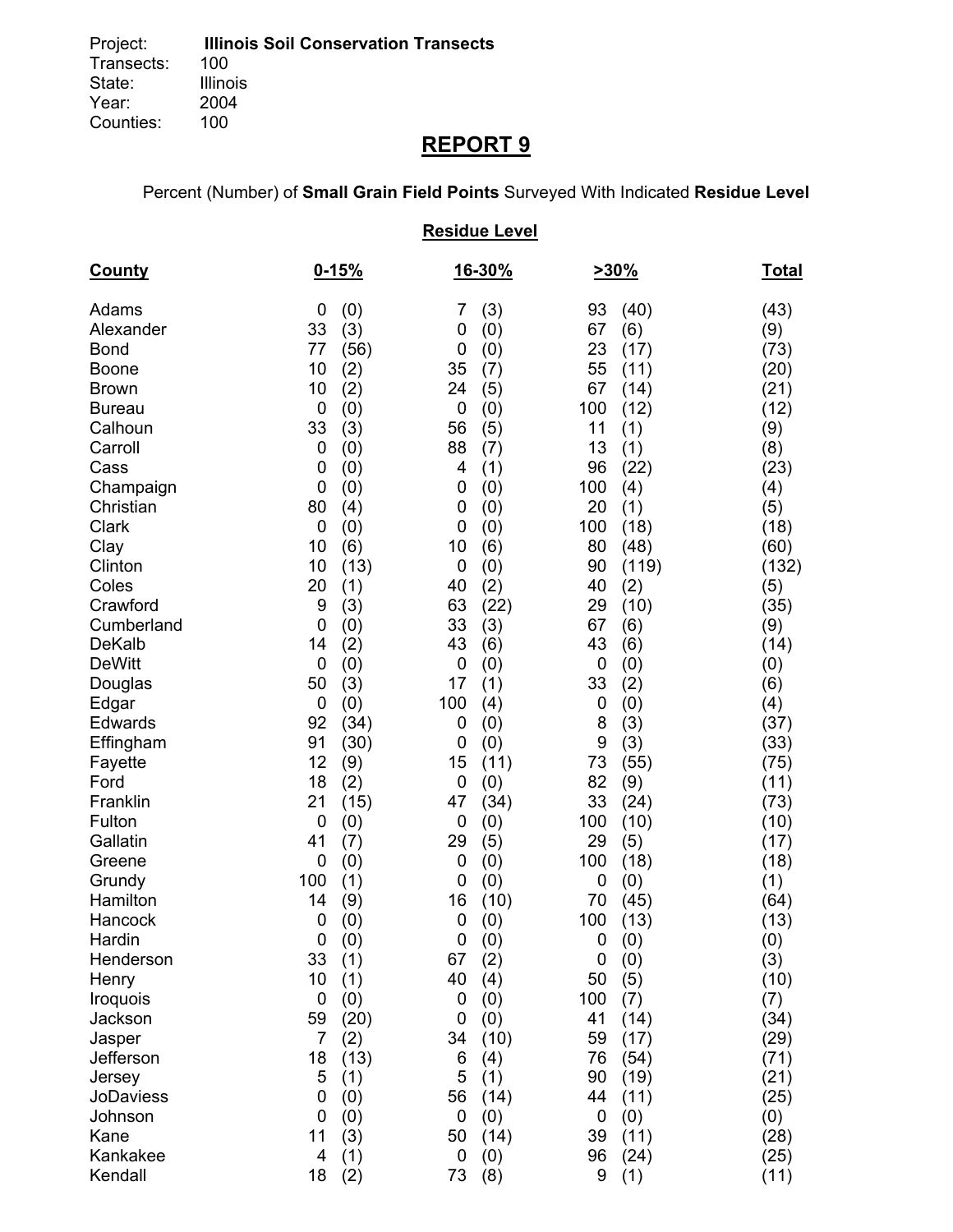# **REPORT 9**

Percent (Number) of **Small Grain Field Points** Surveyed With Indicated **Residue Level**

## **Residue Level**

| <b>County</b>          |                  | $0 - 15%$  |          | <u>16-30%</u> |             | 230%       | <u>Total</u> |
|------------------------|------------------|------------|----------|---------------|-------------|------------|--------------|
| Adams                  | 0                | (0)        | 7        | (3)           | 93          | (40)       | (43)         |
| Alexander              | 33               | (3)        | 0        | (0)           | 67          | (6)        | (9)          |
| <b>Bond</b>            | 77               | (56)       | 0        | (0)           | 23          | (17)       | (73)         |
| <b>Boone</b>           | 10               | (2)        | 35       | (7)           | 55          | (11)       | (20)         |
| <b>Brown</b>           | 10               | (2)        | 24       | (5)           | 67          | (14)       | (21)         |
| <b>Bureau</b>          | $\boldsymbol{0}$ | (0)        | 0        | (0)           | 100         | (12)       | (12)         |
| Calhoun                | 33               | (3)        | 56       | (5)           | 11          | (1)        | (9)          |
| Carroll                | $\mathbf 0$      | (0)        | 88       | (7)           | 13          | (1)        | (8)          |
| Cass                   | 0<br>0           | (0)        | 4<br>0   | (1)           | 96<br>100   | (22)       | (23)         |
| Champaign<br>Christian | 80               | (0)        | 0        | (0)           | 20          | (4)<br>(1) | (4)          |
| Clark                  | $\mathbf 0$      | (4)<br>(0) | 0        | (0)<br>(0)    | 100         | (18)       | (5)<br>(18)  |
| Clay                   | 10               | (6)        | 10       | (6)           | 80          | (48)       | (60)         |
| Clinton                | 10               | (13)       | 0        | (0)           | 90          | (119)      | (132)        |
| Coles                  | 20               | (1)        | 40       | (2)           | 40          | (2)        | (5)          |
| Crawford               | 9                | (3)        | 63       | (22)          | 29          | (10)       | (35)         |
| Cumberland             | 0                | (0)        | 33       | (3)           | 67          | (6)        | (9)          |
| <b>DeKalb</b>          | 14               | (2)        | 43       | (6)           | 43          | (6)        | (14)         |
| <b>DeWitt</b>          | $\mathbf 0$      | (0)        | 0        | (0)           | $\mathbf 0$ | (0)        | (0)          |
| Douglas                | 50               | (3)        | 17       | (1)           | 33          | (2)        | (6)          |
| Edgar                  | $\mathbf 0$      | (0)        | 100      | (4)           | 0           | (0)        | (4)          |
| Edwards                | 92               | (34)       | 0        | (0)           | 8           | (3)        | (37)         |
| Effingham              | 91               | (30)       | 0        | (0)           | 9           | (3)        | (33)         |
| Fayette                | 12               | (9)        | 15       | (11)          | 73          | (55)       | (75)         |
| Ford                   | 18               | (2)        | 0        | (0)           | 82          | (9)        | (11)         |
| Franklin               | 21               | (15)       | 47       | (34)          | 33          | (24)       | (73)         |
| Fulton                 | $\mathbf 0$      | (0)        | 0        | (0)           | 100         | (10)       | (10)         |
| Gallatin               | 41               | (7)        | 29       | (5)           | 29          | (5)        | (17)         |
| Greene                 | $\mathbf 0$      | (0)        | 0        | (0)           | 100         | (18)       | (18)         |
| Grundy                 | 100              | (1)        | 0        | (0)           | 0           | (0)        | (1)          |
| Hamilton               | 14               | (9)        | 16       | (10)          | 70          | (45)       | (64)         |
| Hancock                | $\mathbf 0$      | (0)        | 0        | (0)           | 100         | (13)       | (13)         |
| Hardin                 | 0                | (0)        | 0        | (0)           | 0           | (0)        | (0)          |
| Henderson<br>Henry     | 33<br>10         | (1)<br>(1) | 67<br>40 | (2)<br>(4)    | 0<br>50     | (0)        | (3)<br>(10)  |
| Iroquois               | $\mathbf 0$      | (0)        | 0        | (0)           | 100         | (5)<br>(7) | (7)          |
| Jackson                | 59               | (20)       | 0        | (0)           | 41          | (14)       | (34)         |
| Jasper                 | $\overline{7}$   | (2)        | 34       | (10)          | 59          | (17)       | (29)         |
| Jefferson              | 18               | (13)       | 6        | (4)           | 76          | (54)       | (71)         |
| Jersey                 | 5                | (1)        | 5        | (1)           | 90          | (19)       | (21)         |
| <b>JoDaviess</b>       | 0                | (0)        | 56       | (14)          | 44          | (11)       | (25)         |
| Johnson                | 0                | (0)        | 0        | (0)           | 0           | (0)        | (0)          |
| Kane                   | 11               | (3)        | 50       | (14)          | 39          | (11)       | (28)         |
| Kankakee               | 4                | (1)        | 0        | (0)           | 96          | (24)       | (25)         |
| Kendall                | 18               | (2)        | 73       | (8)           | 9           | (1)        | (11)         |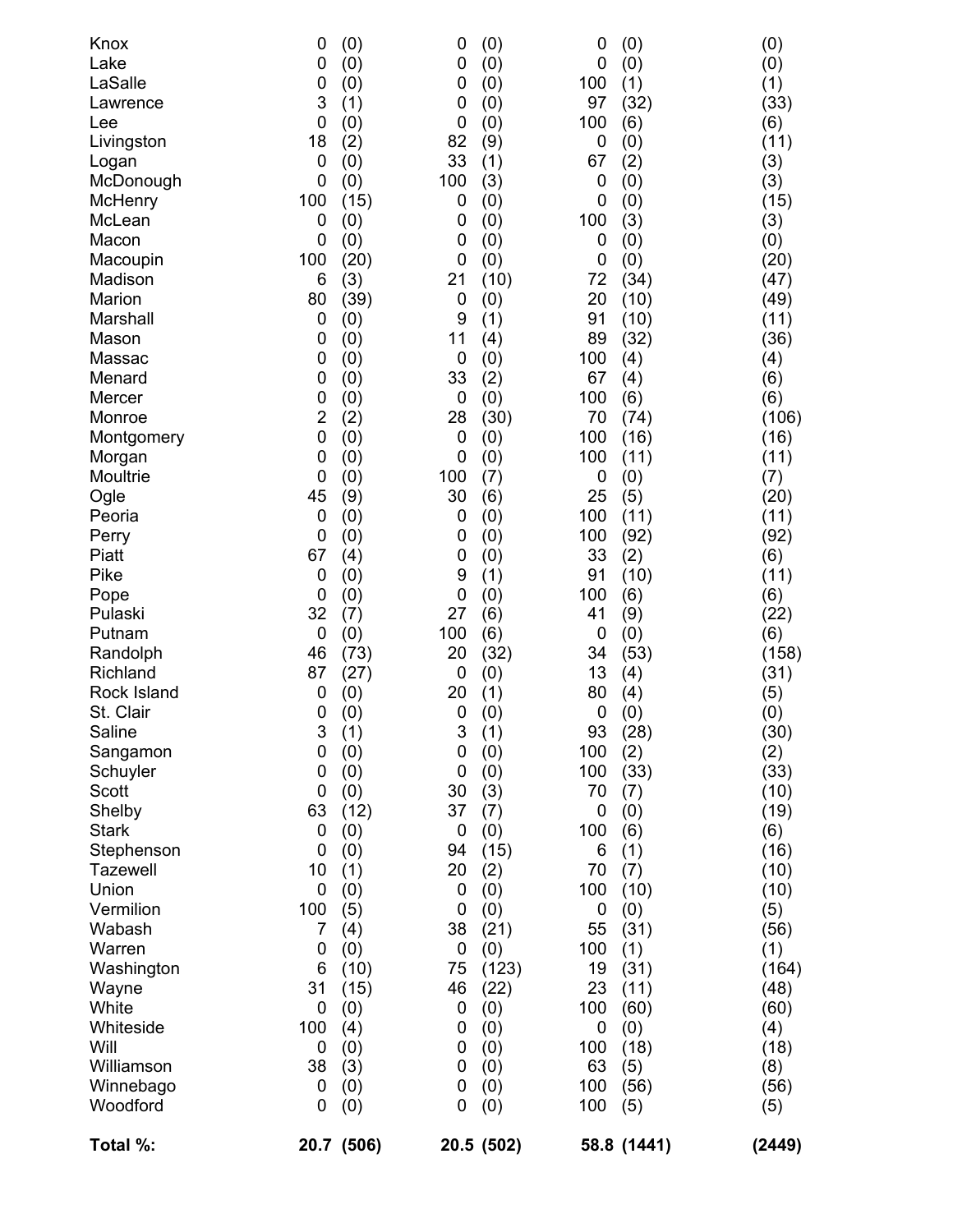| Knox            | 0              | (0)        | 0           | (0)        | 0           | (0)         | (0)    |
|-----------------|----------------|------------|-------------|------------|-------------|-------------|--------|
| Lake            | 0              | (0)        | $\mathbf 0$ | (0)        | $\mathbf 0$ | (0)         | (0)    |
| LaSalle         | 0              | (0)        | $\mathbf 0$ | (0)        | 100         | (1)         | (1)    |
| Lawrence        | 3              | (1)        | 0           | (0)        | 97          | (32)        | (33)   |
| Lee             | 0              | (0)        | 0           | (0)        | 100         | (6)         | (6)    |
| Livingston      | 18             | (2)        | 82          | (9)        | 0           | (0)         | (11)   |
| Logan           | $\mathbf 0$    | (0)        | 33          | (1)        | 67          | (2)         | (3)    |
| McDonough       | 0              | (0)        | 100         | (3)        | 0           | (0)         | (3)    |
| McHenry         | 100            | (15)       | 0           | (0)        | 0           | (0)         | (15)   |
| McLean          | 0              | (0)        | 0           | (0)        | 100         | (3)         | (3)    |
| Macon           | 0              | (0)        | 0           | (0)        | 0           | (0)         | (0)    |
| Macoupin        | 100            | (20)       | 0           | (0)        | $\mathbf 0$ | (0)         | (20)   |
| Madison         | 6              | (3)        | 21          | (10)       | 72          | (34)        | (47)   |
| Marion          | 80             | (39)       | $\mathbf 0$ | (0)        | 20          | (10)        | (49)   |
| Marshall        | $\mathbf 0$    | (0)        | 9           | (1)        | 91          | (10)        | (11)   |
| Mason           | 0              | (0)        | 11          | (4)        | 89          | (32)        | (36)   |
| Massac          | 0              | (0)        | 0           | (0)        | 100         | (4)         | (4)    |
| Menard          | 0              | (0)        | 33          | (2)        | 67          | (4)         | (6)    |
| Mercer          | 0              | (0)        | $\mathbf 0$ | (0)        | 100         | (6)         | (6)    |
| Monroe          | $\overline{2}$ | (2)        | 28          | (30)       | 70          | (74)        | (106)  |
| Montgomery      | 0              | (0)        | 0           | (0)        | 100         | (16)        | (16)   |
| Morgan          | 0              | (0)        | $\mathbf 0$ | (0)        | 100         | (11)        | (11)   |
| Moultrie        | $\mathbf 0$    | (0)        | 100         | (7)        | 0           | (0)         | (7)    |
| Ogle            | 45             | (9)        | 30          | (6)        | 25          | (5)         | (20)   |
| Peoria          | $\mathbf 0$    | (0)        | 0           | (0)        | 100         | (11)        | (11)   |
| Perry           | 0              | (0)        | 0           | (0)        | 100         | (92)        | (92)   |
| Piatt           | 67             | (4)        | 0           | (0)        | 33          | (2)         | (6)    |
| Pike            | $\mathbf 0$    | (0)        | 9           | (1)        | 91          | (10)        | (11)   |
| Pope            | 0              | (0)        | 0           | (0)        | 100         | (6)         | (6)    |
| Pulaski         | 32             | (7)        | 27          | (6)        | 41          | (9)         | (22)   |
| Putnam          | $\mathbf 0$    | (0)        | 100         | (6)        | 0           | (0)         | (6)    |
| Randolph        | 46             | (73)       | 20          | (32)       | 34          | (53)        | (158)  |
| Richland        | 87             | (27)       | 0           | (0)        | 13          | (4)         | (31)   |
| Rock Island     | 0              | (0)        | 20          | (1)        | 80          | (4)         | (5)    |
| St. Clair       | 0              | (0)        | $\mathbf 0$ | (0)        | 0           | (0)         | (0)    |
| Saline          | 3              | (1)        | 3           | (1)        | 93          | (28)        | (30)   |
| Sangamon        | 0              | (0)        | 0           | (0)        | 100         | (2)         | (2)    |
| Schuyler        | 0              | (0)        | 0           | (0)        | 100         | (33)        | (33)   |
| Scott           | $\mathbf 0$    | (0)        | 30          | (3)        | 70          | (7)         | (10)   |
| Shelby          | 63             | (12)       | 37          | (7)        | 0           | (0)         | (19)   |
| <b>Stark</b>    | 0              | (0)        | $\mathbf 0$ | (0)        | 100         | (6)         | (6)    |
| Stephenson      | 0              | (0)        | 94          | (15)       | 6           | (1)         | (16)   |
| <b>Tazewell</b> | 10             | (1)        | 20          | (2)        | 70          | (7)         | (10)   |
| Union           | $\mathbf 0$    | (0)        | 0           | (0)        | 100         | (10)        | (10)   |
| Vermilion       | 100            | (5)        | 0           | (0)        | 0           | (0)         | (5)    |
| Wabash          | 7              | (4)        | 38          | (21)       | 55          | (31)        | (56)   |
| Warren          | 0              | (0)        | 0           | (0)        | 100         | (1)         | (1)    |
| Washington      | 6              | (10)       | 75          | (123)      | 19          | (31)        | (164)  |
| Wayne           | 31             | (15)       | 46          | (22)       | 23          | (11)        | (48)   |
| White           | 0              | (0)        | 0           | (0)        | 100         | (60)        | (60)   |
| Whiteside       | 100            | (4)        | 0           | (0)        | 0           | (0)         | (4)    |
| Will            | 0              | (0)        | 0           | (0)        | 100         | (18)        | (18)   |
| Williamson      | 38             | (3)        | 0           | (0)        | 63          | (5)         | (8)    |
| Winnebago       | 0              | (0)        | 0           | (0)        | 100         | (56)        | (56)   |
| Woodford        | 0              | (0)        | $\mathbf 0$ | (0)        | 100         | (5)         | (5)    |
| Total %:        |                | 20.7 (506) |             | 20.5 (502) |             | 58.8 (1441) | (2449) |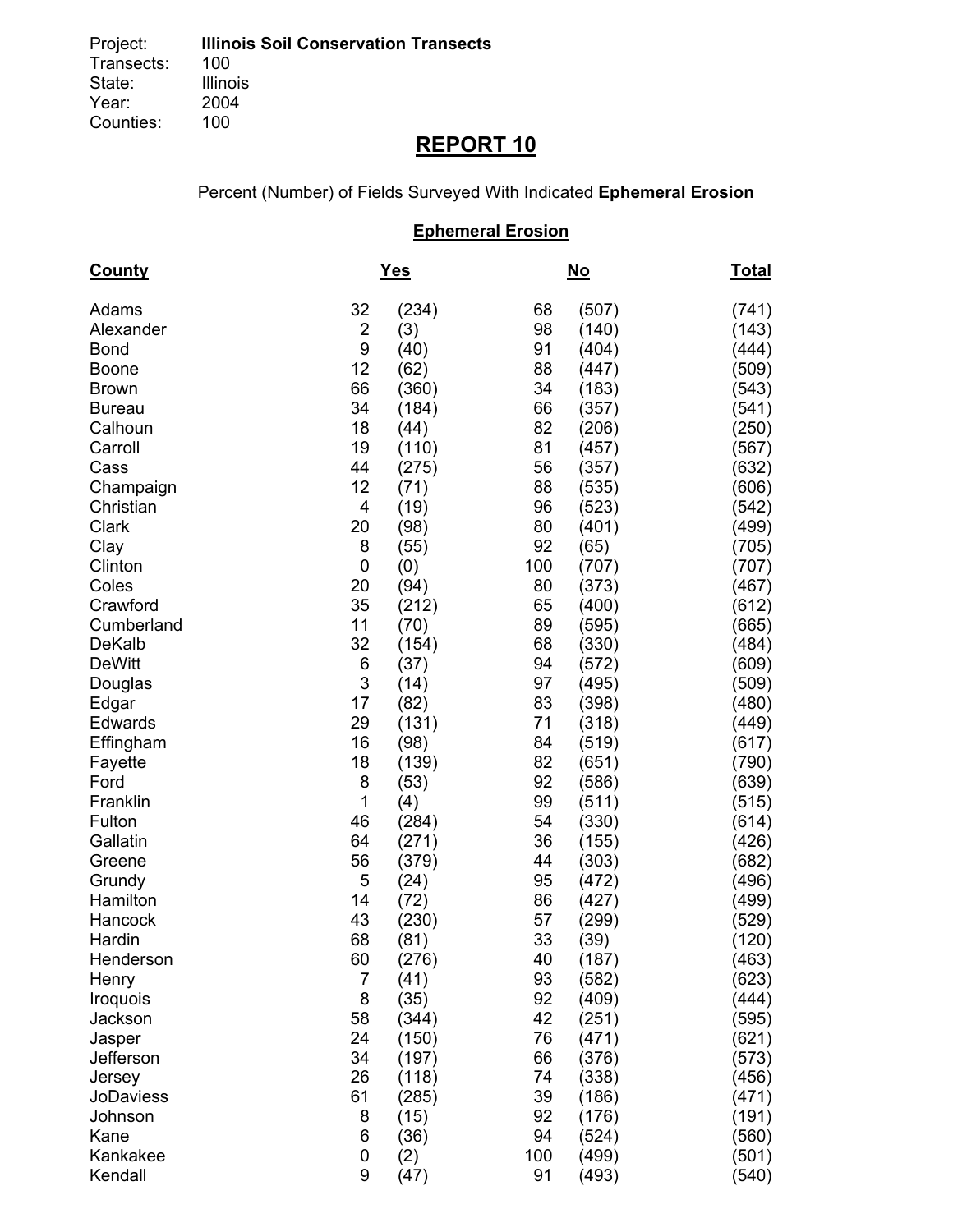# **REPORT 10**

Percent (Number) of Fields Surveyed With Indicated **Ephemeral Erosion**

## **Ephemeral Erosion**

| <b>County</b>    |                | <u>Yes</u> |     | <u>No</u> | <u>Total</u> |
|------------------|----------------|------------|-----|-----------|--------------|
| Adams            | 32             | (234)      | 68  | (507)     | (741)        |
| Alexander        | $\overline{2}$ | (3)        | 98  | (140)     | (143)        |
| <b>Bond</b>      | 9              | (40)       | 91  | (404)     | (444)        |
| <b>Boone</b>     | 12             | (62)       | 88  | (447)     | (509)        |
| <b>Brown</b>     | 66             | (360)      | 34  | (183)     | (543)        |
| <b>Bureau</b>    | 34             | (184)      | 66  | (357)     | (541)        |
| Calhoun          | 18             | (44)       | 82  | (206)     | (250)        |
| Carroll          | 19             | (110)      | 81  | (457)     | (567)        |
| Cass             | 44             | (275)      | 56  | (357)     | (632)        |
| Champaign        | 12             | (71)       | 88  | (535)     | (606)        |
| Christian        | 4              | (19)       | 96  | (523)     | (542)        |
| Clark            | 20             | (98)       | 80  | (401)     | (499)        |
| Clay             | 8              | (55)       | 92  | (65)      | (705)        |
| Clinton          | 0              | (0)        | 100 | (707)     | (707)        |
| Coles            | 20             | (94)       | 80  | (373)     | (467)        |
| Crawford         | 35             | (212)      | 65  | (400)     | (612)        |
| Cumberland       | 11             | (70)       | 89  | (595)     | (665)        |
| <b>DeKalb</b>    | 32             | (154)      | 68  | (330)     | (484)        |
| <b>DeWitt</b>    | 6              | (37)       | 94  | (572)     | (609)        |
| Douglas          | 3              | (14)       | 97  | (495)     | (509)        |
| Edgar            | 17             | (82)       | 83  | (398)     | (480)        |
| Edwards          | 29             | (131)      | 71  | (318)     | (449)        |
| Effingham        | 16             | (98)       | 84  | (519)     | (617)        |
| Fayette          | 18             | (139)      | 82  | (651)     | (790)        |
| Ford             | 8              | (53)       | 92  | (586)     | (639)        |
| Franklin         | 1              | (4)        | 99  | (511)     | (515)        |
| Fulton           | 46             | (284)      | 54  | (330)     | (614)        |
| Gallatin         | 64             | (271)      | 36  | (155)     | (426)        |
| Greene           | 56             | (379)      | 44  | (303)     | (682)        |
| Grundy           | 5              | (24)       | 95  | (472)     | (496)        |
| Hamilton         | 14             | (72)       | 86  | (427)     | (499)        |
| Hancock          | 43             | (230)      | 57  | (299)     | (529)        |
| Hardin           | 68             | (81)       | 33  | (39)      | (120)        |
| Henderson        | 60             | (276)      | 40  | (187)     | (463)        |
| Henry            | 7              | (41)       | 93  | (582)     | (623)        |
| Iroquois         | 8              | (35)       | 92  | (409)     | (444)        |
| Jackson          | 58             | (344)      | 42  | (251)     | (595)        |
| Jasper           | 24             | (150)      | 76  | (471)     | (621)        |
| Jefferson        | 34             | (197)      | 66  | (376)     | (573)        |
| Jersey           | 26             | (118)      | 74  | (338)     | (456)        |
| <b>JoDaviess</b> | 61             | (285)      | 39  | (186)     | (471)        |
| Johnson          | 8              | (15)       | 92  | (176)     | (191)        |
| Kane             | 6              | (36)       | 94  | (524)     | (560)        |
| Kankakee         | 0              | (2)        | 100 | (499)     | (501)        |
| Kendall          | 9              | (47)       | 91  | (493)     | (540)        |